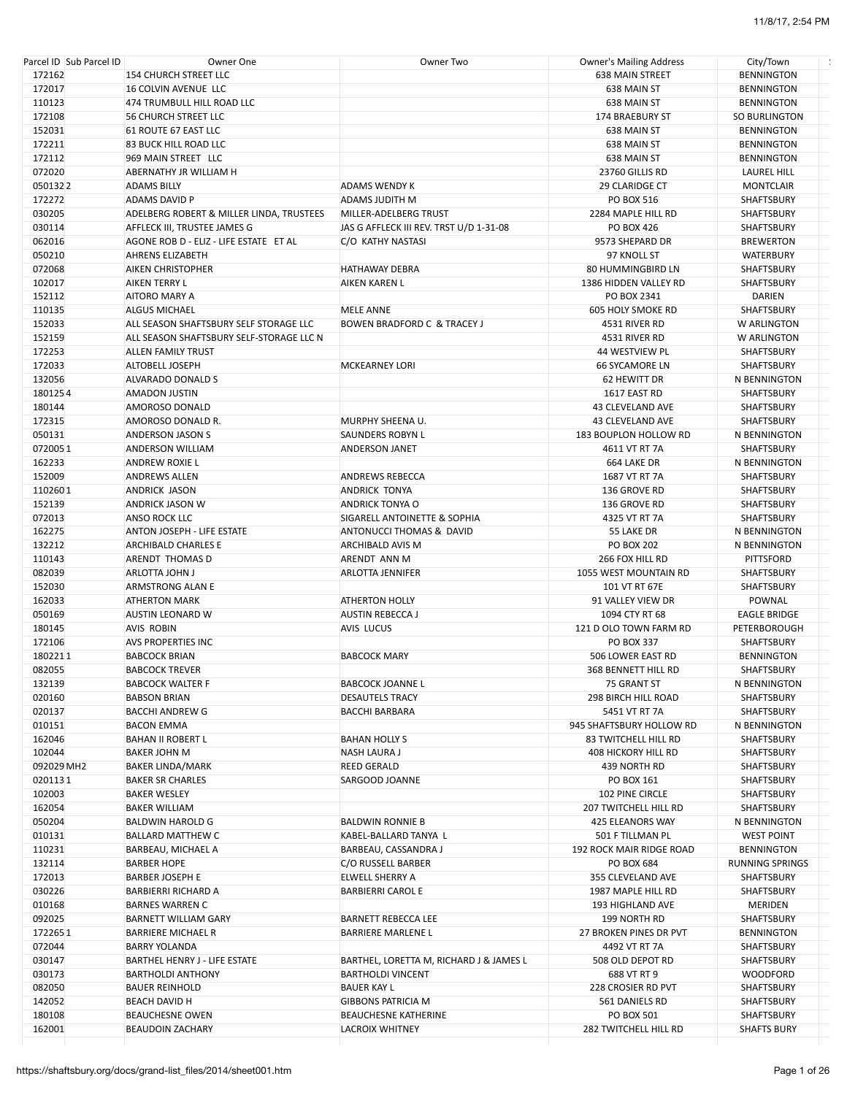|            | Parcel ID Sub Parcel ID | Owner One                                | Owner Two                               | <b>Owner's Mailing Address</b> | City/Town              |
|------------|-------------------------|------------------------------------------|-----------------------------------------|--------------------------------|------------------------|
| 172162     |                         | 154 CHURCH STREET LLC                    |                                         | <b>638 MAIN STREET</b>         | <b>BENNINGTON</b>      |
| 172017     |                         | 16 COLVIN AVENUE LLC                     |                                         | 638 MAIN ST                    | <b>BENNINGTON</b>      |
| 110123     |                         | 474 TRUMBULL HILL ROAD LLC               |                                         | 638 MAIN ST                    | <b>BENNINGTON</b>      |
| 172108     |                         | <b>56 CHURCH STREET LLC</b>              |                                         | 174 BRAEBURY ST                | <b>SO BURLINGTON</b>   |
| 152031     |                         | 61 ROUTE 67 EAST LLC                     |                                         | 638 MAIN ST                    | <b>BENNINGTON</b>      |
| 172211     |                         | <b>83 BUCK HILL ROAD LLC</b>             |                                         | 638 MAIN ST                    | <b>BENNINGTON</b>      |
| 172112     |                         | 969 MAIN STREET LLC                      |                                         | 638 MAIN ST                    | BENNINGTON             |
| 072020     |                         | ABERNATHY JR WILLIAM H                   |                                         | 23760 GILLIS RD                | LAUREL HILL            |
| 0501322    |                         | <b>ADAMS BILLY</b>                       | <b>ADAMS WENDY K</b>                    | <b>29 CLARIDGE CT</b>          | <b>MONTCLAIR</b>       |
| 172272     |                         | <b>ADAMS DAVID P</b>                     | <b>ADAMS JUDITH M</b>                   | PO BOX 516                     | SHAFTSBURY             |
| 030205     |                         | ADELBERG ROBERT & MILLER LINDA, TRUSTEES | MILLER-ADELBERG TRUST                   | 2284 MAPLE HILL RD             | SHAFTSBURY             |
| 030114     |                         | AFFLECK III, TRUSTEE JAMES G             | JAS G AFFLECK III REV. TRST U/D 1-31-08 | PO BOX 426                     | SHAFTSBURY             |
| 062016     |                         | AGONE ROB D - ELIZ - LIFE ESTATE ET AL   | C/O KATHY NASTASI                       | 9573 SHEPARD DR                | <b>BREWERTON</b>       |
| 050210     |                         | AHRENS ELIZABETH                         |                                         | 97 KNOLL ST                    | WATERBURY              |
| 072068     |                         | <b>AIKEN CHRISTOPHER</b>                 | <b>HATHAWAY DEBRA</b>                   | 80 HUMMINGBIRD LN              | SHAFTSBURY             |
| 102017     |                         | <b>AIKEN TERRY L</b>                     | <b>AIKEN KAREN L</b>                    | 1386 HIDDEN VALLEY RD          | SHAFTSBURY             |
| 152112     |                         | AITORO MARY A                            |                                         | PO BOX 2341                    | DARIEN                 |
| 110135     |                         | <b>ALGUS MICHAEL</b>                     | <b>MELE ANNE</b>                        | <b>605 HOLY SMOKE RD</b>       | SHAFTSBURY             |
| 152033     |                         | ALL SEASON SHAFTSBURY SELF STORAGE LLC   | <b>BOWEN BRADFORD C &amp; TRACEY J</b>  | 4531 RIVER RD                  | W ARLINGTON            |
| 152159     |                         | ALL SEASON SHAFTSBURY SELF-STORAGE LLC N |                                         | 4531 RIVER RD                  | W ARLINGTON            |
| 172253     |                         | ALLEN FAMILY TRUST                       |                                         | 44 WESTVIEW PL                 | SHAFTSBURY             |
| 172033     |                         | ALTOBELL JOSEPH                          | <b>MCKEARNEY LORI</b>                   | <b>66 SYCAMORE LN</b>          | SHAFTSBURY             |
| 132056     |                         | <b>ALVARADO DONALD S</b>                 |                                         | 62 HEWITT DR                   | N BENNINGTON           |
| 1801254    |                         | <b>AMADON JUSTIN</b>                     |                                         | 1617 EAST RD                   | <b>SHAFTSBURY</b>      |
| 180144     |                         | AMOROSO DONALD                           |                                         | <b>43 CLEVELAND AVE</b>        | SHAFTSBURY             |
| 172315     |                         | AMOROSO DONALD R.                        | MURPHY SHEENA U.                        | 43 CLEVELAND AVE               | SHAFTSBURY             |
| 050131     |                         | <b>ANDERSON JASON S</b>                  | SAUNDERS ROBYN L                        | 183 BOUPLON HOLLOW RD          | N BENNINGTON           |
| 0720051    |                         | <b>ANDERSON WILLIAM</b>                  | <b>ANDERSON JANET</b>                   | 4611 VT RT 7A                  | <b>SHAFTSBURY</b>      |
| 162233     |                         | <b>ANDREW ROXIE L</b>                    |                                         | 664 LAKE DR                    | N BENNINGTON           |
| 152009     |                         | <b>ANDREWS ALLEN</b>                     | ANDREWS REBECCA                         | 1687 VT RT 7A                  | SHAFTSBURY             |
| 1102601    |                         | <b>ANDRICK JASON</b>                     | <b>ANDRICK TONYA</b>                    | 136 GROVE RD                   | SHAFTSBURY             |
| 152139     |                         | <b>ANDRICK JASON W</b>                   | <b>ANDRICK TONYA O</b>                  | 136 GROVE RD                   | SHAFTSBURY             |
| 072013     |                         | <b>ANSO ROCK LLC</b>                     | SIGARELL ANTOINETTE & SOPHIA            | 4325 VT RT 7A                  | SHAFTSBURY             |
| 162275     |                         | ANTON JOSEPH - LIFE ESTATE               | ANTONUCCI THOMAS & DAVID                | 55 LAKE DR                     | N BENNINGTON           |
| 132212     |                         | <b>ARCHIBALD CHARLES E</b>               | ARCHIBALD AVIS M                        | <b>PO BOX 202</b>              | N BENNINGTON           |
| 110143     |                         | ARENDT THOMAS D                          | ARENDT ANN M                            | 266 FOX HILL RD                | <b>PITTSFORD</b>       |
| 082039     |                         | ARLOTTA JOHN J                           | <b>ARLOTTA JENNIFER</b>                 | 1055 WEST MOUNTAIN RD          | SHAFTSBURY             |
| 152030     |                         | ARMSTRONG ALAN E                         |                                         | 101 VT RT 67E                  | SHAFTSBURY             |
| 162033     |                         | <b>ATHERTON MARK</b>                     | <b>ATHERTON HOLLY</b>                   | 91 VALLEY VIEW DR              | POWNAL                 |
| 050169     |                         | <b>AUSTIN LEONARD W</b>                  | <b>AUSTIN REBECCA J</b>                 | 1094 CTY RT 68                 | <b>EAGLE BRIDGE</b>    |
| 180145     |                         | <b>AVIS ROBIN</b>                        | AVIS LUCUS                              | 121 D OLO TOWN FARM RD         | PETERBOROUGH           |
| 172106     |                         | <b>AVS PROPERTIES INC</b>                |                                         | PO BOX 337                     | <b>SHAFTSBURY</b>      |
| 1802211    |                         | <b>BABCOCK BRIAN</b>                     | <b>BABCOCK MARY</b>                     | 506 LOWER EAST RD              | <b>BENNINGTON</b>      |
| 082055     |                         | <b>BABCOCK TREVER</b>                    |                                         | 368 BENNETT HILL RD            | SHAFTSBURY             |
| 132139     |                         | <b>BABCOCK WALTER F</b>                  | <b>BABCOCK JOANNE L</b>                 | 75 GRANT ST                    | N BENNINGTON           |
| 020160     |                         | <b>BABSON BRIAN</b>                      | <b>DESAUTELS TRACY</b>                  | 298 BIRCH HILL ROAD            | SHAFTSBURY             |
| 020137     |                         | <b>BACCHI ANDREW G</b>                   | <b>BACCHI BARBARA</b>                   | 5451 VT RT 7A                  | SHAFTSBURY             |
| 010151     |                         | <b>BACON EMMA</b>                        |                                         | 945 SHAFTSBURY HOLLOW RD       | N BENNINGTON           |
| 162046     |                         | <b>BAHAN II ROBERT L</b>                 | <b>BAHAN HOLLY S</b>                    | <b>83 TWITCHELL HILL RD</b>    | SHAFTSBURY             |
| 102044     |                         | <b>BAKER JOHN M</b>                      | NASH LAURA J                            | 408 HICKORY HILL RD            | SHAFTSBURY             |
| 092029 MH2 |                         | <b>BAKER LINDA/MARK</b>                  | <b>REED GERALD</b>                      | 439 NORTH RD                   | <b>SHAFTSBURY</b>      |
| 0201131    |                         | <b>BAKER SR CHARLES</b>                  | SARGOOD JOANNE                          | PO BOX 161                     | SHAFTSBURY             |
| 102003     |                         | <b>BAKER WESLEY</b>                      |                                         | 102 PINE CIRCLE                | SHAFTSBURY             |
| 162054     |                         | <b>BAKER WILLIAM</b>                     |                                         | 207 TWITCHELL HILL RD          | SHAFTSBURY             |
| 050204     |                         | <b>BALDWIN HAROLD G</b>                  | <b>BALDWIN RONNIE B</b>                 | 425 ELEANORS WAY               | N BENNINGTON           |
| 010131     |                         | <b>BALLARD MATTHEW C</b>                 | KABEL-BALLARD TANYA L                   | 501 F TILLMAN PL               | <b>WEST POINT</b>      |
| 110231     |                         | BARBEAU, MICHAEL A                       | BARBEAU, CASSANDRA J                    | 192 ROCK MAIR RIDGE ROAD       | <b>BENNINGTON</b>      |
| 132114     |                         | <b>BARBER HOPE</b>                       | C/O RUSSELL BARBER                      | PO BOX 684                     | <b>RUNNING SPRINGS</b> |
| 172013     |                         | <b>BARBER JOSEPH E</b>                   | ELWELL SHERRY A                         | 355 CLEVELAND AVE              | SHAFTSBURY             |
| 030226     |                         | <b>BARBIERRI RICHARD A</b>               | <b>BARBIERRI CAROL E</b>                | 1987 MAPLE HILL RD             | SHAFTSBURY             |
| 010168     |                         | <b>BARNES WARREN C</b>                   |                                         | 193 HIGHLAND AVE               | MERIDEN                |
| 092025     |                         | <b>BARNETT WILLIAM GARY</b>              | BARNETT REBECCA LEE                     | 199 NORTH RD                   | SHAFTSBURY             |
| 1722651    |                         | <b>BARRIERE MICHAEL R</b>                | <b>BARRIERE MARLENE L</b>               | 27 BROKEN PINES DR PVT         | BENNINGTON             |
| 072044     |                         | <b>BARRY YOLANDA</b>                     |                                         | 4492 VT RT 7A                  | SHAFTSBURY             |
| 030147     |                         | BARTHEL HENRY J - LIFE ESTATE            | BARTHEL, LORETTA M, RICHARD J & JAMES L | 508 OLD DEPOT RD               | SHAFTSBURY             |
| 030173     |                         | <b>BARTHOLDI ANTHONY</b>                 | <b>BARTHOLDI VINCENT</b>                | 688 VT RT 9                    | <b>WOODFORD</b>        |
| 082050     |                         | <b>BAUER REINHOLD</b>                    | <b>BAUER KAY L</b>                      | 228 CROSIER RD PVT             | SHAFTSBURY             |
| 142052     |                         | BEACH DAVID H                            | <b>GIBBONS PATRICIA M</b>               | 561 DANIELS RD                 | SHAFTSBURY             |
| 180108     |                         | <b>BEAUCHESNE OWEN</b>                   | <b>BEAUCHESNE KATHERINE</b>             | PO BOX 501                     | SHAFTSBURY             |
| 162001     |                         | <b>BEAUDOIN ZACHARY</b>                  | <b>LACROIX WHITNEY</b>                  | 282 TWITCHELL HILL RD          | <b>SHAFTS BURY</b>     |
|            |                         |                                          |                                         |                                |                        |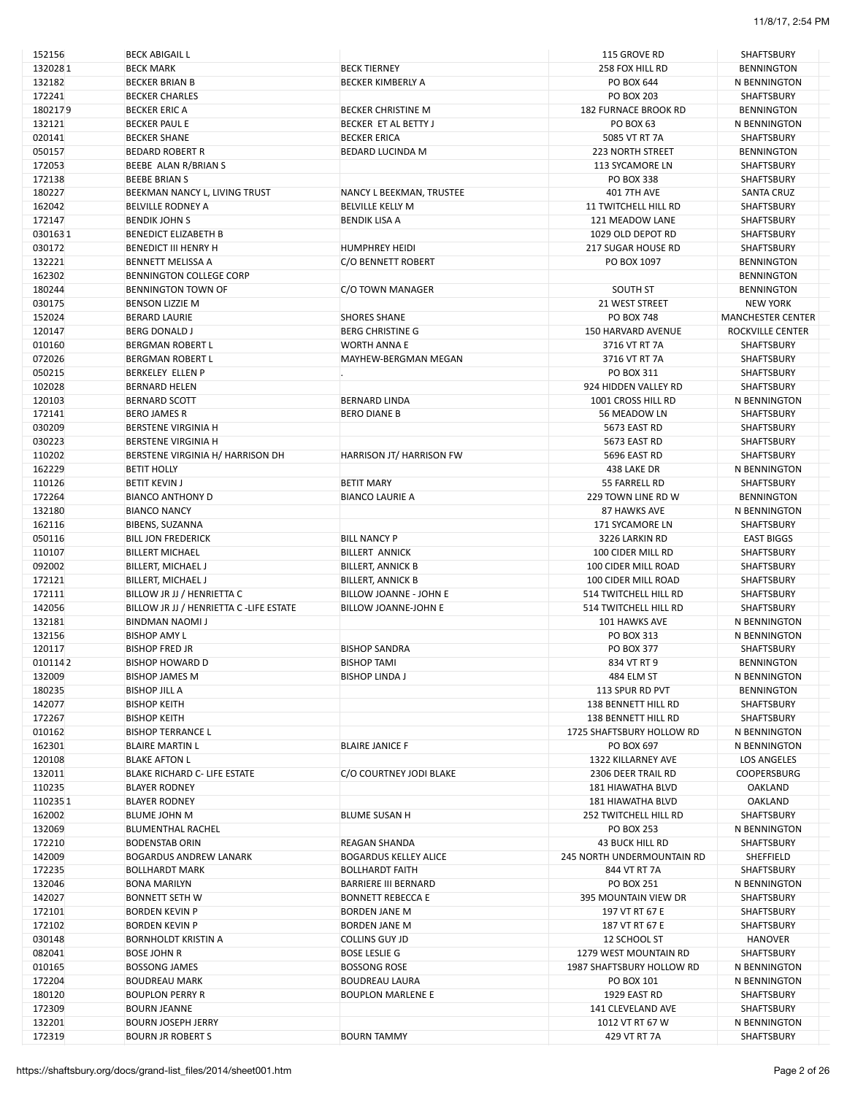| 152156  | <b>BECK ABIGAIL L</b>                   |                              | 115 GROVE RD                | SHAFTSBURY               |
|---------|-----------------------------------------|------------------------------|-----------------------------|--------------------------|
| 1320281 | <b>BECK MARK</b>                        | <b>BECK TIERNEY</b>          | 258 FOX HILL RD             | <b>BENNINGTON</b>        |
| 132182  | <b>BECKER BRIAN B</b>                   | <b>BECKER KIMBERLY A</b>     | PO BOX 644                  | N BENNINGTON             |
| 172241  | <b>BECKER CHARLES</b>                   |                              | <b>PO BOX 203</b>           | SHAFTSBURY               |
| 1802179 | <b>BECKER ERIC A</b>                    | <b>BECKER CHRISTINE M</b>    | <b>182 FURNACE BROOK RD</b> | <b>BENNINGTON</b>        |
|         |                                         | BECKER ET AL BETTY J         |                             |                          |
| 132121  | <b>BECKER PAUL E</b>                    |                              | PO BOX 63                   | N BENNINGTON             |
| 020141  | <b>BECKER SHANE</b>                     | <b>BECKER ERICA</b>          | 5085 VT RT 7A               | SHAFTSBURY               |
| 050157  | <b>BEDARD ROBERT R</b>                  | <b>BEDARD LUCINDA M</b>      | <b>223 NORTH STREET</b>     | <b>BENNINGTON</b>        |
| 172053  | BEEBE ALAN R/BRIAN S                    |                              | 113 SYCAMORE LN             | SHAFTSBURY               |
| 172138  | <b>BEEBE BRIAN S</b>                    |                              | PO BOX 338                  | SHAFTSBURY               |
| 180227  | BEEKMAN NANCY L, LIVING TRUST           | NANCY L BEEKMAN, TRUSTEE     | <b>401 7TH AVE</b>          | <b>SANTA CRUZ</b>        |
| 162042  | BELVILLE RODNEY A                       | <b>BELVILLE KELLY M</b>      | 11 TWITCHELL HILL RD        | <b>SHAFTSBURY</b>        |
| 172147  | <b>BENDIK JOHN S</b>                    | <b>BENDIK LISA A</b>         | 121 MEADOW LANE             | SHAFTSBURY               |
|         | <b>BENEDICT ELIZABETH B</b>             |                              | 1029 OLD DEPOT RD           |                          |
| 0301631 |                                         |                              |                             | SHAFTSBURY               |
| 030172  | <b>BENEDICT III HENRY H</b>             | <b>HUMPHREY HEIDI</b>        | 217 SUGAR HOUSE RD          | SHAFTSBURY               |
| 132221  | <b>BENNETT MELISSA A</b>                | C/O BENNETT ROBERT           | PO BOX 1097                 | <b>BENNINGTON</b>        |
| 162302  | BENNINGTON COLLEGE CORP                 |                              |                             | <b>BENNINGTON</b>        |
| 180244  | BENNINGTON TOWN OF                      | C/O TOWN MANAGER             | SOUTH ST                    | <b>BENNINGTON</b>        |
| 030175  | <b>BENSON LIZZIE M</b>                  |                              | 21 WEST STREET              | <b>NEW YORK</b>          |
| 152024  | <b>BERARD LAURIE</b>                    | <b>SHORES SHANE</b>          | <b>PO BOX 748</b>           | <b>MANCHESTER CENTER</b> |
| 120147  | <b>BERG DONALD J</b>                    | <b>BERG CHRISTINE G</b>      | <b>150 HARVARD AVENUE</b>   | ROCKVILLE CENTER         |
|         | <b>BERGMAN ROBERT L</b>                 | <b>WORTH ANNA E</b>          | 3716 VT RT 7A               | SHAFTSBURY               |
| 010160  |                                         |                              |                             |                          |
| 072026  | BERGMAN ROBERT L                        | MAYHEW-BERGMAN MEGAN         | 3716 VT RT 7A               | SHAFTSBURY               |
| 050215  | <b>BERKELEY ELLEN P</b>                 |                              | PO BOX 311                  | <b>SHAFTSBURY</b>        |
| 102028  | <b>BERNARD HELEN</b>                    |                              | 924 HIDDEN VALLEY RD        | SHAFTSBURY               |
| 120103  | <b>BERNARD SCOTT</b>                    | <b>BERNARD LINDA</b>         | 1001 CROSS HILL RD          | N BENNINGTON             |
| 172141  | <b>BERO JAMES R</b>                     | <b>BERO DIANE B</b>          | 56 MEADOW LN                | SHAFTSBURY               |
| 030209  | <b>BERSTENE VIRGINIA H</b>              |                              | 5673 EAST RD                | SHAFTSBURY               |
| 030223  | <b>BERSTENE VIRGINIA H</b>              |                              | 5673 EAST RD                | SHAFTSBURY               |
| 110202  |                                         |                              |                             |                          |
|         | BERSTENE VIRGINIA H/ HARRISON DH        | HARRISON JT/ HARRISON FW     | 5696 EAST RD                | <b>SHAFTSBURY</b>        |
| 162229  | <b>BETIT HOLLY</b>                      |                              | 438 LAKE DR                 | N BENNINGTON             |
| 110126  | <b>BETIT KEVIN J</b>                    | <b>BETIT MARY</b>            | 55 FARRELL RD               | SHAFTSBURY               |
| 172264  | <b>BIANCO ANTHONY D</b>                 | <b>BIANCO LAURIE A</b>       | 229 TOWN LINE RD W          | <b>BENNINGTON</b>        |
| 132180  | <b>BIANCO NANCY</b>                     |                              | 87 HAWKS AVE                | N BENNINGTON             |
| 162116  | BIBENS, SUZANNA                         |                              | 171 SYCAMORE LN             | SHAFTSBURY               |
| 050116  | <b>BILL JON FREDERICK</b>               | <b>BILL NANCY P</b>          | 3226 LARKIN RD              | <b>EAST BIGGS</b>        |
| 110107  | <b>BILLERT MICHAEL</b>                  | <b>BILLERT ANNICK</b>        | 100 CIDER MILL RD           | SHAFTSBURY               |
|         |                                         |                              |                             |                          |
| 092002  | BILLERT, MICHAEL J                      | <b>BILLERT, ANNICK B</b>     | 100 CIDER MILL ROAD         | SHAFTSBURY               |
| 172121  | BILLERT, MICHAEL J                      | <b>BILLERT, ANNICK B</b>     | 100 CIDER MILL ROAD         | SHAFTSBURY               |
| 172111  | BILLOW JR JJ / HENRIETTA C              | BILLOW JOANNE - JOHN E       | 514 TWITCHELL HILL RD       | SHAFTSBURY               |
| 142056  | BILLOW JR JJ / HENRIETTA C -LIFE ESTATE | <b>BILLOW JOANNE-JOHN E</b>  | 514 TWITCHELL HILL RD       | SHAFTSBURY               |
| 132181  | <b>BINDMAN NAOMI J</b>                  |                              | 101 HAWKS AVE               | N BENNINGTON             |
| 132156  | <b>BISHOP AMY L</b>                     |                              | PO BOX 313                  | N BENNINGTON             |
| 120117  | <b>BISHOP FRED JR</b>                   | <b>BISHOP SANDRA</b>         | PO BOX 377                  | SHAFTSBURY               |
| 0101142 | <b>BISHOP HOWARD D</b>                  | <b>BISHOP TAMI</b>           | 834 VT RT 9                 | <b>BENNINGTON</b>        |
|         |                                         |                              |                             |                          |
| 132009  | <b>BISHOP JAMES M</b>                   | <b>BISHOP LINDA J</b>        | 484 ELM ST                  | N BENNINGTON             |
| 180235  | <b>BISHOP JILL A</b>                    |                              | 113 SPUR RD PVT             | <b>BENNINGTON</b>        |
| 142077  | <b>BISHOP KEITH</b>                     |                              | 138 BENNETT HILL RD         | SHAFTSBURY               |
| 172267  | <b>BISHOP KEITH</b>                     |                              | 138 BENNETT HILL RD         | SHAFTSBURY               |
| 010162  | <b>BISHOP TERRANCE L</b>                |                              | 1725 SHAFTSBURY HOLLOW RD   | N BENNINGTON             |
| 162301  | <b>BLAIRE MARTIN L</b>                  | <b>BLAIRE JANICE F</b>       | PO BOX 697                  | N BENNINGTON             |
| 120108  | <b>BLAKE AFTON L</b>                    |                              | 1322 KILLARNEY AVE          | LOS ANGELES              |
| 132011  | BLAKE RICHARD C- LIFE ESTATE            | C/O COURTNEY JODI BLAKE      | 2306 DEER TRAIL RD          | <b>COOPERSBURG</b>       |
|         |                                         |                              |                             |                          |
| 110235  | <b>BLAYER RODNEY</b>                    |                              | <b>181 HIAWATHA BLVD</b>    | <b>OAKLAND</b>           |
| 1102351 | <b>BLAYER RODNEY</b>                    |                              | 181 HIAWATHA BLVD           | OAKLAND                  |
| 162002  | <b>BLUME JOHN M</b>                     | <b>BLUME SUSAN H</b>         | 252 TWITCHELL HILL RD       | SHAFTSBURY               |
| 132069  | <b>BLUMENTHAL RACHEL</b>                |                              | <b>PO BOX 253</b>           | N BENNINGTON             |
| 172210  | <b>BODENSTAB ORIN</b>                   | REAGAN SHANDA                | <b>43 BUCK HILL RD</b>      | SHAFTSBURY               |
| 142009  | <b>BOGARDUS ANDREW LANARK</b>           | <b>BOGARDUS KELLEY ALICE</b> | 245 NORTH UNDERMOUNTAIN RD  | SHEFFIELD                |
| 172235  | <b>BOLLHARDT MARK</b>                   | <b>BOLLHARDT FAITH</b>       | 844 VT RT 7A                | SHAFTSBURY               |
| 132046  | <b>BONA MARILYN</b>                     | <b>BARRIERE III BERNARD</b>  | PO BOX 251                  | N BENNINGTON             |
|         |                                         |                              |                             |                          |
| 142027  | <b>BONNETT SETH W</b>                   | <b>BONNETT REBECCA E</b>     | 395 MOUNTAIN VIEW DR        | SHAFTSBURY               |
| 172101  | <b>BORDEN KEVIN P</b>                   | <b>BORDEN JANE M</b>         | 197 VT RT 67 E              | SHAFTSBURY               |
| 172102  | <b>BORDEN KEVIN P</b>                   | <b>BORDEN JANE M</b>         | 187 VT RT 67 E              | SHAFTSBURY               |
| 030148  | <b>BORNHOLDT KRISTIN A</b>              | <b>COLLINS GUY JD</b>        | 12 SCHOOL ST                | <b>HANOVER</b>           |
| 082041  | <b>BOSE JOHN R</b>                      | <b>BOSE LESLIE G</b>         | 1279 WEST MOUNTAIN RD       | SHAFTSBURY               |
| 010165  | <b>BOSSONG JAMES</b>                    | <b>BOSSONG ROSE</b>          | 1987 SHAFTSBURY HOLLOW RD   | N BENNINGTON             |
| 172204  | <b>BOUDREAU MARK</b>                    | <b>BOUDREAU LAURA</b>        | PO BOX 101                  | N BENNINGTON             |
| 180120  | <b>BOUPLON PERRY R</b>                  | <b>BOUPLON MARLENE E</b>     | 1929 EAST RD                | SHAFTSBURY               |
|         |                                         |                              |                             |                          |
| 172309  | <b>BOURN JEANNE</b>                     |                              | 141 CLEVELAND AVE           | SHAFTSBURY               |
| 132201  | <b>BOURN JOSEPH JERRY</b>               |                              | 1012 VT RT 67 W             | N BENNINGTON             |
| 172319  | <b>BOURN JR ROBERT S</b>                | <b>BOURN TAMMY</b>           | 429 VT RT 7A                | SHAFTSBURY               |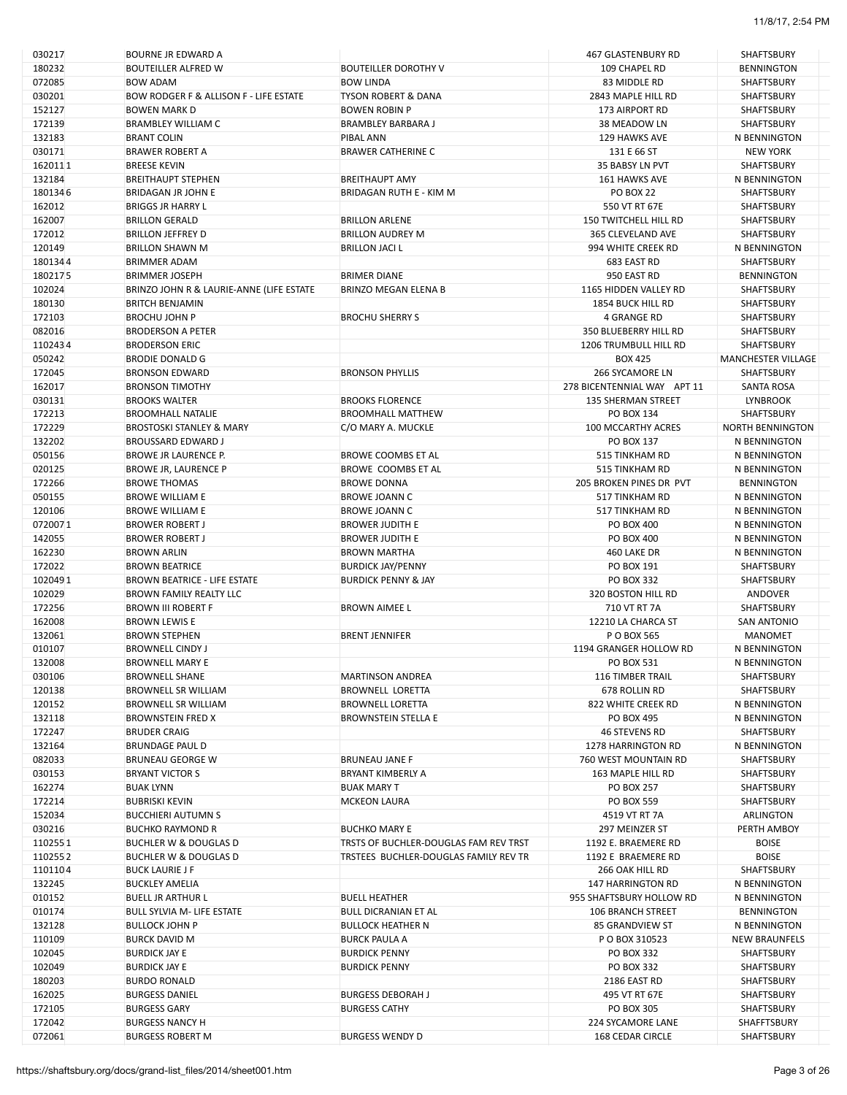|                  |                                                                 |                                |                                          | 11/8/17, 2:54 PM                               |
|------------------|-----------------------------------------------------------------|--------------------------------|------------------------------------------|------------------------------------------------|
| 030217           | <b>BOURNE JR EDWARD A</b>                                       |                                | <b>467 GLASTENBURY RD</b>                | <b>SHAFTSBURY</b>                              |
| 180232           | <b>BOUTEILLER ALFRED W</b>                                      | <b>BOUTEILLER DOROTHY V</b>    | 109 CHAPEL RD                            | <b>BENNINGTON</b>                              |
| 072085           | <b>BOW ADAM</b>                                                 | <b>BOW LINDA</b>               | 83 MIDDLE RD                             | SHAFTSBURY                                     |
| 030201           | BOW RODGER F & ALLISON F - LIFE ESTATE                          | <b>TYSON ROBERT &amp; DANA</b> | 2843 MAPLE HILL RD                       | SHAFTSBURY                                     |
| 152127           | <b>BOWEN MARK D</b>                                             | <b>BOWEN ROBIN P</b>           | 173 AIRPORT RD                           | SHAFTSBURY                                     |
| 172139           | <b>BRAMBLEY WILLIAM C</b>                                       | <b>BRAMBLEY BARBARA J</b>      | 38 MEADOW LN                             | SHAFTSBURY                                     |
| 132183           | <b>BRANT COLIN</b>                                              | <b>PIBAL ANN</b>               | 129 HAWKS AVE                            | N BENNINGTON                                   |
| 030171           | <b>BRAWER ROBERT A</b>                                          | <b>BRAWER CATHERINE C</b>      | 131 E 66 ST                              | <b>NEW YORK</b>                                |
| 1620111          | <b>BREESE KEVIN</b>                                             |                                | 35 BABSY LN PVT                          | SHAFTSBURY                                     |
| 132184           | <b>BREITHAUPT STEPHEN</b>                                       | <b>BREITHAUPT AMY</b>          | 161 HAWKS AVE                            | N BENNINGTON                                   |
| 1801346          | <b>BRIDAGAN JR JOHN E</b>                                       | <b>BRIDAGAN RUTH E - KIM M</b> | <b>PO BOX 22</b>                         | SHAFTSBURY                                     |
| 162012           | <b>BRIGGS JR HARRY L</b>                                        |                                | 550 VT RT 67E                            | SHAFTSBURY                                     |
| 162007           | <b>BRILLON GERALD</b>                                           | <b>BRILLON ARLENE</b>          | 150 TWITCHELL HILL RD                    | SHAFTSBURY                                     |
| 172012           | <b>BRILLON JEFFREY D</b>                                        | <b>BRILLON AUDREY M</b>        | 365 CLEVELAND AVE                        | <b>SHAFTSBURY</b>                              |
| 120149           | <b>BRILLON SHAWN M</b>                                          | <b>BRILLON JACI L</b>          | 994 WHITE CREEK RD                       | N BENNINGTON                                   |
| 1801344          | <b>BRIMMER ADAM</b>                                             |                                | 683 EAST RD                              | SHAFTSBURY                                     |
| 1802175          | <b>BRIMMER JOSEPH</b>                                           | <b>BRIMER DIANE</b>            | 950 EAST RD                              | <b>BENNINGTON</b>                              |
| 102024           | BRINZO JOHN R & LAURIE-ANNE (LIFE ESTATE                        | <b>BRINZO MEGAN ELENA B</b>    | 1165 HIDDEN VALLEY RD                    | SHAFTSBURY                                     |
| 180130           | <b>BRITCH BENJAMIN</b>                                          |                                | 1854 BUCK HILL RD                        | SHAFTSBURY                                     |
|                  |                                                                 |                                |                                          |                                                |
| 172103           | <b>BROCHU JOHN P</b>                                            | <b>BROCHU SHERRY S</b>         | <b>4 GRANGE RD</b>                       | <b>SHAFTSBURY</b>                              |
| 082016           | <b>BRODERSON A PETER</b>                                        |                                | 350 BLUEBERRY HILL RD                    | SHAFTSBURY                                     |
| 1102434          | <b>BRODERSON ERIC</b>                                           |                                | 1206 TRUMBULL HILL RD                    | SHAFTSBURY                                     |
| 050242<br>172045 | <b>BRODIE DONALD G</b><br><b>BRONSON EDWARD</b>                 | <b>BRONSON PHYLLIS</b>         | <b>BOX 425</b><br><b>266 SYCAMORE LN</b> | <b>MANCHESTER VILLAGE</b><br><b>SHAFTSBURY</b> |
|                  |                                                                 |                                |                                          |                                                |
| 162017           | <b>BRONSON TIMOTHY</b>                                          |                                | 278 BICENTENNIAL WAY APT 11              | SANTA ROSA                                     |
| 030131           | <b>BROOKS WALTER</b>                                            | <b>BROOKS FLORENCE</b>         | <b>135 SHERMAN STREET</b>                | <b>LYNBROOK</b>                                |
| 172213<br>172229 | <b>BROOMHALL NATALIE</b><br><b>BROSTOSKI STANLEY &amp; MARY</b> | <b>BROOMHALL MATTHEW</b>       | PO BOX 134                               | SHAFTSBURY<br><b>NORTH BENNINGTON</b>          |
|                  |                                                                 | C/O MARY A. MUCKLE             | 100 MCCARTHY ACRES                       |                                                |
| 132202           | <b>BROUSSARD EDWARD J</b>                                       |                                | <b>PO BOX 137</b>                        | N BENNINGTON                                   |
| 050156           | BROWE JR LAURENCE P.                                            | <b>BROWE COOMBS ET AL</b>      | 515 TINKHAM RD                           | N BENNINGTON                                   |
| 020125           | BROWE JR, LAURENCE P                                            | <b>BROWE COOMBS ET AL</b>      | 515 TINKHAM RD                           | N BENNINGTON                                   |
| 172266           | <b>BROWE THOMAS</b>                                             | <b>BROWE DONNA</b>             | 205 BROKEN PINES DR PVT                  | <b>BENNINGTON</b>                              |
| 050155           | <b>BROWE WILLIAM E</b>                                          | <b>BROWE JOANN C</b>           | 517 TINKHAM RD                           | N BENNINGTON                                   |
| 120106           | <b>BROWE WILLIAM E</b>                                          | <b>BROWE JOANN C</b>           | 517 TINKHAM RD                           | N BENNINGTON                                   |
| 0720071          | <b>BROWER ROBERT J</b>                                          | <b>BROWER JUDITH E</b>         | PO BOX 400                               | N BENNINGTON                                   |
| 142055           | <b>BROWER ROBERT J</b>                                          | <b>BROWER JUDITH E</b>         | <b>PO BOX 400</b>                        | N BENNINGTON                                   |
| 162230           | <b>BROWN ARLIN</b>                                              | <b>BROWN MARTHA</b>            | 460 LAKE DR                              | N BENNINGTON                                   |
| 172022           | <b>BROWN BEATRICE</b>                                           | <b>BURDICK JAY/PENNY</b>       | PO BOX 191                               | <b>SHAFTSBURY</b>                              |
| 1020491          | BROWN BEATRICE - LIFE ESTATE                                    | <b>BURDICK PENNY &amp; JAY</b> | PO BOX 332                               | SHAFTSBURY                                     |
| 102029           | <b>BROWN FAMILY REALTY LLC</b>                                  |                                | 320 BOSTON HILL RD                       | ANDOVER                                        |
| 172256           | <b>BROWN III ROBERT F</b>                                       | <b>BROWN AIMEE L</b>           | 710 VT RT 7A                             | SHAFTSBURY                                     |
| 162008           | <b>BROWN LEWIS E</b>                                            |                                | 12210 LA CHARCA ST                       | <b>SAN ANTONIO</b>                             |
| 132061           | <b>BROWN STEPHEN</b>                                            | <b>BRENT JENNIFER</b>          | P O BOX 565                              | <b>MANOMET</b>                                 |
| 010107           | <b>BROWNELL CINDY J</b>                                         |                                | 1194 GRANGER HOLLOW RD                   | N BENNINGTON                                   |
| 132008           | <b>BROWNELL MARY E</b>                                          |                                | PO BOX 531                               | N BENNINGTON                                   |

030106 BROWNELL SHANE NARTINSON ANDREA 116 TIMBER TRAIL SHAFTSBURY SHAFTSBURY 120138 BROWNELL SR WILLIAM BROWNELL LORETTA 678 ROLLIN RD SHAFTSBURY 120152 BROWNELL SR WILLIAM BROWNELL LORETTA 822 WHITE CREEK RD NINE NORTHALLY 132118 BROWNSTEIN FRED X BROWNSTEIN STELLA E PO BOX 495 N BENNINGTON ''''172247 BRUDER'CRAIG 46'STEVENS'RD SHAFTSBURY 132164 BRUNDAGE PAUL DUN DE RENOLLE DE LA BENNINGTON AU 1278 HARRINGTON RD NI BENNINGTON 082033 BRUNEAU GEORGE W BRUNEAU JANE F 760 WEST MOUNTAIN RD SHAFTSBURY 030153 BRYANT VICTOR S BRYANT KIMBERLY A 163 MAPLE HILL RD SHAFTSBURY ''''162274 BUAK'LYNN BUAK'MARY'T PO'BOX'257 SHAFTSBURY ''''172214 BUBRISKI'KEVIN MCKEON'LAURA PO'BOX'559 SHAFTSBURY ''''152034 BUCCHIERI'AUTUMN'S 4519'VT'RT'7A ARLINGTON ''''030216 BUCHKO'RAYMOND'R BUCHKO'MARY'E 297'MEINZER'ST PERTH'AMBOY 1102551 BUCHLER W & DOUGLAS D TRSTS OF BUCHLER-DOUGLAS FAM REV TRST 1192 E. BRAEMERE RD BOISE 1102552 BUCHLER W'& DOUGLAS D TRSTEES BUCHLER-DOUGLAS FAMILY REV'TR 1192 E BRAEMERE RD BOISE ''''110110 4 BUCK'LAURIE'J'F 266'OAK'HILL'RD SHAFTSBURY 132245 BUCKLEY AMELIA 147 HARRINGTON RD NINE NINGTON RD NINE NAMELIA 010152 BUELL JR ARTHUR L BUELL HEATHER BUELL HEATHER 955 SHAFTSBURY HOLLOW RD NI BENNINGTON 010174 BULL SYLVIA M- LIFE ESTATE BULLY BULL DICRANIAN ET AL 106 BRANCH STREET BENNINGTON 132128 BULLOCK JOHN P BULLOCK HEATHER N 85 GRANDVIEW ST NIENNINGTON ''''110109 BURCK'DAVID'M BURCK'PAULA'A P'O'BOX'310523 NEW'BRAUNFELS ''''102045 BURDICK'JAY'E BURDICK'PENNY PO'BOX'332 SHAFTSBURY ''''102049 BURDICK'JAY'E BURDICK'PENNY PO'BOX'332 SHAFTSBURY ''''180203 BURDO'RONALD 2186'EAST'RD SHAFTSBURY 162025 BURGESS DANIEL BURGESS DEBORAH JAN BURGESS DEBORAH JAN BURGESS DEBORAH JAN BURGESS DEBORAH JAN BURGESS DEBORAH J ''''172105 BURGESS'GARY BURGESS'CATHY PO'BOX'305 SHAFTSBURY ''''172042 BURGESS'NANCY'H 224'SYCAMORE'LANE SHAFFTSBURY 072061 BURGESS ROBERT M BURGESS WENDY D 168 CEDAR CIRCLE SHAFTSBURY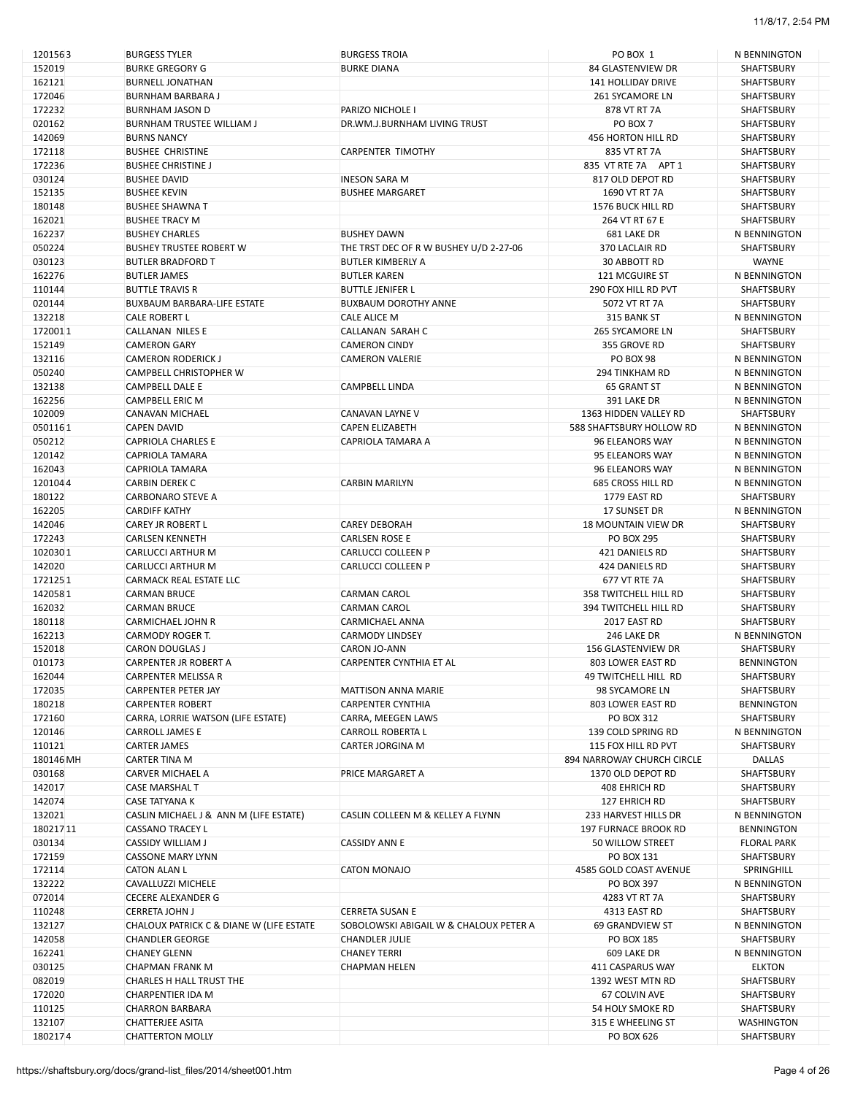| 1201563   | <b>BURGESS TYLER</b>                     | <b>BURGESS TROIA</b>                   | PO BOX 1                     | N BENNINGTON       |
|-----------|------------------------------------------|----------------------------------------|------------------------------|--------------------|
| 152019    | <b>BURKE GREGORY G</b>                   | <b>BURKE DIANA</b>                     | 84 GLASTENVIEW DR            | <b>SHAFTSBURY</b>  |
| 162121    | <b>BURNELL JONATHAN</b>                  |                                        | 141 HOLLIDAY DRIVE           | SHAFTSBURY         |
| 172046    | <b>BURNHAM BARBARA J</b>                 |                                        | 261 SYCAMORE LN              | <b>SHAFTSBURY</b>  |
| 172232    | <b>BURNHAM JASON D</b>                   | PARIZO NICHOLE I                       | 878 VT RT 7A                 | SHAFTSBURY         |
| 020162    |                                          |                                        | PO BOX 7                     | <b>SHAFTSBURY</b>  |
|           | <b>BURNHAM TRUSTEE WILLIAM J</b>         | DR.WM.J.BURNHAM LIVING TRUST           |                              |                    |
| 142069    | <b>BURNS NANCY</b>                       |                                        | 456 HORTON HILL RD           | <b>SHAFTSBURY</b>  |
| 172118    | <b>BUSHEE CHRISTINE</b>                  | <b>CARPENTER TIMOTHY</b>               | 835 VT RT 7A                 | <b>SHAFTSBURY</b>  |
| 172236    | <b>BUSHEE CHRISTINE J</b>                |                                        | 835 VT RTE 7A APT 1          | SHAFTSBURY         |
| 030124    | <b>BUSHEE DAVID</b>                      | <b>INESON SARA M</b>                   | 817 OLD DEPOT RD             | <b>SHAFTSBURY</b>  |
| 152135    | <b>BUSHEE KEVIN</b>                      | <b>BUSHEE MARGARET</b>                 | 1690 VT RT 7A                | SHAFTSBURY         |
| 180148    | <b>BUSHEE SHAWNA T</b>                   |                                        | <b>1576 BUCK HILL RD</b>     | <b>SHAFTSBURY</b>  |
| 162021    | <b>BUSHEE TRACY M</b>                    |                                        | 264 VT RT 67 E               | SHAFTSBURY         |
| 162237    | <b>BUSHEY CHARLES</b>                    | <b>BUSHEY DAWN</b>                     | 681 LAKE DR                  | N BENNINGTON       |
|           |                                          |                                        |                              |                    |
| 050224    | <b>BUSHEY TRUSTEE ROBERT W</b>           | THE TRST DEC OF R W BUSHEY U/D 2-27-06 | 370 LACLAIR RD               | SHAFTSBURY         |
| 030123    | <b>BUTLER BRADFORD T</b>                 | <b>BUTLER KIMBERLY A</b>               | 30 ABBOTT RD                 | <b>WAYNE</b>       |
| 162276    | <b>BUTLER JAMES</b>                      | <b>BUTLER KAREN</b>                    | 121 MCGUIRE ST               | N BENNINGTON       |
| 110144    | <b>BUTTLE TRAVIS R</b>                   | <b>BUTTLE JENIFER L</b>                | 290 FOX HILL RD PVT          | SHAFTSBURY         |
| 020144    | <b>BUXBAUM BARBARA-LIFE ESTATE</b>       | <b>BUXBAUM DOROTHY ANNE</b>            | 5072 VT RT 7A                | SHAFTSBURY         |
| 132218    | <b>CALE ROBERT L</b>                     | <b>CALE ALICE M</b>                    | 315 BANK ST                  | N BENNINGTON       |
| 1720011   | <b>CALLANAN NILES E</b>                  | <b>CALLANAN SARAH C</b>                | <b>265 SYCAMORE LN</b>       | SHAFTSBURY         |
|           |                                          |                                        |                              |                    |
| 152149    | <b>CAMERON GARY</b>                      | <b>CAMERON CINDY</b>                   | 355 GROVE RD                 | SHAFTSBURY         |
| 132116    | <b>CAMERON RODERICK J</b>                | <b>CAMERON VALERIE</b>                 | <b>PO BOX 98</b>             | N BENNINGTON       |
| 050240    | <b>CAMPBELL CHRISTOPHER W</b>            |                                        | 294 TINKHAM RD               | N BENNINGTON       |
| 132138    | <b>CAMPBELL DALE E</b>                   | <b>CAMPBELL LINDA</b>                  | <b>65 GRANT ST</b>           | N BENNINGTON       |
| 162256    | <b>CAMPBELL ERIC M</b>                   |                                        | 391 LAKE DR                  | N BENNINGTON       |
| 102009    | <b>CANAVAN MICHAEL</b>                   | <b>CANAVAN LAYNE V</b>                 | 1363 HIDDEN VALLEY RD        | SHAFTSBURY         |
| 0501161   | <b>CAPEN DAVID</b>                       | <b>CAPEN ELIZABETH</b>                 | 588 SHAFTSBURY HOLLOW RD     | N BENNINGTON       |
| 050212    | <b>CAPRIOLA CHARLES E</b>                | CAPRIOLA TAMARA A                      | <b>96 ELEANORS WAY</b>       | N BENNINGTON       |
|           |                                          |                                        |                              |                    |
| 120142    | <b>CAPRIOLA TAMARA</b>                   |                                        | 95 ELEANORS WAY              | N BENNINGTON       |
| 162043    | <b>CAPRIOLA TAMARA</b>                   |                                        | 96 ELEANORS WAY              | N BENNINGTON       |
| 1201044   | <b>CARBIN DEREK C</b>                    | <b>CARBIN MARILYN</b>                  | 685 CROSS HILL RD            | N BENNINGTON       |
| 180122    | <b>CARBONARO STEVE A</b>                 |                                        | 1779 EAST RD                 | SHAFTSBURY         |
| 162205    | <b>CARDIFF KATHY</b>                     |                                        | 17 SUNSET DR                 | N BENNINGTON       |
| 142046    | <b>CAREY JR ROBERT L</b>                 | <b>CAREY DEBORAH</b>                   | <b>18 MOUNTAIN VIEW DR</b>   | SHAFTSBURY         |
| 172243    | <b>CARLSEN KENNETH</b>                   | <b>CARLSEN ROSE E</b>                  | <b>PO BOX 295</b>            | <b>SHAFTSBURY</b>  |
|           |                                          |                                        |                              |                    |
| 1020301   | <b>CARLUCCI ARTHUR M</b>                 | <b>CARLUCCI COLLEEN P</b>              | 421 DANIELS RD               | <b>SHAFTSBURY</b>  |
| 142020    | <b>CARLUCCI ARTHUR M</b>                 | <b>CARLUCCI COLLEEN P</b>              | 424 DANIELS RD               | <b>SHAFTSBURY</b>  |
| 1721251   | <b>CARMACK REAL ESTATE LLC</b>           |                                        | 677 VT RTE 7A                | SHAFTSBURY         |
| 1420581   | <b>CARMAN BRUCE</b>                      | <b>CARMAN CAROL</b>                    | <b>358 TWITCHELL HILL RD</b> | <b>SHAFTSBURY</b>  |
| 162032    | <b>CARMAN BRUCE</b>                      | <b>CARMAN CAROL</b>                    | 394 TWITCHELL HILL RD        | <b>SHAFTSBURY</b>  |
| 180118    | <b>CARMICHAEL JOHN R</b>                 | <b>CARMICHAEL ANNA</b>                 | 2017 EAST RD                 | <b>SHAFTSBURY</b>  |
| 162213    | CARMODY ROGER T.                         | <b>CARMODY LINDSEY</b>                 | 246 LAKE DR                  | N BENNINGTON       |
|           |                                          |                                        |                              |                    |
| 152018    | <b>CARON DOUGLAS J</b>                   | <b>CARON JO-ANN</b>                    | <b>156 GLASTENVIEW DR</b>    | <b>SHAFTSBURY</b>  |
| 010173    | <b>CARPENTER JR ROBERT A</b>             | <b>CARPENTER CYNTHIA ET AL</b>         | 803 LOWER EAST RD            | <b>BENNINGTON</b>  |
| 162044    | CARPENTER MELISSA R                      |                                        | <b>49 TWITCHELL HILL RD</b>  | SHAFTSBURY         |
| 172035    | <b>CARPENTER PETER JAY</b>               | <b>MATTISON ANNA MARIE</b>             | 98 SYCAMORE LN               | SHAFTSBURY         |
| 180218    | <b>CARPENTER ROBERT</b>                  | <b>CARPENTER CYNTHIA</b>               | 803 LOWER EAST RD            | <b>BENNINGTON</b>  |
| 172160    | CARRA, LORRIE WATSON (LIFE ESTATE)       | CARRA, MEEGEN LAWS                     | PO BOX 312                   | SHAFTSBURY         |
| 120146    | <b>CARROLL JAMES E</b>                   | <b>CARROLL ROBERTA L</b>               | 139 COLD SPRING RD           | N BENNINGTON       |
|           |                                          |                                        | 115 FOX HILL RD PVT          |                    |
| 110121    | <b>CARTER JAMES</b>                      | <b>CARTER JORGINA M</b>                |                              | SHAFTSBURY         |
| 180146 MH | <b>CARTER TINA M</b>                     |                                        | 894 NARROWAY CHURCH CIRCLE   | <b>DALLAS</b>      |
| 030168    | <b>CARVER MICHAEL A</b>                  | PRICE MARGARET A                       | 1370 OLD DEPOT RD            | <b>SHAFTSBURY</b>  |
| 142017    | <b>CASE MARSHAL T</b>                    |                                        | 408 EHRICH RD                | SHAFTSBURY         |
| 142074    | <b>CASE TATYANA K</b>                    |                                        | 127 EHRICH RD                | SHAFTSBURY         |
| 132021    | CASLIN MICHAEL J & ANN M (LIFE ESTATE)   | CASLIN COLLEEN M & KELLEY A FLYNN      | 233 HARVEST HILLS DR         | N BENNINGTON       |
| 18021711  | <b>CASSANO TRACEY L</b>                  |                                        | <b>197 FURNACE BROOK RD</b>  | <b>BENNINGTON</b>  |
| 030134    | CASSIDY WILLIAM J                        | <b>CASSIDY ANN E</b>                   | 50 WILLOW STREET             | <b>FLORAL PARK</b> |
|           |                                          |                                        |                              |                    |
| 172159    | <b>CASSONE MARY LYNN</b>                 |                                        | PO BOX 131                   | SHAFTSBURY         |
| 172114    | <b>CATON ALAN L</b>                      | CATON MONAJO                           | 4585 GOLD COAST AVENUE       | SPRINGHILL         |
| 132222    | <b>CAVALLUZZI MICHELE</b>                |                                        | PO BOX 397                   | N BENNINGTON       |
| 072014    | <b>CECERE ALEXANDER G</b>                |                                        | 4283 VT RT 7A                | SHAFTSBURY         |
| 110248    | <b>CERRETA JOHN J</b>                    | <b>CERRETA SUSAN E</b>                 | 4313 EAST RD                 | SHAFTSBURY         |
| 132127    | CHALOUX PATRICK C & DIANE W (LIFE ESTATE | SOBOLOWSKI ABIGAIL W & CHALOUX PETER A | 69 GRANDVIEW ST              | N BENNINGTON       |
|           | <b>CHANDLER GEORGE</b>                   |                                        | <b>PO BOX 185</b>            | SHAFTSBURY         |
| 142058    |                                          | <b>CHANDLER JULIE</b>                  |                              |                    |
| 162241    | <b>CHANEY GLENN</b>                      | <b>CHANEY TERRI</b>                    | 609 LAKE DR                  | N BENNINGTON       |
| 030125    | <b>CHAPMAN FRANK M</b>                   | <b>CHAPMAN HELEN</b>                   | 411 CASPARUS WAY             | <b>ELKTON</b>      |
| 082019    | CHARLES H HALL TRUST THE                 |                                        | 1392 WEST MTN RD             | SHAFTSBURY         |
| 172020    | CHARPENTIER IDA M                        |                                        | 67 COLVIN AVE                | SHAFTSBURY         |
| 110125    | <b>CHARRON BARBARA</b>                   |                                        | 54 HOLY SMOKE RD             | SHAFTSBURY         |
| 132107    | <b>CHATTERJEE ASITA</b>                  |                                        | 315 E WHEELING ST            | <b>WASHINGTON</b>  |
|           |                                          |                                        |                              |                    |
| 1802174   | <b>CHATTERTON MOLLY</b>                  |                                        | PO BOX 626                   | SHAFTSBURY         |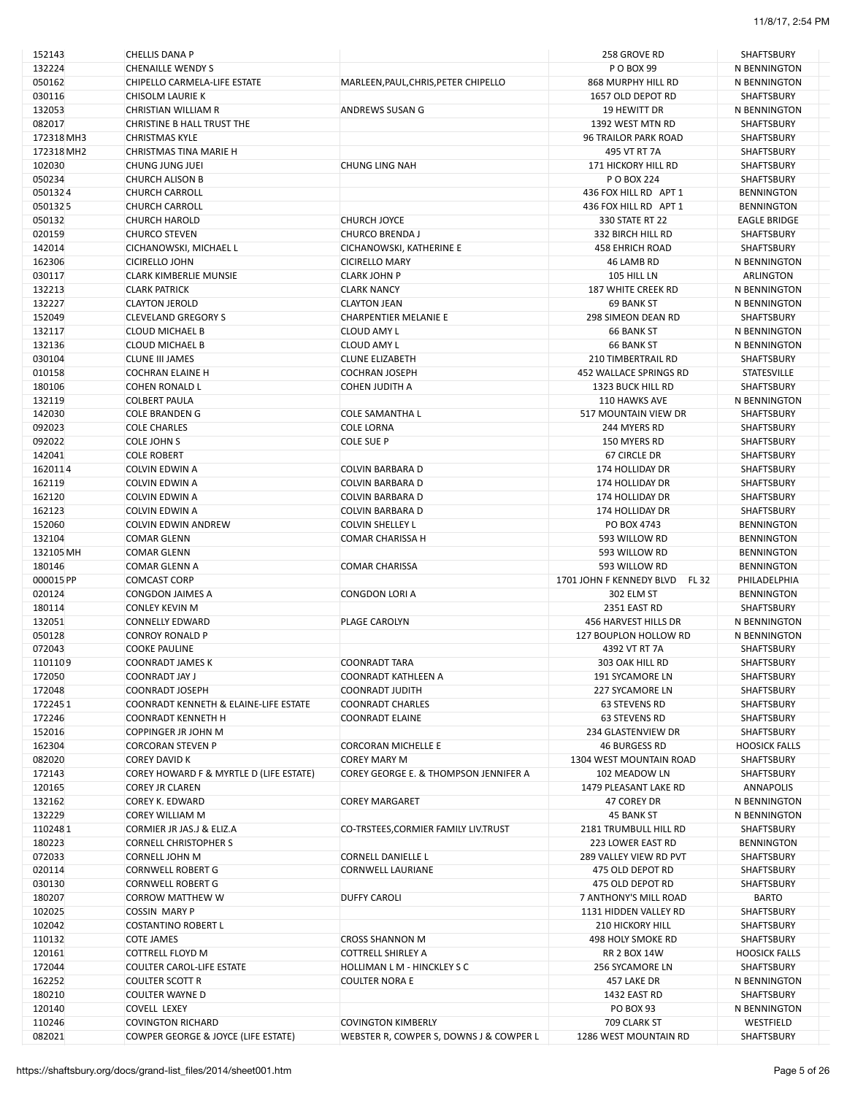| 152143     | <b>CHELLIS DANA P</b>                   |                                         | 258 GROVE RD                      | SHAFTSBURY           |
|------------|-----------------------------------------|-----------------------------------------|-----------------------------------|----------------------|
| 132224     | <b>CHENAILLE WENDY S</b>                |                                         | P O BOX 99                        | N BENNINGTON         |
| 050162     | CHIPELLO CARMELA-LIFE ESTATE            | MARLEEN, PAUL, CHRIS, PETER CHIPELLO    | 868 MURPHY HILL RD                | N BENNINGTON         |
| 030116     | <b>CHISOLM LAURIE K</b>                 |                                         | 1657 OLD DEPOT RD                 | SHAFTSBURY           |
| 132053     | CHRISTIAN WILLIAM R                     | ANDREWS SUSAN G                         | 19 HEWITT DR                      | N BENNINGTON         |
| 082017     | CHRISTINE B HALL TRUST THE              |                                         | 1392 WEST MTN RD                  | SHAFTSBURY           |
| 172318 MH3 | <b>CHRISTMAS KYLE</b>                   |                                         | 96 TRAILOR PARK ROAD              | SHAFTSBURY           |
| 172318 MH2 | CHRISTMAS TINA MARIE H                  |                                         | 495 VT RT 7A                      | SHAFTSBURY           |
| 102030     | CHUNG JUNG JUEI                         | <b>CHUNG LING NAH</b>                   | 171 HICKORY HILL RD               | SHAFTSBURY           |
| 050234     | <b>CHURCH ALISON B</b>                  |                                         | P O BOX 224                       | SHAFTSBURY           |
| 0501324    | <b>CHURCH CARROLL</b>                   |                                         | 436 FOX HILL RD APT 1             | <b>BENNINGTON</b>    |
| 0501325    | <b>CHURCH CARROLL</b>                   |                                         | 436 FOX HILL RD APT 1             | <b>BENNINGTON</b>    |
| 050132     | <b>CHURCH HAROLD</b>                    | <b>CHURCH JOYCE</b>                     | 330 STATE RT 22                   | <b>EAGLE BRIDGE</b>  |
| 020159     | <b>CHURCO STEVEN</b>                    | <b>CHURCO BRENDA J</b>                  | 332 BIRCH HILL RD                 | SHAFTSBURY           |
| 142014     | CICHANOWSKI, MICHAEL L                  | CICHANOWSKI, KATHERINE E                | <b>458 EHRICH ROAD</b>            | SHAFTSBURY           |
| 162306     | <b>CICIRELLO JOHN</b>                   | <b>CICIRELLO MARY</b>                   | 46 LAMB RD                        | N BENNINGTON         |
| 030117     | <b>CLARK KIMBERLIE MUNSIE</b>           | <b>CLARK JOHN P</b>                     | 105 HILL LN                       | <b>ARLINGTON</b>     |
| 132213     | <b>CLARK PATRICK</b>                    | <b>CLARK NANCY</b>                      | <b>187 WHITE CREEK RD</b>         | N BENNINGTON         |
| 132227     | <b>CLAYTON JEROLD</b>                   | <b>CLAYTON JEAN</b>                     | 69 BANK ST                        | N BENNINGTON         |
|            |                                         |                                         |                                   |                      |
| 152049     | <b>CLEVELAND GREGORY S</b>              | <b>CHARPENTIER MELANIE E</b>            | 298 SIMEON DEAN RD                | SHAFTSBURY           |
| 132117     | <b>CLOUD MICHAEL B</b>                  | <b>CLOUD AMY L</b>                      | <b>66 BANK ST</b>                 | N BENNINGTON         |
| 132136     | <b>CLOUD MICHAEL B</b>                  | <b>CLOUD AMY L</b>                      | <b>66 BANK ST</b>                 | N BENNINGTON         |
| 030104     | <b>CLUNE III JAMES</b>                  | <b>CLUNE ELIZABETH</b>                  | 210 TIMBERTRAIL RD                | SHAFTSBURY           |
| 010158     | <b>COCHRAN ELAINE H</b>                 | <b>COCHRAN JOSEPH</b>                   | 452 WALLACE SPRINGS RD            | <b>STATESVILLE</b>   |
| 180106     | <b>COHEN RONALD L</b>                   | <b>COHEN JUDITH A</b>                   | 1323 BUCK HILL RD                 | SHAFTSBURY           |
| 132119     | <b>COLBERT PAULA</b>                    |                                         | 110 HAWKS AVE                     | N BENNINGTON         |
| 142030     | <b>COLE BRANDEN G</b>                   | <b>COLE SAMANTHA L</b>                  | 517 MOUNTAIN VIEW DR              | SHAFTSBURY           |
| 092023     | <b>COLE CHARLES</b>                     | <b>COLE LORNA</b>                       | 244 MYERS RD                      | SHAFTSBURY           |
| 092022     | COLE JOHN S                             | <b>COLE SUE P</b>                       | 150 MYERS RD                      | SHAFTSBURY           |
| 142041     | <b>COLE ROBERT</b>                      |                                         | 67 CIRCLE DR                      | SHAFTSBURY           |
| 1620114    | COLVIN EDWIN A                          | <b>COLVIN BARBARA D</b>                 | 174 HOLLIDAY DR                   | SHAFTSBURY           |
| 162119     | <b>COLVIN EDWIN A</b>                   | <b>COLVIN BARBARA D</b>                 | 174 HOLLIDAY DR                   | SHAFTSBURY           |
| 162120     | COLVIN EDWIN A                          | <b>COLVIN BARBARA D</b>                 | 174 HOLLIDAY DR                   | SHAFTSBURY           |
| 162123     | COLVIN EDWIN A                          | <b>COLVIN BARBARA D</b>                 | 174 HOLLIDAY DR                   | SHAFTSBURY           |
| 152060     | <b>COLVIN EDWIN ANDREW</b>              | <b>COLVIN SHELLEY L</b>                 | PO BOX 4743                       | <b>BENNINGTON</b>    |
| 132104     | <b>COMAR GLENN</b>                      | <b>COMAR CHARISSA H</b>                 | 593 WILLOW RD                     | <b>BENNINGTON</b>    |
| 132105 MH  | <b>COMAR GLENN</b>                      |                                         | 593 WILLOW RD                     |                      |
|            |                                         |                                         |                                   | <b>BENNINGTON</b>    |
| 180146     | <b>COMAR GLENN A</b>                    | <b>COMAR CHARISSA</b>                   | 593 WILLOW RD                     | <b>BENNINGTON</b>    |
| 000015 PP  | <b>COMCAST CORP</b>                     |                                         | 1701 JOHN F KENNEDY BLVD<br>FL 32 | PHILADELPHIA         |
| 020124     | <b>CONGDON JAIMES A</b>                 | CONGDON LORI A                          | 302 ELM ST                        | <b>BENNINGTON</b>    |
| 180114     | <b>CONLEY KEVIN M</b>                   |                                         | 2351 EAST RD                      | SHAFTSBURY           |
| 132051     | <b>CONNELLY EDWARD</b>                  | PLAGE CAROLYN                           | 456 HARVEST HILLS DR              | N BENNINGTON         |
| 050128     | <b>CONROY RONALD P</b>                  |                                         | 127 BOUPLON HOLLOW RD             | N BENNINGTON         |
| 072043     | <b>COOKE PAULINE</b>                    |                                         | 4392 VT RT 7A                     | SHAFTSBURY           |
| 1101109    | <b>COONRADT JAMES K</b>                 | <b>COONRADT TARA</b>                    | 303 OAK HILL RD                   | SHAFTSBURY           |
| 172050     | <b>COONRADT JAY J</b>                   | <b>COONRADT KATHLEEN A</b>              | 191 SYCAMORE LN                   | SHAFTSBURY           |
| 172048     | <b>COONRADT JOSEPH</b>                  | <b>COONRADT JUDITH</b>                  | 227 SYCAMORE LN                   | SHAFTSBURY           |
| 1722451    | COONRADT KENNETH & ELAINE-LIFE ESTATE   | <b>COONRADT CHARLES</b>                 | 63 STEVENS RD                     | SHAFTSBURY           |
| 172246     | <b>COONRADT KENNETH H</b>               | <b>COONRADT ELAINE</b>                  | <b>63 STEVENS RD</b>              | SHAFTSBURY           |
| 152016     | <b>COPPINGER JR JOHN M</b>              |                                         | 234 GLASTENVIEW DR                | SHAFTSBURY           |
| 162304     | <b>CORCORAN STEVEN P</b>                | <b>CORCORAN MICHELLE E</b>              | <b>46 BURGESS RD</b>              | <b>HOOSICK FALLS</b> |
| 082020     | <b>COREY DAVID K</b>                    | <b>COREY MARY M</b>                     | 1304 WEST MOUNTAIN ROAD           | SHAFTSBURY           |
| 172143     | COREY HOWARD F & MYRTLE D (LIFE ESTATE) | COREY GEORGE E. & THOMPSON JENNIFER A   | 102 MEADOW LN                     | SHAFTSBURY           |
| 120165     | <b>COREY JR CLAREN</b>                  |                                         | 1479 PLEASANT LAKE RD             | ANNAPOLIS            |
| 132162     | <b>COREY K. EDWARD</b>                  | <b>COREY MARGARET</b>                   | 47 COREY DR                       | N BENNINGTON         |
| 132229     | <b>COREY WILLIAM M</b>                  |                                         | 45 BANK ST                        | N BENNINGTON         |
|            |                                         |                                         | 2181 TRUMBULL HILL RD             |                      |
| 1102481    | CORMIER JR JAS.J & ELIZ.A               | CO-TRSTEES, CORMIER FAMILY LIV.TRUST    |                                   | SHAFTSBURY           |
| 180223     | <b>CORNELL CHRISTOPHER S</b>            |                                         | 223 LOWER EAST RD                 | BENNINGTON           |
| 072033     | <b>CORNELL JOHN M</b>                   | <b>CORNELL DANIELLE L</b>               | 289 VALLEY VIEW RD PVT            | SHAFTSBURY           |
| 020114     | <b>CORNWELL ROBERT G</b>                | <b>CORNWELL LAURIANE</b>                | 475 OLD DEPOT RD                  | SHAFTSBURY           |
| 030130     | <b>CORNWELL ROBERT G</b>                |                                         | 475 OLD DEPOT RD                  | SHAFTSBURY           |
| 180207     | <b>CORROW MATTHEW W</b>                 | <b>DUFFY CAROLI</b>                     | 7 ANTHONY'S MILL ROAD             | <b>BARTO</b>         |
| 102025     | <b>COSSIN MARY P</b>                    |                                         | 1131 HIDDEN VALLEY RD             | SHAFTSBURY           |
| 102042     | <b>COSTANTINO ROBERT L</b>              |                                         | <b>210 HICKORY HILL</b>           | SHAFTSBURY           |
| 110132     | <b>COTE JAMES</b>                       | <b>CROSS SHANNON M</b>                  | 498 HOLY SMOKE RD                 | SHAFTSBURY           |
| 120161     | COTTRELL FLOYD M                        | <b>COTTRELL SHIRLEY A</b>               | <b>RR 2 BOX 14W</b>               | <b>HOOSICK FALLS</b> |
| 172044     | COULTER CAROL-LIFE ESTATE               | HOLLIMAN L M - HINCKLEY S C             | 256 SYCAMORE LN                   | SHAFTSBURY           |
| 162252     | <b>COULTER SCOTT R</b>                  | <b>COULTER NORA E</b>                   | 457 LAKE DR                       | N BENNINGTON         |
| 180210     | <b>COULTER WAYNE D</b>                  |                                         | 1432 EAST RD                      | SHAFTSBURY           |
| 120140     | <b>COVELL LEXEY</b>                     |                                         | PO BOX 93                         | N BENNINGTON         |
| 110246     | <b>COVINGTON RICHARD</b>                | <b>COVINGTON KIMBERLY</b>               | 709 CLARK ST                      | WESTFIELD            |
| 082021     | COWPER GEORGE & JOYCE (LIFE ESTATE)     | WEBSTER R, COWPER S, DOWNS J & COWPER L | 1286 WEST MOUNTAIN RD             | SHAFTSBURY           |
|            |                                         |                                         |                                   |                      |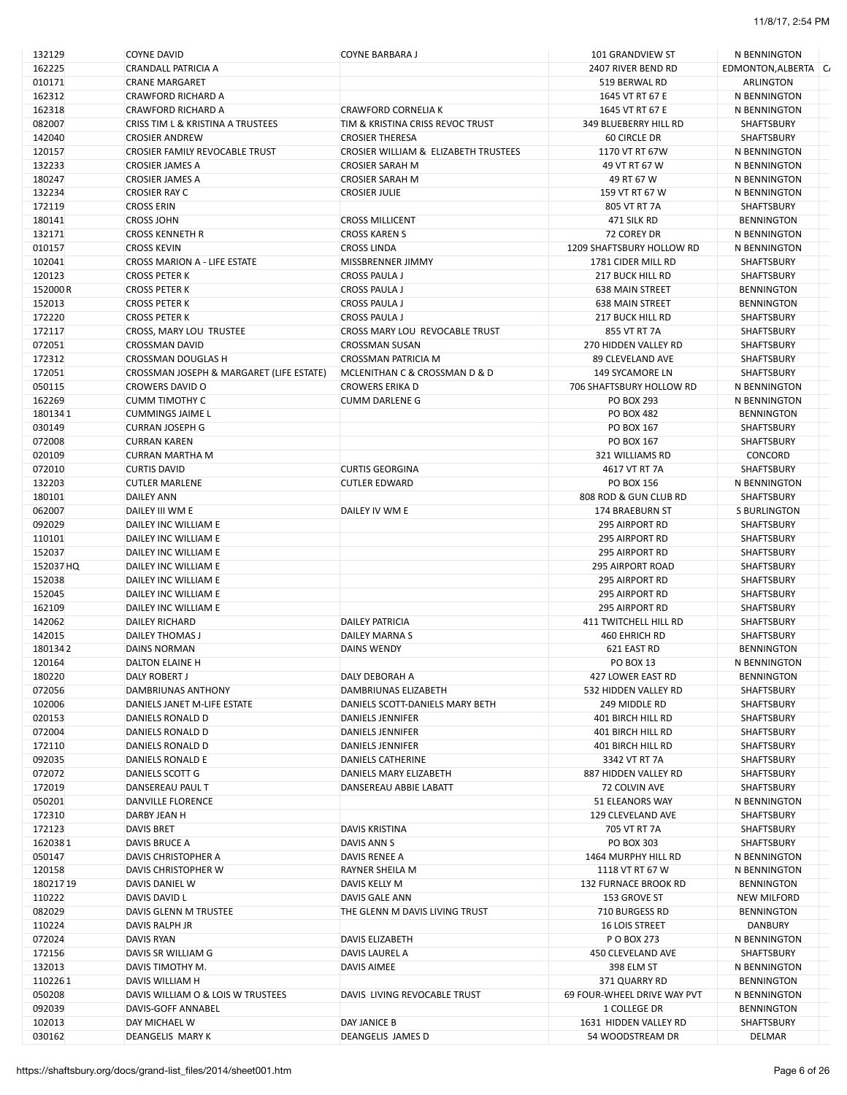| 132129    | <b>COYNE DAVID</b>                       | <b>COYNE BARBARA J</b>                          | 101 GRANDVIEW ST            | N BENNINGTON           |
|-----------|------------------------------------------|-------------------------------------------------|-----------------------------|------------------------|
| 162225    | CRANDALL PATRICIA A                      |                                                 | 2407 RIVER BEND RD          | EDMONTON, ALBERTA   C. |
| 010171    | <b>CRANE MARGARET</b>                    |                                                 | 519 BERWAL RD               | ARLINGTON              |
|           |                                          |                                                 |                             |                        |
| 162312    | <b>CRAWFORD RICHARD A</b>                |                                                 | 1645 VT RT 67 E             | N BENNINGTON           |
| 162318    | <b>CRAWFORD RICHARD A</b>                | <b>CRAWFORD CORNELIA K</b>                      | 1645 VT RT 67 E             | N BENNINGTON           |
| 082007    | CRISS TIM L & KRISTINA A TRUSTEES        | TIM & KRISTINA CRISS REVOC TRUST                | 349 BLUEBERRY HILL RD       | SHAFTSBURY             |
| 142040    | <b>CROSIER ANDREW</b>                    | <b>CROSIER THERESA</b>                          | 60 CIRCLE DR                | SHAFTSBURY             |
| 120157    | <b>CROSIER FAMILY REVOCABLE TRUST</b>    | <b>CROSIER WILLIAM &amp; ELIZABETH TRUSTEES</b> | 1170 VT RT 67W              | N BENNINGTON           |
|           |                                          |                                                 |                             |                        |
| 132233    | <b>CROSIER JAMES A</b>                   | <b>CROSIER SARAH M</b>                          | 49 VT RT 67 W               | N BENNINGTON           |
| 180247    | <b>CROSIER JAMES A</b>                   | <b>CROSIER SARAH M</b>                          | 49 RT 67 W                  | N BENNINGTON           |
| 132234    | <b>CROSIER RAY C</b>                     | <b>CROSIER JULIE</b>                            | 159 VT RT 67 W              | N BENNINGTON           |
| 172119    | <b>CROSS ERIN</b>                        |                                                 | 805 VT RT 7A                | <b>SHAFTSBURY</b>      |
|           |                                          |                                                 |                             |                        |
| 180141    | <b>CROSS JOHN</b>                        | <b>CROSS MILLICENT</b>                          | 471 SILK RD                 | <b>BENNINGTON</b>      |
| 132171    | <b>CROSS KENNETH R</b>                   | <b>CROSS KAREN S</b>                            | 72 COREY DR                 | N BENNINGTON           |
| 010157    | <b>CROSS KEVIN</b>                       | <b>CROSS LINDA</b>                              | 1209 SHAFTSBURY HOLLOW RD   | N BENNINGTON           |
| 102041    | <b>CROSS MARION A - LIFE ESTATE</b>      | MISSBRENNER JIMMY                               | 1781 CIDER MILL RD          | SHAFTSBURY             |
|           |                                          |                                                 |                             |                        |
| 120123    | <b>CROSS PETER K</b>                     | <b>CROSS PAULA J</b>                            | <b>217 BUCK HILL RD</b>     | SHAFTSBURY             |
| 152000R   | <b>CROSS PETER K</b>                     | <b>CROSS PAULA J</b>                            | <b>638 MAIN STREET</b>      | <b>BENNINGTON</b>      |
| 152013    | <b>CROSS PETER K</b>                     | <b>CROSS PAULA J</b>                            | <b>638 MAIN STREET</b>      | <b>BENNINGTON</b>      |
| 172220    | <b>CROSS PETER K</b>                     | <b>CROSS PAULA J</b>                            | <b>217 BUCK HILL RD</b>     | <b>SHAFTSBURY</b>      |
|           |                                          |                                                 |                             |                        |
| 172117    | CROSS, MARY LOU TRUSTEE                  | <b>CROSS MARY LOU REVOCABLE TRUST</b>           | 855 VT RT 7A                | SHAFTSBURY             |
| 072051    | <b>CROSSMAN DAVID</b>                    | <b>CROSSMAN SUSAN</b>                           | <b>270 HIDDEN VALLEY RD</b> | SHAFTSBURY             |
| 172312    | <b>CROSSMAN DOUGLAS H</b>                | <b>CROSSMAN PATRICIA M</b>                      | 89 CLEVELAND AVE            | SHAFTSBURY             |
| 172051    | CROSSMAN JOSEPH & MARGARET (LIFE ESTATE) | MCLENITHAN C & CROSSMAN D & D                   | 149 SYCAMORE LN             | SHAFTSBURY             |
|           |                                          |                                                 |                             |                        |
| 050115    | <b>CROWERS DAVID O</b>                   | <b>CROWERS ERIKA D</b>                          | 706 SHAFTSBURY HOLLOW RD    | N BENNINGTON           |
| 162269    | <b>CUMM TIMOTHY C</b>                    | <b>CUMM DARLENE G</b>                           | <b>PO BOX 293</b>           | N BENNINGTON           |
| 1801341   | <b>CUMMINGS JAIME L</b>                  |                                                 | <b>PO BOX 482</b>           | <b>BENNINGTON</b>      |
| 030149    | <b>CURRAN JOSEPH G</b>                   |                                                 | PO BOX 167                  | SHAFTSBURY             |
|           |                                          |                                                 |                             |                        |
| 072008    | <b>CURRAN KAREN</b>                      |                                                 | PO BOX 167                  | SHAFTSBURY             |
| 020109    | <b>CURRAN MARTHA M</b>                   |                                                 | 321 WILLIAMS RD             | CONCORD                |
| 072010    | <b>CURTIS DAVID</b>                      | <b>CURTIS GEORGINA</b>                          | 4617 VT RT 7A               | SHAFTSBURY             |
| 132203    | <b>CUTLER MARLENE</b>                    | <b>CUTLER EDWARD</b>                            | PO BOX 156                  | N BENNINGTON           |
|           |                                          |                                                 |                             |                        |
| 180101    | <b>DAILEY ANN</b>                        |                                                 | 808 ROD & GUN CLUB RD       | SHAFTSBURY             |
| 062007    | DAILEY III WM E                          | DAILEY IV WM E                                  | 174 BRAEBURN ST             | <b>S BURLINGTON</b>    |
| 092029    | DAILEY INC WILLIAM E                     |                                                 | <b>295 AIRPORT RD</b>       | SHAFTSBURY             |
| 110101    | DAILEY INC WILLIAM E                     |                                                 | 295 AIRPORT RD              | SHAFTSBURY             |
|           |                                          |                                                 |                             |                        |
| 152037    | DAILEY INC WILLIAM E                     |                                                 | 295 AIRPORT RD              | SHAFTSBURY             |
| 152037 HQ | DAILEY INC WILLIAM E                     |                                                 | <b>295 AIRPORT ROAD</b>     | SHAFTSBURY             |
| 152038    | DAILEY INC WILLIAM E                     |                                                 | 295 AIRPORT RD              | SHAFTSBURY             |
| 152045    | DAILEY INC WILLIAM E                     |                                                 | <b>295 AIRPORT RD</b>       | SHAFTSBURY             |
|           |                                          |                                                 |                             |                        |
| 162109    | DAILEY INC WILLIAM E                     |                                                 | 295 AIRPORT RD              | <b>SHAFTSBURY</b>      |
| 142062    | <b>DAILEY RICHARD</b>                    | <b>DAILEY PATRICIA</b>                          | 411 TWITCHELL HILL RD       | SHAFTSBURY             |
| 142015    | DAILEY THOMAS J                          | DAILEY MARNA S                                  | 460 EHRICH RD               | SHAFTSBURY             |
| 1801342   | DAINS NORMAN                             | <b>DAINS WENDY</b>                              | 621 EAST RD                 | <b>BENNINGTON</b>      |
|           |                                          |                                                 |                             |                        |
| 120164    | DALTON ELAINE H                          |                                                 | <b>PO BOX 13</b>            | N BENNINGTON           |
| 180220    | DALY ROBERT J                            | DALY DEBORAH A                                  | 427 LOWER EAST RD           | <b>BENNINGTON</b>      |
| 072056    | <b>DAMBRIUNAS ANTHONY</b>                | <b>DAMBRIUNAS ELIZABETH</b>                     | 532 HIDDEN VALLEY RD        | SHAFTSBURY             |
| 102006    | DANIELS JANET M-LIFE ESTATE              | DANIELS SCOTT-DANIELS MARY BETH                 | 249 MIDDLE RD               | SHAFTSBURY             |
|           |                                          |                                                 |                             |                        |
| 020153    | DANIELS RONALD D                         | <b>DANIELS JENNIFER</b>                         | 401 BIRCH HILL RD           | SHAFTSBURY             |
| 072004    | DANIELS RONALD D                         | <b>DANIELS JENNIFER</b>                         | 401 BIRCH HILL RD           | SHAFTSBURY             |
| 172110    | DANIELS RONALD D                         | <b>DANIELS JENNIFER</b>                         | 401 BIRCH HILL RD           | SHAFTSBURY             |
| 092035    | DANIELS RONALD E                         | DANIELS CATHERINE                               | 3342 VT RT 7A               | SHAFTSBURY             |
|           |                                          |                                                 |                             |                        |
| 072072    | DANIELS SCOTT G                          | <b>DANIELS MARY ELIZABETH</b>                   | 887 HIDDEN VALLEY RD        | <b>SHAFTSBURY</b>      |
| 172019    | DANSEREAU PAUL T                         | DANSEREAU ABBIE LABATT                          | 72 COLVIN AVE               | SHAFTSBURY             |
| 050201    | DANVILLE FLORENCE                        |                                                 | 51 ELEANORS WAY             | N BENNINGTON           |
| 172310    | DARBY JEAN H                             |                                                 | 129 CLEVELAND AVE           | SHAFTSBURY             |
|           |                                          |                                                 |                             |                        |
| 172123    | <b>DAVIS BRET</b>                        | <b>DAVIS KRISTINA</b>                           | 705 VT RT 7A                | SHAFTSBURY             |
| 1620381   | DAVIS BRUCE A                            | DAVIS ANN S                                     | PO BOX 303                  | SHAFTSBURY             |
| 050147    | DAVIS CHRISTOPHER A                      | DAVIS RENEE A                                   | 1464 MURPHY HILL RD         | N BENNINGTON           |
| 120158    | DAVIS CHRISTOPHER W                      | RAYNER SHEILA M                                 | 1118 VT RT 67 W             | N BENNINGTON           |
|           |                                          |                                                 |                             |                        |
| 18021719  | DAVIS DANIEL W                           | DAVIS KELLY M                                   | <b>132 FURNACE BROOK RD</b> | <b>BENNINGTON</b>      |
| 110222    | DAVIS DAVID L                            | DAVIS GALE ANN                                  | 153 GROVE ST                | <b>NEW MILFORD</b>     |
| 082029    | DAVIS GLENN M TRUSTEE                    | THE GLENN M DAVIS LIVING TRUST                  | 710 BURGESS RD              | <b>BENNINGTON</b>      |
| 110224    | DAVIS RALPH JR                           |                                                 | <b>16 LOIS STREET</b>       | <b>DANBURY</b>         |
|           |                                          |                                                 |                             |                        |
| 072024    | <b>DAVIS RYAN</b>                        | <b>DAVIS ELIZABETH</b>                          | P O BOX 273                 | N BENNINGTON           |
| 172156    | DAVIS SR WILLIAM G                       | DAVIS LAUREL A                                  | 450 CLEVELAND AVE           | SHAFTSBURY             |
| 132013    | DAVIS TIMOTHY M.                         | DAVIS AIMEE                                     | 398 ELM ST                  | N BENNINGTON           |
|           |                                          |                                                 |                             |                        |
| 1102261   | DAVIS WILLIAM H                          |                                                 | 371 QUARRY RD               | <b>BENNINGTON</b>      |
| 050208    | DAVIS WILLIAM O & LOIS W TRUSTEES        | DAVIS LIVING REVOCABLE TRUST                    | 69 FOUR-WHEEL DRIVE WAY PVT | N BENNINGTON           |
| 092039    | DAVIS-GOFF ANNABEL                       |                                                 | 1 COLLEGE DR                | <b>BENNINGTON</b>      |
| 102013    | DAY MICHAEL W                            | DAY JANICE B                                    | 1631 HIDDEN VALLEY RD       | SHAFTSBURY             |
|           |                                          |                                                 |                             |                        |
| 030162    | DEANGELIS MARY K                         | <b>DEANGELIS JAMES D</b>                        | 54 WOODSTREAM DR            | DELMAR                 |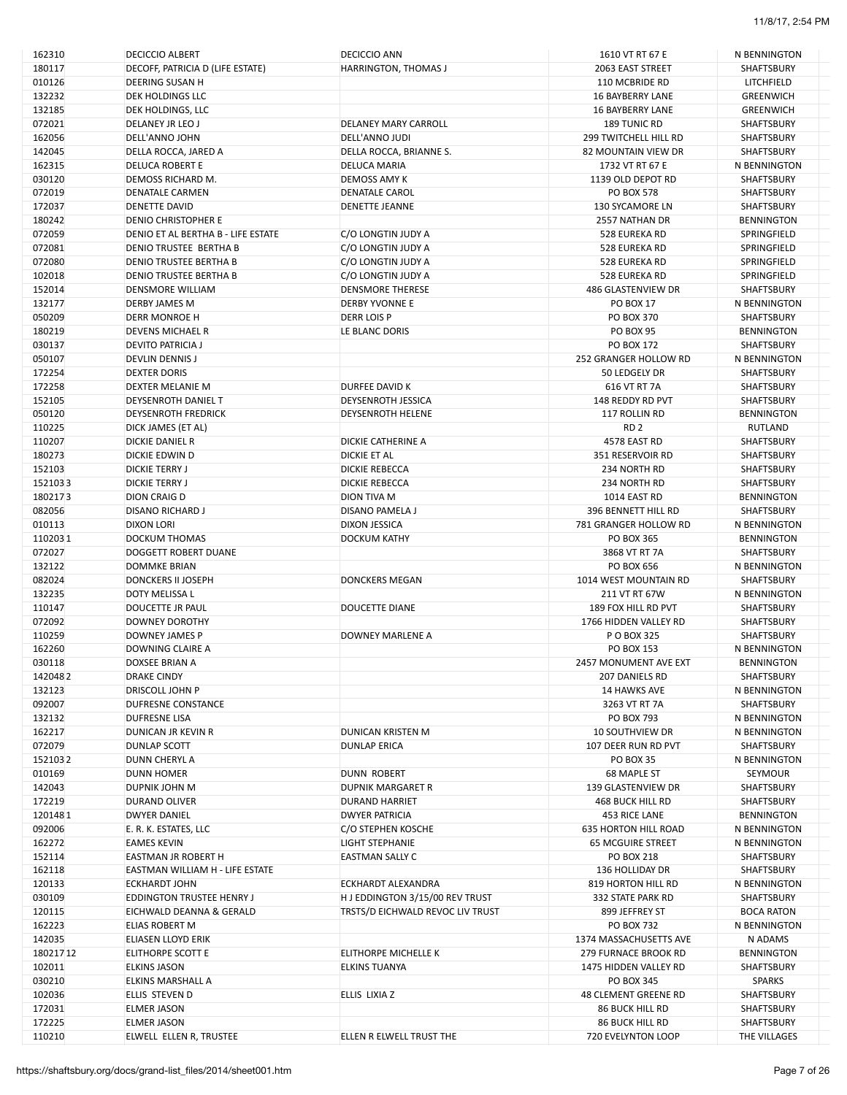| 162310   | <b>DECICCIO ALBERT</b>             | <b>DECICCIO ANN</b>              | 1610 VT RT 67 E              | N BENNINGTON      |
|----------|------------------------------------|----------------------------------|------------------------------|-------------------|
| 180117   | DECOFF, PATRICIA D (LIFE ESTATE)   | <b>HARRINGTON, THOMAS J</b>      | 2063 EAST STREET             | SHAFTSBURY        |
| 010126   | DEERING SUSAN H                    |                                  | 110 MCBRIDE RD               | LITCHFIELD        |
|          |                                    |                                  |                              |                   |
| 132232   | DEK HOLDINGS LLC                   |                                  | <b>16 BAYBERRY LANE</b>      | <b>GREENWICH</b>  |
| 132185   | DEK HOLDINGS, LLC                  |                                  | <b>16 BAYBERRY LANE</b>      | <b>GREENWICH</b>  |
| 072021   | DELANEY JR LEO J                   | <b>DELANEY MARY CARROLL</b>      | 189 TUNIC RD                 | SHAFTSBURY        |
| 162056   | DELL'ANNO JOHN                     | DELL'ANNO JUDI                   | <b>299 TWITCHELL HILL RD</b> | SHAFTSBURY        |
| 142045   | DELLA ROCCA, JARED A               | DELLA ROCCA, BRIANNE S.          | 82 MOUNTAIN VIEW DR          | SHAFTSBURY        |
|          |                                    |                                  |                              |                   |
| 162315   | DELUCA ROBERT E                    | <b>DELUCA MARIA</b>              | 1732 VT RT 67 E              | N BENNINGTON      |
| 030120   | DEMOSS RICHARD M.                  | DEMOSS AMY K                     | 1139 OLD DEPOT RD            | SHAFTSBURY        |
| 072019   | DENATALE CARMEN                    | <b>DENATALE CAROL</b>            | <b>PO BOX 578</b>            | SHAFTSBURY        |
| 172037   | <b>DENETTE DAVID</b>               | <b>DENETTE JEANNE</b>            | 130 SYCAMORE LN              | SHAFTSBURY        |
| 180242   | <b>DENIO CHRISTOPHER E</b>         |                                  | 2557 NATHAN DR               | <b>BENNINGTON</b> |
|          |                                    |                                  |                              |                   |
| 072059   | DENIO ET AL BERTHA B - LIFE ESTATE | C/O LONGTIN JUDY A               | 528 EUREKA RD                | SPRINGFIELD       |
| 072081   | DENIO TRUSTEE BERTHA B             | C/O LONGTIN JUDY A               | 528 EUREKA RD                | SPRINGFIELD       |
| 072080   | DENIO TRUSTEE BERTHA B             | C/O LONGTIN JUDY A               | 528 EUREKA RD                | SPRINGFIELD       |
| 102018   | <b>DENIO TRUSTEE BERTHA B</b>      | C/O LONGTIN JUDY A               | 528 EUREKA RD                | SPRINGFIELD       |
| 152014   | DENSMORE WILLIAM                   | <b>DENSMORE THERESE</b>          | 486 GLASTENVIEW DR           | SHAFTSBURY        |
|          |                                    |                                  |                              |                   |
| 132177   | DERBY JAMES M                      | <b>DERBY YVONNE E</b>            | <b>PO BOX 17</b>             | N BENNINGTON      |
| 050209   | <b>DERR MONROE H</b>               | <b>DERR LOIS P</b>               | <b>PO BOX 370</b>            | <b>SHAFTSBURY</b> |
| 180219   | <b>DEVENS MICHAEL R</b>            | LE BLANC DORIS                   | <b>PO BOX 95</b>             | <b>BENNINGTON</b> |
| 030137   | DEVITO PATRICIA J                  |                                  | PO BOX 172                   | SHAFTSBURY        |
|          |                                    |                                  |                              |                   |
| 050107   | <b>DEVLIN DENNIS J</b>             |                                  | 252 GRANGER HOLLOW RD        | N BENNINGTON      |
| 172254   | <b>DEXTER DORIS</b>                |                                  | 50 LEDGELY DR                | SHAFTSBURY        |
| 172258   | DEXTER MELANIE M                   | DURFEE DAVID K                   | 616 VT RT 7A                 | SHAFTSBURY        |
| 152105   | DEYSENROTH DANIEL T                | <b>DEYSENROTH JESSICA</b>        | 148 REDDY RD PVT             | SHAFTSBURY        |
| 050120   | <b>DEYSENROTH FREDRICK</b>         | <b>DEYSENROTH HELENE</b>         | 117 ROLLIN RD                |                   |
|          |                                    |                                  |                              | <b>BENNINGTON</b> |
| 110225   | DICK JAMES (ET AL)                 |                                  | RD <sub>2</sub>              | <b>RUTLAND</b>    |
| 110207   | <b>DICKIE DANIEL R</b>             | <b>DICKIE CATHERINE A</b>        | 4578 EAST RD                 | SHAFTSBURY        |
| 180273   | DICKIE EDWIN D                     | <b>DICKIE ET AL</b>              | 351 RESERVOIR RD             | SHAFTSBURY        |
|          |                                    |                                  |                              |                   |
| 152103   | DICKIE TERRY J                     | <b>DICKIE REBECCA</b>            | 234 NORTH RD                 | SHAFTSBURY        |
| 1521033  | <b>DICKIE TERRY J</b>              | <b>DICKIE REBECCA</b>            | 234 NORTH RD                 | SHAFTSBURY        |
| 1802173  | DION CRAIG D                       | <b>DION TIVA M</b>               | 1014 EAST RD                 | <b>BENNINGTON</b> |
| 082056   | <b>DISANO RICHARD J</b>            | DISANO PAMELA J                  | 396 BENNETT HILL RD          | SHAFTSBURY        |
| 010113   | <b>DIXON LORI</b>                  | <b>DIXON JESSICA</b>             | 781 GRANGER HOLLOW RD        | N BENNINGTON      |
|          |                                    |                                  |                              |                   |
| 1102031  | <b>DOCKUM THOMAS</b>               | <b>DOCKUM KATHY</b>              | PO BOX 365                   | <b>BENNINGTON</b> |
| 072027   | DOGGETT ROBERT DUANE               |                                  | 3868 VT RT 7A                | SHAFTSBURY        |
| 132122   | <b>DOMMKE BRIAN</b>                |                                  | PO BOX 656                   | N BENNINGTON      |
| 082024   | <b>DONCKERS II JOSEPH</b>          | <b>DONCKERS MEGAN</b>            | 1014 WEST MOUNTAIN RD        | SHAFTSBURY        |
| 132235   | DOTY MELISSA L                     |                                  | 211 VT RT 67W                | N BENNINGTON      |
|          |                                    |                                  |                              |                   |
| 110147   | DOUCETTE JR PAUL                   | <b>DOUCETTE DIANE</b>            | 189 FOX HILL RD PVT          | SHAFTSBURY        |
| 072092   | <b>DOWNEY DOROTHY</b>              |                                  | 1766 HIDDEN VALLEY RD        | SHAFTSBURY        |
| 110259   | DOWNEY JAMES P                     | DOWNEY MARLENE A                 | P O BOX 325                  | SHAFTSBURY        |
| 162260   | DOWNING CLAIRE A                   |                                  | PO BOX 153                   | N BENNINGTON      |
| 030118   | DOXSEE BRIAN A                     |                                  | 2457 MONUMENT AVE EXT        | <b>BENNINGTON</b> |
|          |                                    |                                  |                              |                   |
| 1420482  | <b>DRAKE CINDY</b>                 |                                  | 207 DANIELS RD               | SHAFTSBURY        |
| 132123   | DRISCOLL JOHN P                    |                                  | <b>14 HAWKS AVE</b>          | N BENNINGTON      |
| 092007   | DUFRESNE CONSTANCE                 |                                  | 3263 VT RT 7A                | SHAFTSBURY        |
| 132132   | <b>DUFRESNE LISA</b>               |                                  | PO BOX 793                   | N BENNINGTON      |
|          |                                    |                                  |                              |                   |
| 162217   | <b>DUNICAN JR KEVIN R</b>          | DUNICAN KRISTEN M                | <b>10 SOUTHVIEW DR</b>       | N BENNINGTON      |
| 072079   | <b>DUNLAP SCOTT</b>                | <b>DUNLAP ERICA</b>              | 107 DEER RUN RD PVT          | SHAFTSBURY        |
| 1521032  | DUNN CHERYL A                      |                                  | <b>PO BOX 35</b>             | N BENNINGTON      |
| 010169   | <b>DUNN HOMER</b>                  | <b>DUNN ROBERT</b>               | 68 MAPLE ST                  | SEYMOUR           |
| 142043   | DUPNIK JOHN M                      | <b>DUPNIK MARGARET R</b>         | 139 GLASTENVIEW DR           | <b>SHAFTSBURY</b> |
|          |                                    |                                  |                              |                   |
| 172219   | DURAND OLIVER                      | <b>DURAND HARRIET</b>            | <b>468 BUCK HILL RD</b>      | SHAFTSBURY        |
| 1201481  | <b>DWYER DANIEL</b>                | <b>DWYER PATRICIA</b>            | 453 RICE LANE                | <b>BENNINGTON</b> |
| 092006   | E. R. K. ESTATES, LLC              | C/O STEPHEN KOSCHE               | <b>635 HORTON HILL ROAD</b>  | N BENNINGTON      |
| 162272   | <b>EAMES KEVIN</b>                 | <b>LIGHT STEPHANIE</b>           | <b>65 MCGUIRE STREET</b>     | N BENNINGTON      |
| 152114   | EASTMAN JR ROBERT H                | <b>EASTMAN SALLY C</b>           | <b>PO BOX 218</b>            | SHAFTSBURY        |
|          |                                    |                                  |                              |                   |
| 162118   | EASTMAN WILLIAM H - LIFE ESTATE    |                                  | 136 HOLLIDAY DR              | SHAFTSBURY        |
| 120133   | <b>ECKHARDT JOHN</b>               | ECKHARDT ALEXANDRA               | 819 HORTON HILL RD           | N BENNINGTON      |
| 030109   | <b>EDDINGTON TRUSTEE HENRY J</b>   | H J EDDINGTON 3/15/00 REV TRUST  | 332 STATE PARK RD            | SHAFTSBURY        |
| 120115   | EICHWALD DEANNA & GERALD           | TRSTS/D EICHWALD REVOC LIV TRUST | 899 JEFFREY ST               | <b>BOCA RATON</b> |
| 162223   | ELIAS ROBERT M                     |                                  | PO BOX 732                   | N BENNINGTON      |
|          |                                    |                                  |                              |                   |
| 142035   | ELIASEN LLOYD ERIK                 |                                  | 1374 MASSACHUSETTS AVE       | N ADAMS           |
| 18021712 | ELITHORPE SCOTT E                  | ELITHORPE MICHELLE K             | <b>279 FURNACE BROOK RD</b>  | BENNINGTON        |
| 102011   | <b>ELKINS JASON</b>                | <b>ELKINS TUANYA</b>             | 1475 HIDDEN VALLEY RD        | SHAFTSBURY        |
| 030210   | ELKINS MARSHALL A                  |                                  | <b>PO BOX 345</b>            | <b>SPARKS</b>     |
| 102036   | ELLIS STEVEN D                     |                                  | 48 CLEMENT GREENE RD         | SHAFTSBURY        |
|          |                                    | ELLIS LIXIA Z                    |                              |                   |
| 172031   | <b>ELMER JASON</b>                 |                                  | <b>86 BUCK HILL RD</b>       | SHAFTSBURY        |
| 172225   | ELMER JASON                        |                                  | <b>86 BUCK HILL RD</b>       | SHAFTSBURY        |
| 110210   | ELWELL ELLEN R, TRUSTEE            | ELLEN R ELWELL TRUST THE         | 720 EVELYNTON LOOP           | THE VILLAGES      |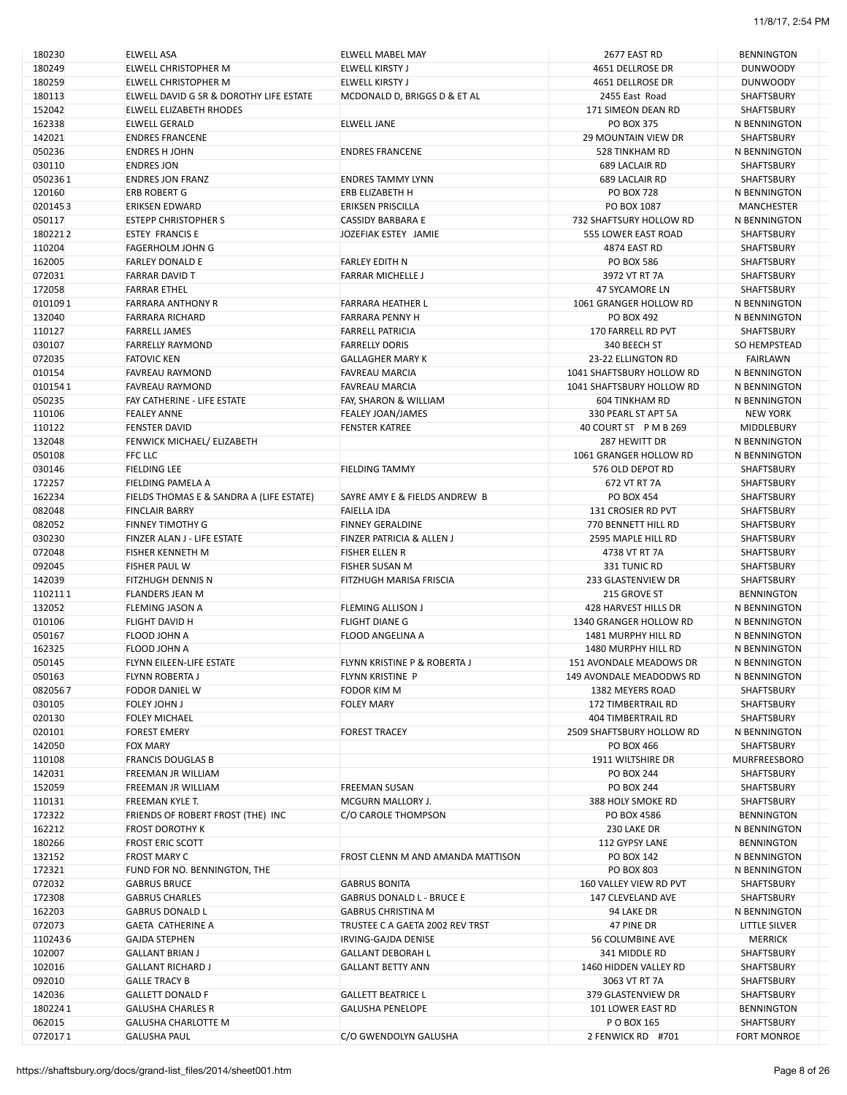| 180230  | <b>ELWELL ASA</b>                        | ELWELL MABEL MAY                  | 2677 EAST RD                | <b>BENNINGTON</b>   |
|---------|------------------------------------------|-----------------------------------|-----------------------------|---------------------|
| 180249  | ELWELL CHRISTOPHER M                     | ELWELL KIRSTY J                   | 4651 DELLROSE DR            | <b>DUNWOODY</b>     |
| 180259  | <b>ELWELL CHRISTOPHER M</b>              | <b>ELWELL KIRSTY J</b>            | 4651 DELLROSE DR            | <b>DUNWOODY</b>     |
| 180113  | ELWELL DAVID G SR & DOROTHY LIFE ESTATE  | MCDONALD D, BRIGGS D & ET AL      | 2455 East Road              | SHAFTSBURY          |
|         |                                          |                                   |                             |                     |
| 152042  | ELWELL ELIZABETH RHODES                  |                                   | 171 SIMEON DEAN RD          | SHAFTSBURY          |
| 162338  | <b>ELWELL GERALD</b>                     | <b>ELWELL JANE</b>                | PO BOX 375                  | N BENNINGTON        |
| 142021  | <b>ENDRES FRANCENE</b>                   |                                   | <b>29 MOUNTAIN VIEW DR</b>  | SHAFTSBURY          |
| 050236  | <b>ENDRES H JOHN</b>                     | <b>ENDRES FRANCENE</b>            | 528 TINKHAM RD              | N BENNINGTON        |
| 030110  | <b>ENDRES JON</b>                        |                                   | <b>689 LACLAIR RD</b>       | SHAFTSBURY          |
|         |                                          |                                   |                             |                     |
| 0502361 | <b>ENDRES JON FRANZ</b>                  | <b>ENDRES TAMMY LYNN</b>          | 689 LACLAIR RD              | SHAFTSBURY          |
| 120160  | <b>ERB ROBERT G</b>                      | <b>ERB ELIZABETH H</b>            | <b>PO BOX 728</b>           | N BENNINGTON        |
| 0201453 | <b>ERIKSEN EDWARD</b>                    | ERIKSEN PRISCILLA                 | PO BOX 1087                 | <b>MANCHESTER</b>   |
| 050117  | <b>ESTEPP CHRISTOPHER S</b>              | <b>CASSIDY BARBARA E</b>          | 732 SHAFTSURY HOLLOW RD     | N BENNINGTON        |
|         |                                          | JOZEFIAK ESTEY JAMIE              |                             |                     |
| 1802212 | <b>ESTEY FRANCIS E</b>                   |                                   | 555 LOWER EAST ROAD         | SHAFTSBURY          |
| 110204  | <b>FAGERHOLM JOHN G</b>                  |                                   | 4874 EAST RD                | SHAFTSBURY          |
| 162005  | <b>FARLEY DONALD E</b>                   | <b>FARLEY EDITH N</b>             | PO BOX 586                  | SHAFTSBURY          |
| 072031  | <b>FARRAR DAVID T</b>                    | FARRAR MICHELLE J                 | 3972 VT RT 7A               | SHAFTSBURY          |
| 172058  | <b>FARRAR ETHEL</b>                      |                                   | 47 SYCAMORE LN              | SHAFTSBURY          |
|         |                                          |                                   |                             |                     |
| 0101091 | <b>FARRARA ANTHONY R</b>                 | FARRARA HEATHER L                 | 1061 GRANGER HOLLOW RD      | N BENNINGTON        |
| 132040  | <b>FARRARA RICHARD</b>                   | <b>FARRARA PENNY H</b>            | PO BOX 492                  | N BENNINGTON        |
| 110127  | <b>FARRELL JAMES</b>                     | <b>FARRELL PATRICIA</b>           | 170 FARRELL RD PVT          | SHAFTSBURY          |
| 030107  | <b>FARRELLY RAYMOND</b>                  | <b>FARRELLY DORIS</b>             | 340 BEECH ST                | SO HEMPSTEAD        |
| 072035  | <b>FATOVIC KEN</b>                       | <b>GALLAGHER MARY K</b>           | 23-22 ELLINGTON RD          | <b>FAIRLAWN</b>     |
|         |                                          |                                   |                             |                     |
| 010154  | <b>FAVREAU RAYMOND</b>                   | <b>FAVREAU MARCIA</b>             | 1041 SHAFTSBURY HOLLOW RD   | N BENNINGTON        |
| 0101541 | <b>FAVREAU RAYMOND</b>                   | <b>FAVREAU MARCIA</b>             | 1041 SHAFTSBURY HOLLOW RD   | N BENNINGTON        |
| 050235  | FAY CATHERINE - LIFE ESTATE              | FAY, SHARON & WILLIAM             | 604 TINKHAM RD              | N BENNINGTON        |
| 110106  | <b>FEALEY ANNE</b>                       | <b>FEALEY JOAN/JAMES</b>          | 330 PEARL ST APT 5A         | <b>NEW YORK</b>     |
|         |                                          |                                   |                             |                     |
| 110122  | <b>FENSTER DAVID</b>                     | <b>FENSTER KATREE</b>             | 40 COURT ST P M B 269       | MIDDLEBURY          |
| 132048  | FENWICK MICHAEL/ ELIZABETH               |                                   | 287 HEWITT DR               | N BENNINGTON        |
| 050108  | <b>FFC LLC</b>                           |                                   | 1061 GRANGER HOLLOW RD      | N BENNINGTON        |
| 030146  | <b>FIELDING LEE</b>                      | <b>FIELDING TAMMY</b>             | 576 OLD DEPOT RD            | SHAFTSBURY          |
| 172257  | FIELDING PAMELA A                        |                                   | 672 VT RT 7A                | SHAFTSBURY          |
|         |                                          |                                   |                             |                     |
| 162234  | FIELDS THOMAS E & SANDRA A (LIFE ESTATE) | SAYRE AMY E & FIELDS ANDREW B     | PO BOX 454                  | SHAFTSBURY          |
| 082048  | <b>FINCLAIR BARRY</b>                    | <b>FAIELLA IDA</b>                | 131 CROSIER RD PVT          | SHAFTSBURY          |
| 082052  | <b>FINNEY TIMOTHY G</b>                  | <b>FINNEY GERALDINE</b>           | 770 BENNETT HILL RD         | SHAFTSBURY          |
| 030230  | FINZER ALAN J - LIFE ESTATE              | FINZER PATRICIA & ALLEN J         | 2595 MAPLE HILL RD          | SHAFTSBURY          |
|         |                                          |                                   |                             |                     |
| 072048  | <b>FISHER KENNETH M</b>                  | <b>FISHER ELLEN R</b>             | 4738 VT RT 7A               | SHAFTSBURY          |
| 092045  | <b>FISHER PAUL W</b>                     | FISHER SUSAN M                    | 331 TUNIC RD                | SHAFTSBURY          |
| 142039  | FITZHUGH DENNIS N                        | FITZHUGH MARISA FRISCIA           | 233 GLASTENVIEW DR          | SHAFTSBURY          |
| 1102111 | <b>FLANDERS JEAN M</b>                   |                                   | 215 GROVE ST                | <b>BENNINGTON</b>   |
| 132052  | <b>FLEMING JASON A</b>                   | FLEMING ALLISON J                 | <b>428 HARVEST HILLS DR</b> | N BENNINGTON        |
|         |                                          |                                   |                             |                     |
| 010106  | <b>FLIGHT DAVID H</b>                    | <b>FLIGHT DIANE G</b>             | 1340 GRANGER HOLLOW RD      | N BENNINGTON        |
| 050167  | FLOOD JOHN A                             | FLOOD ANGELINA A                  | 1481 MURPHY HILL RD         | N BENNINGTON        |
| 162325  | FLOOD JOHN A                             |                                   | 1480 MURPHY HILL RD         | N BENNINGTON        |
| 050145  | FLYNN EILEEN-LIFE ESTATE                 | FLYNN KRISTINE P & ROBERTA J      | 151 AVONDALE MEADOWS DR     | N BENNINGTON        |
|         |                                          |                                   |                             |                     |
| 050163  | FLYNN ROBERTA J                          | FLYNN KRISTINE P                  | 149 AVONDALE MEADODWS RD    | N BENNINGTON        |
| 0820567 | <b>FODOR DANIEL W</b>                    | FODOR KIM M                       | 1382 MEYERS ROAD            | SHAFTSBURY          |
| 030105  | <b>FOLEY JOHN J</b>                      | <b>FOLEY MARY</b>                 | <b>172 TIMBERTRAIL RD</b>   | SHAFTSBURY          |
| 020130  | <b>FOLEY MICHAEL</b>                     |                                   | 404 TIMBERTRAIL RD          | SHAFTSBURY          |
| 020101  | <b>FOREST EMERY</b>                      | <b>FOREST TRACEY</b>              | 2509 SHAFTSBURY HOLLOW RD   | N BENNINGTON        |
|         |                                          |                                   |                             |                     |
| 142050  | <b>FOX MARY</b>                          |                                   | PO BOX 466                  | SHAFTSBURY          |
| 110108  | <b>FRANCIS DOUGLAS B</b>                 |                                   | 1911 WILTSHIRE DR           | <b>MURFREESBORO</b> |
| 142031  | <b>FREEMAN JR WILLIAM</b>                |                                   | <b>PO BOX 244</b>           | SHAFTSBURY          |
| 152059  | <b>FREEMAN JR WILLIAM</b>                | <b>FREEMAN SUSAN</b>              | <b>PO BOX 244</b>           | <b>SHAFTSBURY</b>   |
|         |                                          |                                   |                             |                     |
| 110131  | FREEMAN KYLE T.                          | MCGURN MALLORY J.                 | 388 HOLY SMOKE RD           | SHAFTSBURY          |
| 172322  | FRIENDS OF ROBERT FROST (THE) INC        | C/O CAROLE THOMPSON               | PO BOX 4586                 | <b>BENNINGTON</b>   |
| 162212  | <b>FROST DOROTHY K</b>                   |                                   | 230 LAKE DR                 | N BENNINGTON        |
| 180266  | <b>FROST ERIC SCOTT</b>                  |                                   | 112 GYPSY LANE              | <b>BENNINGTON</b>   |
| 132152  | <b>FROST MARY C</b>                      | FROST CLENN M AND AMANDA MATTISON | PO BOX 142                  | N BENNINGTON        |
|         |                                          |                                   |                             |                     |
| 172321  | FUND FOR NO. BENNINGTON, THE             |                                   | PO BOX 803                  | N BENNINGTON        |
| 072032  | <b>GABRUS BRUCE</b>                      | <b>GABRUS BONITA</b>              | 160 VALLEY VIEW RD PVT      | SHAFTSBURY          |
| 172308  | <b>GABRUS CHARLES</b>                    | <b>GABRUS DONALD L - BRUCE E</b>  | 147 CLEVELAND AVE           | SHAFTSBURY          |
| 162203  | <b>GABRUS DONALD L</b>                   | <b>GABRUS CHRISTINA M</b>         | 94 LAKE DR                  | N BENNINGTON        |
| 072073  | <b>GAETA CATHERINE A</b>                 | TRUSTEE C A GAETA 2002 REV TRST   | 47 PINE DR                  | LITTLE SILVER       |
|         |                                          |                                   |                             |                     |
| 1102436 | <b>GAJDA STEPHEN</b>                     | IRVING-GAJDA DENISE               | 56 COLUMBINE AVE            | <b>MERRICK</b>      |
| 102007  | <b>GALLANT BRIAN J</b>                   | <b>GALLANT DEBORAH L</b>          | 341 MIDDLE RD               | SHAFTSBURY          |
| 102016  | <b>GALLANT RICHARD J</b>                 | <b>GALLANT BETTY ANN</b>          | 1460 HIDDEN VALLEY RD       | SHAFTSBURY          |
| 092010  | <b>GALLE TRACY B</b>                     |                                   | 3063 VT RT 7A               | SHAFTSBURY          |
|         |                                          |                                   |                             |                     |
| 142036  | <b>GALLETT DONALD F</b>                  | <b>GALLETT BEATRICE L</b>         | 379 GLASTENVIEW DR          | SHAFTSBURY          |
| 1802241 | <b>GALUSHA CHARLES R</b>                 | <b>GALUSHA PENELOPE</b>           | 101 LOWER EAST RD           | <b>BENNINGTON</b>   |
| 062015  | <b>GALUSHA CHARLOTTE M</b>               |                                   | P O BOX 165                 | SHAFTSBURY          |
| 0720171 | <b>GALUSHA PAUL</b>                      | C/O GWENDOLYN GALUSHA             | 2 FENWICK RD #701           | <b>FORT MONROE</b>  |
|         |                                          |                                   |                             |                     |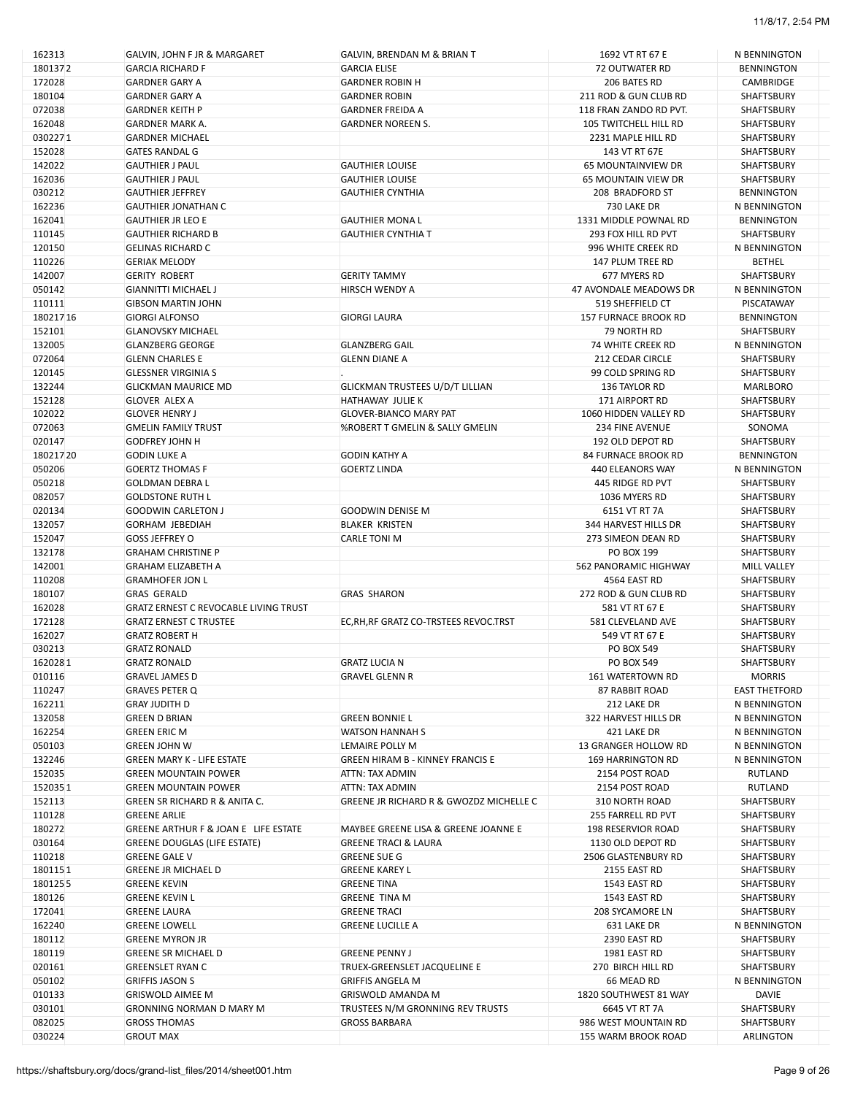| 162313   | GALVIN, JOHN F JR & MARGARET                 | GALVIN, BRENDAN M & BRIAN T             | 1692 VT RT 67 E             | N BENNINGTON         |
|----------|----------------------------------------------|-----------------------------------------|-----------------------------|----------------------|
| 1801372  | <b>GARCIA RICHARD F</b>                      | <b>GARCIA ELISE</b>                     | <b>72 OUTWATER RD</b>       | <b>BENNINGTON</b>    |
| 172028   | <b>GARDNER GARY A</b>                        | <b>GARDNER ROBIN H</b>                  | 206 BATES RD                | CAMBRIDGE            |
| 180104   | <b>GARDNER GARY A</b>                        | <b>GARDNER ROBIN</b>                    | 211 ROD & GUN CLUB RD       | SHAFTSBURY           |
|          |                                              |                                         |                             |                      |
| 072038   | <b>GARDNER KEITH P</b>                       | <b>GARDNER FREIDA A</b>                 | 118 FRAN ZANDO RD PVT.      | SHAFTSBURY           |
| 162048   | <b>GARDNER MARK A.</b>                       | <b>GARDNER NOREEN S.</b>                | 105 TWITCHELL HILL RD       | SHAFTSBURY           |
| 0302271  | <b>GARDNER MICHAEL</b>                       |                                         | 2231 MAPLE HILL RD          | SHAFTSBURY           |
| 152028   | <b>GATES RANDAL G</b>                        |                                         | 143 VT RT 67E               | SHAFTSBURY           |
| 142022   | <b>GAUTHIER J PAUL</b>                       | <b>GAUTHIER LOUISE</b>                  | <b>65 MOUNTAINVIEW DR</b>   | SHAFTSBURY           |
|          |                                              |                                         |                             |                      |
| 162036   | <b>GAUTHIER J PAUL</b>                       | <b>GAUTHIER LOUISE</b>                  | <b>65 MOUNTAIN VIEW DR</b>  | SHAFTSBURY           |
| 030212   | <b>GAUTHIER JEFFREY</b>                      | <b>GAUTHIER CYNTHIA</b>                 | 208 BRADFORD ST             | <b>BENNINGTON</b>    |
| 162236   | <b>GAUTHIER JONATHAN C</b>                   |                                         | 730 LAKE DR                 | N BENNINGTON         |
| 162041   | <b>GAUTHIER JR LEO E</b>                     | <b>GAUTHIER MONA L</b>                  | 1331 MIDDLE POWNAL RD       | <b>BENNINGTON</b>    |
| 110145   | <b>GAUTHIER RICHARD B</b>                    | <b>GAUTHIER CYNTHIA T</b>               | 293 FOX HILL RD PVT         |                      |
|          |                                              |                                         |                             | SHAFTSBURY           |
| 120150   | <b>GELINAS RICHARD C</b>                     |                                         | 996 WHITE CREEK RD          | N BENNINGTON         |
| 110226   | <b>GERIAK MELODY</b>                         |                                         | 147 PLUM TREE RD            | <b>BETHEL</b>        |
| 142007   | <b>GERITY ROBERT</b>                         | <b>GERITY TAMMY</b>                     | 677 MYERS RD                | SHAFTSBURY           |
| 050142   | <b>GIANNITTI MICHAEL J</b>                   | HIRSCH WENDY A                          | 47 AVONDALE MEADOWS DR      | N BENNINGTON         |
|          |                                              |                                         |                             |                      |
| 110111   | <b>GIBSON MARTIN JOHN</b>                    |                                         | 519 SHEFFIELD CT            | PISCATAWAY           |
| 18021716 | <b>GIORGI ALFONSO</b>                        | <b>GIORGI LAURA</b>                     | <b>157 FURNACE BROOK RD</b> | <b>BENNINGTON</b>    |
| 152101   | <b>GLANOVSKY MICHAEL</b>                     |                                         | 79 NORTH RD                 | SHAFTSBURY           |
| 132005   | <b>GLANZBERG GEORGE</b>                      | <b>GLANZBERG GAIL</b>                   | <b>74 WHITE CREEK RD</b>    | N BENNINGTON         |
|          |                                              |                                         |                             |                      |
| 072064   | <b>GLENN CHARLES E</b>                       | <b>GLENN DIANE A</b>                    | 212 CEDAR CIRCLE            | SHAFTSBURY           |
| 120145   | <b>GLESSNER VIRGINIA S</b>                   |                                         | 99 COLD SPRING RD           | SHAFTSBURY           |
| 132244   | <b>GLICKMAN MAURICE MD</b>                   | GLICKMAN TRUSTEES U/D/T LILLIAN         | 136 TAYLOR RD               | MARLBORO             |
| 152128   | <b>GLOVER ALEX A</b>                         | HATHAWAY JULIE K                        | 171 AIRPORT RD              | SHAFTSBURY           |
| 102022   | <b>GLOVER HENRY J</b>                        | <b>GLOVER-BIANCO MARY PAT</b>           | 1060 HIDDEN VALLEY RD       | SHAFTSBURY           |
|          |                                              |                                         |                             |                      |
| 072063   | <b>GMELIN FAMILY TRUST</b>                   | %ROBERT T GMELIN & SALLY GMELIN         | 234 FINE AVENUE             | SONOMA               |
| 020147   | <b>GODFREY JOHN H</b>                        |                                         | 192 OLD DEPOT RD            | SHAFTSBURY           |
| 18021720 | <b>GODIN LUKE A</b>                          | GODIN KATHY A                           | 84 FURNACE BROOK RD         | <b>BENNINGTON</b>    |
| 050206   | <b>GOERTZ THOMAS F</b>                       | <b>GOERTZ LINDA</b>                     | 440 ELEANORS WAY            | N BENNINGTON         |
|          |                                              |                                         |                             |                      |
| 050218   | <b>GOLDMAN DEBRA L</b>                       |                                         | 445 RIDGE RD PVT            | SHAFTSBURY           |
| 082057   | <b>GOLDSTONE RUTH L</b>                      |                                         | 1036 MYERS RD               | SHAFTSBURY           |
| 020134   | <b>GOODWIN CARLETON J</b>                    | <b>GOODWIN DENISE M</b>                 | 6151 VT RT 7A               | SHAFTSBURY           |
| 132057   | <b>GORHAM JEBEDIAH</b>                       | <b>BLAKER KRISTEN</b>                   | 344 HARVEST HILLS DR        | SHAFTSBURY           |
|          |                                              |                                         |                             |                      |
| 152047   | <b>GOSS JEFFREY O</b>                        | <b>CARLE TONI M</b>                     | 273 SIMEON DEAN RD          | SHAFTSBURY           |
| 132178   | <b>GRAHAM CHRISTINE P</b>                    |                                         | PO BOX 199                  | SHAFTSBURY           |
| 142001   | <b>GRAHAM ELIZABETH A</b>                    |                                         | 562 PANORAMIC HIGHWAY       | MILL VALLEY          |
| 110208   | <b>GRAMHOFER JON L</b>                       |                                         | 4564 EAST RD                | SHAFTSBURY           |
|          |                                              |                                         | 272 ROD & GUN CLUB RD       |                      |
| 180107   | <b>GRAS GERALD</b>                           | <b>GRAS SHARON</b>                      |                             | SHAFTSBURY           |
| 162028   | <b>GRATZ ERNEST C REVOCABLE LIVING TRUST</b> |                                         | 581 VT RT 67 E              | SHAFTSBURY           |
| 172128   | <b>GRATZ ERNEST C TRUSTEE</b>                | EC, RH, RF GRATZ CO-TRSTEES REVOC.TRST  | 581 CLEVELAND AVE           | SHAFTSBURY           |
| 162027   | <b>GRATZ ROBERT H</b>                        |                                         | 549 VT RT 67 E              | <b>SHAFTSBURY</b>    |
| 030213   | <b>GRATZ RONALD</b>                          |                                         | PO BOX 549                  | SHAFTSBURY           |
|          |                                              |                                         |                             |                      |
| 1620281  | <b>GRATZ RONALD</b>                          | <b>GRATZ LUCIA N</b>                    | <b>PO BOX 549</b>           | SHAFTSBURY           |
| 010116   | <b>GRAVEL JAMES D</b>                        | <b>GRAVEL GLENN R</b>                   | 161 WATERTOWN RD            | <b>MORRIS</b>        |
| 110247   | <b>GRAVES PETER Q</b>                        |                                         | 87 RABBIT ROAD              | <b>EAST THETFORD</b> |
| 162211   | <b>GRAY JUDITH D</b>                         |                                         | 212 LAKE DR                 | N BENNINGTON         |
|          |                                              |                                         |                             |                      |
| 132058   | <b>GREEN D BRIAN</b>                         | <b>GREEN BONNIE L</b>                   | 322 HARVEST HILLS DR        | N BENNINGTON         |
| 162254   | <b>GREEN ERIC M</b>                          | <b>WATSON HANNAH S</b>                  | 421 LAKE DR                 | N BENNINGTON         |
| 050103   | <b>GREEN JOHN W</b>                          | LEMAIRE POLLY M                         | 13 GRANGER HOLLOW RD        | N BENNINGTON         |
| 132246   | <b>GREEN MARY K - LIFE ESTATE</b>            | <b>GREEN HIRAM B - KINNEY FRANCIS E</b> | <b>169 HARRINGTON RD</b>    | N BENNINGTON         |
| 152035   | <b>GREEN MOUNTAIN POWER</b>                  | ATTN: TAX ADMIN                         | 2154 POST ROAD              | RUTLAND              |
|          |                                              |                                         |                             |                      |
| 1520351  | <b>GREEN MOUNTAIN POWER</b>                  | ATTN: TAX ADMIN                         | 2154 POST ROAD              | RUTLAND              |
| 152113   | GREEN SR RICHARD R & ANITA C.                | GREENE JR RICHARD R & GWOZDZ MICHELLE C | 310 NORTH ROAD              | SHAFTSBURY           |
| 110128   | <b>GREENE ARLIE</b>                          |                                         | 255 FARRELL RD PVT          | SHAFTSBURY           |
| 180272   | GREENE ARTHUR F & JOAN E LIFE ESTATE         | MAYBEE GREENE LISA & GREENE JOANNE E    | 198 RESERVIOR ROAD          | SHAFTSBURY           |
|          |                                              |                                         |                             |                      |
| 030164   | <b>GREENE DOUGLAS (LIFE ESTATE)</b>          | <b>GREENE TRACI &amp; LAURA</b>         | 1130 OLD DEPOT RD           | SHAFTSBURY           |
| 110218   | <b>GREENE GALE V</b>                         | <b>GREENE SUE G</b>                     | 2506 GLASTENBURY RD         | SHAFTSBURY           |
| 1801151  | <b>GREENE JR MICHAEL D</b>                   | <b>GREENE KAREY L</b>                   | 2155 EAST RD                | SHAFTSBURY           |
| 1801255  | <b>GREENE KEVIN</b>                          | <b>GREENE TINA</b>                      | 1543 EAST RD                | SHAFTSBURY           |
| 180126   | <b>GREENE KEVIN L</b>                        | <b>GREENE TINA M</b>                    | 1543 EAST RD                | SHAFTSBURY           |
|          |                                              |                                         |                             |                      |
| 172041   | <b>GREENE LAURA</b>                          | <b>GREENE TRACI</b>                     | 208 SYCAMORE LN             | SHAFTSBURY           |
| 162240   | <b>GREENE LOWELL</b>                         | <b>GREENE LUCILLE A</b>                 | 631 LAKE DR                 | N BENNINGTON         |
| 180112   | <b>GREENE MYRON JR</b>                       |                                         | 2390 EAST RD                | SHAFTSBURY           |
| 180119   | <b>GREENE SR MICHAEL D</b>                   | <b>GREENE PENNY J</b>                   | 1981 EAST RD                | SHAFTSBURY           |
|          |                                              |                                         |                             |                      |
| 020161   | <b>GREENSLET RYAN C</b>                      | TRUEX-GREENSLET JACQUELINE E            | 270 BIRCH HILL RD           | SHAFTSBURY           |
| 050102   | <b>GRIFFIS JASON S</b>                       | <b>GRIFFIS ANGELA M</b>                 | 66 MEAD RD                  | N BENNINGTON         |
| 010133   | <b>GRISWOLD AIMEE M</b>                      | <b>GRISWOLD AMANDA M</b>                | 1820 SOUTHWEST 81 WAY       | <b>DAVIE</b>         |
| 030101   | <b>GRONNING NORMAN D MARY M</b>              | TRUSTEES N/M GRONNING REV TRUSTS        | 6645 VT RT 7A               | SHAFTSBURY           |
|          |                                              |                                         |                             |                      |
| 082025   | <b>GROSS THOMAS</b>                          | <b>GROSS BARBARA</b>                    | 986 WEST MOUNTAIN RD        | SHAFTSBURY           |
| 030224   | <b>GROUT MAX</b>                             |                                         | 155 WARM BROOK ROAD         | ARLINGTON            |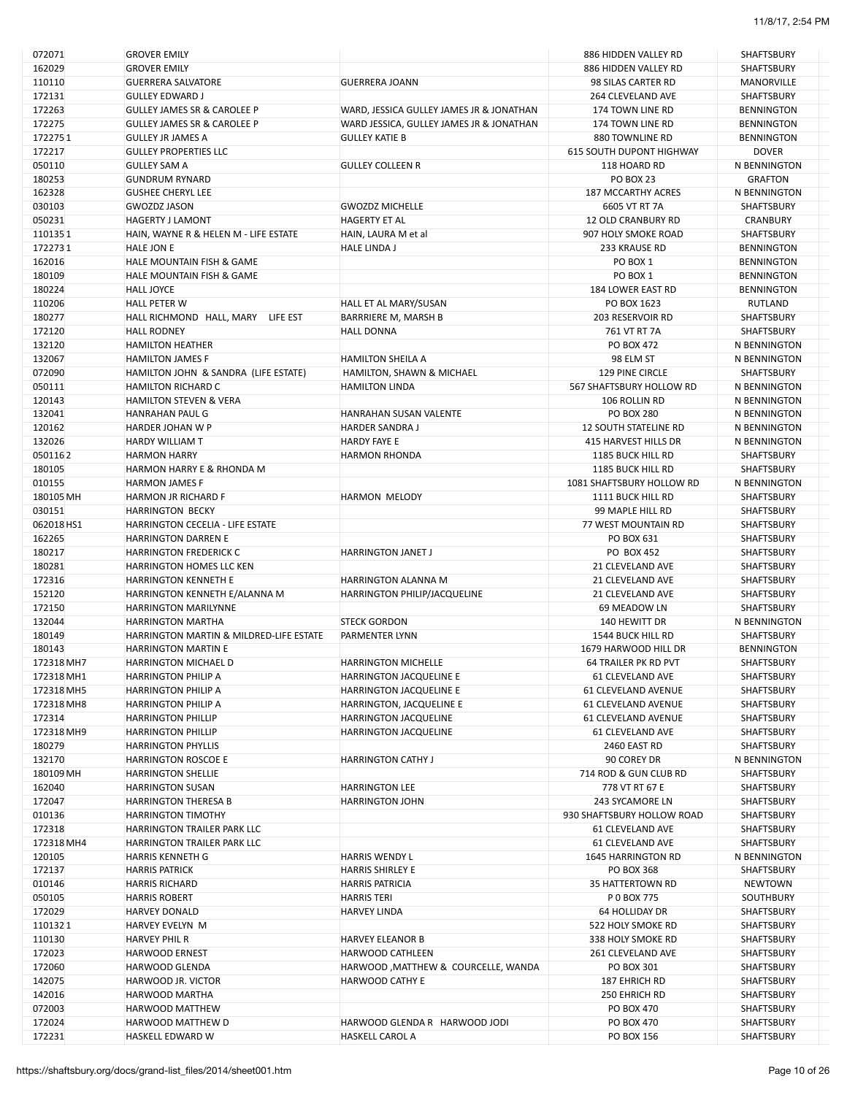| 072071     | <b>GROVER EMILY</b>                     |                                          | 886 HIDDEN VALLEY RD         | SHAFTSBURY        |
|------------|-----------------------------------------|------------------------------------------|------------------------------|-------------------|
| 162029     | <b>GROVER EMILY</b>                     |                                          | 886 HIDDEN VALLEY RD         | SHAFTSBURY        |
| 110110     | <b>GUERRERA SALVATORE</b>               | <b>GUERRERA JOANN</b>                    | 98 SILAS CARTER RD           | MANORVILLE        |
| 172131     | <b>GULLEY EDWARD J</b>                  |                                          | 264 CLEVELAND AVE            | SHAFTSBURY        |
|            |                                         |                                          |                              |                   |
| 172263     | <b>GULLEY JAMES SR &amp; CAROLEE P</b>  | WARD, JESSICA GULLEY JAMES JR & JONATHAN | 174 TOWN LINE RD             | BENNINGTON        |
| 172275     | <b>GULLEY JAMES SR &amp; CAROLEE P</b>  | WARD JESSICA, GULLEY JAMES JR & JONATHAN | 174 TOWN LINE RD             | <b>BENNINGTON</b> |
| 1722751    | <b>GULLEY JR JAMES A</b>                | <b>GULLEY KATIE B</b>                    | 880 TOWNLINE RD              | <b>BENNINGTON</b> |
| 172217     | <b>GULLEY PROPERTIES LLC</b>            |                                          | 615 SOUTH DUPONT HIGHWAY     | <b>DOVER</b>      |
| 050110     | <b>GULLEY SAM A</b>                     | <b>GULLEY COLLEEN R</b>                  | 118 HOARD RD                 | N BENNINGTON      |
|            |                                         |                                          |                              |                   |
| 180253     | <b>GUNDRUM RYNARD</b>                   |                                          | <b>PO BOX 23</b>             | <b>GRAFTON</b>    |
| 162328     | <b>GUSHEE CHERYL LEE</b>                |                                          | <b>187 MCCARTHY ACRES</b>    | N BENNINGTON      |
| 030103     | <b>GWOZDZ JASON</b>                     | <b>GWOZDZ MICHELLE</b>                   | 6605 VT RT 7A                | SHAFTSBURY        |
| 050231     | <b>HAGERTY J LAMONT</b>                 | <b>HAGERTY ET AL</b>                     | <b>12 OLD CRANBURY RD</b>    | CRANBURY          |
| 1101351    |                                         |                                          | 907 HOLY SMOKE ROAD          | SHAFTSBURY        |
|            | HAIN, WAYNE R & HELEN M - LIFE ESTATE   | HAIN, LAURA M et al                      |                              |                   |
| 1722731    | <b>HALE JON E</b>                       | <b>HALE LINDA J</b>                      | 233 KRAUSE RD                | <b>BENNINGTON</b> |
| 162016     | HALE MOUNTAIN FISH & GAME               |                                          | PO BOX 1                     | <b>BENNINGTON</b> |
| 180109     | HALE MOUNTAIN FISH & GAME               |                                          | PO BOX 1                     | BENNINGTON        |
| 180224     | <b>HALL JOYCE</b>                       |                                          | 184 LOWER EAST RD            | <b>BENNINGTON</b> |
|            |                                         |                                          |                              |                   |
| 110206     | <b>HALL PETER W</b>                     | HALL ET AL MARY/SUSAN                    | PO BOX 1623                  | RUTLAND           |
| 180277     | HALL RICHMOND HALL, MARY<br>LIFE EST    | BARRRIERE M, MARSH B                     | 203 RESERVOIR RD             | SHAFTSBURY        |
| 172120     | <b>HALL RODNEY</b>                      | <b>HALL DONNA</b>                        | 761 VT RT 7A                 | SHAFTSBURY        |
| 132120     | <b>HAMILTON HEATHER</b>                 |                                          | PO BOX 472                   | N BENNINGTON      |
| 132067     | <b>HAMILTON JAMES F</b>                 | <b>HAMILTON SHEILA A</b>                 | 98 ELM ST                    | N BENNINGTON      |
|            |                                         |                                          |                              |                   |
| 072090     | HAMILTON JOHN & SANDRA (LIFE ESTATE)    | HAMILTON, SHAWN & MICHAEL                | 129 PINE CIRCLE              | SHAFTSBURY        |
| 050111     | <b>HAMILTON RICHARD C</b>               | <b>HAMILTON LINDA</b>                    | 567 SHAFTSBURY HOLLOW RD     | N BENNINGTON      |
| 120143     | <b>HAMILTON STEVEN &amp; VERA</b>       |                                          | 106 ROLLIN RD                | N BENNINGTON      |
| 132041     | <b>HANRAHAN PAUL G</b>                  | HANRAHAN SUSAN VALENTE                   | PO BOX 280                   | N BENNINGTON      |
| 120162     | <b>HARDER JOHAN W P</b>                 | <b>HARDER SANDRA J</b>                   | <b>12 SOUTH STATELINE RD</b> | N BENNINGTON      |
|            |                                         |                                          |                              |                   |
| 132026     | <b>HARDY WILLIAM T</b>                  | <b>HARDY FAYE E</b>                      | 415 HARVEST HILLS DR         | N BENNINGTON      |
| 0501162    | <b>HARMON HARRY</b>                     | <b>HARMON RHONDA</b>                     | 1185 BUCK HILL RD            | SHAFTSBURY        |
| 180105     | HARMON HARRY E & RHONDA M               |                                          | 1185 BUCK HILL RD            | SHAFTSBURY        |
| 010155     | <b>HARMON JAMES F</b>                   |                                          | 1081 SHAFTSBURY HOLLOW RD    | N BENNINGTON      |
| 180105 MH  |                                         | <b>HARMON MELODY</b>                     |                              |                   |
|            | <b>HARMON JR RICHARD F</b>              |                                          | 1111 BUCK HILL RD            | SHAFTSBURY        |
| 030151     | <b>HARRINGTON BECKY</b>                 |                                          | 99 MAPLE HILL RD             | SHAFTSBURY        |
| 062018 HS1 | HARRINGTON CECELIA - LIFE ESTATE        |                                          | 77 WEST MOUNTAIN RD          | SHAFTSBURY        |
| 162265     | <b>HARRINGTON DARREN E</b>              |                                          | PO BOX 631                   | SHAFTSBURY        |
| 180217     | <b>HARRINGTON FREDERICK C</b>           | <b>HARRINGTON JANET J</b>                | PO BOX 452                   | SHAFTSBURY        |
|            |                                         |                                          |                              |                   |
| 180281     | HARRINGTON HOMES LLC KEN                |                                          | 21 CLEVELAND AVE             | SHAFTSBURY        |
| 172316     | <b>HARRINGTON KENNETH E</b>             | <b>HARRINGTON ALANNA M</b>               | 21 CLEVELAND AVE             | SHAFTSBURY        |
| 152120     | HARRINGTON KENNETH E/ALANNA M           | HARRINGTON PHILIP/JACQUELINE             | <b>21 CLEVELAND AVE</b>      | SHAFTSBURY        |
| 172150     | <b>HARRINGTON MARILYNNE</b>             |                                          | 69 MEADOW LN                 | <b>SHAFTSBURY</b> |
| 132044     | <b>HARRINGTON MARTHA</b>                | <b>STECK GORDON</b>                      | 140 HEWITT DR                | N BENNINGTON      |
| 180149     | HARRINGTON MARTIN & MILDRED-LIFE ESTATE | PARMENTER LYNN                           | 1544 BUCK HILL RD            |                   |
|            |                                         |                                          |                              | SHAFTSBURY        |
| 180143     | <b>HARRINGTON MARTIN E</b>              |                                          | 1679 HARWOOD HILL DR         | BENNINGTON        |
| 172318 MH7 | <b>HARRINGTON MICHAEL D</b>             | <b>HARRINGTON MICHELLE</b>               | <b>64 TRAILER PK RD PVT</b>  | SHAFTSBURY        |
| 172318 MH1 | <b>HARRINGTON PHILIP A</b>              | <b>HARRINGTON JACQUELINE E</b>           | 61 CLEVELAND AVE             | SHAFTSBURY        |
| 172318 MH5 | <b>HARRINGTON PHILIP A</b>              | <b>HARRINGTON JACQUELINE E</b>           | <b>61 CLEVELAND AVENUE</b>   | SHAFTSBURY        |
| 172318 MH8 | <b>HARRINGTON PHILIP A</b>              | HARRINGTON, JACQUELINE E                 | 61 CLEVELAND AVENUE          | SHAFTSBURY        |
|            |                                         |                                          |                              |                   |
| 172314     | <b>HARRINGTON PHILLIP</b>               | <b>HARRINGTON JACQUELINE</b>             | <b>61 CLEVELAND AVENUE</b>   | SHAFTSBURY        |
| 172318 MH9 | <b>HARRINGTON PHILLIP</b>               | <b>HARRINGTON JACQUELINE</b>             | 61 CLEVELAND AVE             | SHAFTSBURY        |
| 180279     | <b>HARRINGTON PHYLLIS</b>               |                                          | 2460 EAST RD                 | SHAFTSBURY        |
| 132170     | <b>HARRINGTON ROSCOE E</b>              | <b>HARRINGTON CATHY J</b>                | 90 COREY DR                  | N BENNINGTON      |
| 180109 MH  | <b>HARRINGTON SHELLIE</b>               |                                          | 714 ROD & GUN CLUB RD        | SHAFTSBURY        |
|            |                                         |                                          |                              |                   |
| 162040     | <b>HARRINGTON SUSAN</b>                 | <b>HARRINGTON LEE</b>                    | 778 VT RT 67 E               | SHAFTSBURY        |
| 172047     | <b>HARRINGTON THERESA B</b>             | <b>HARRINGTON JOHN</b>                   | 243 SYCAMORE LN              | SHAFTSBURY        |
| 010136     | <b>HARRINGTON TIMOTHY</b>               |                                          | 930 SHAFTSBURY HOLLOW ROAD   | <b>SHAFTSBURY</b> |
| 172318     | HARRINGTON TRAILER PARK LLC             |                                          | <b>61 CLEVELAND AVE</b>      | SHAFTSBURY        |
| 172318 MH4 | <b>HARRINGTON TRAILER PARK LLC</b>      |                                          | <b>61 CLEVELAND AVE</b>      | SHAFTSBURY        |
|            |                                         |                                          |                              |                   |
| 120105     | <b>HARRIS KENNETH G</b>                 | <b>HARRIS WENDY L</b>                    | <b>1645 HARRINGTON RD</b>    | N BENNINGTON      |
| 172137     | <b>HARRIS PATRICK</b>                   | <b>HARRIS SHIRLEY E</b>                  | PO BOX 368                   | SHAFTSBURY        |
| 010146     | <b>HARRIS RICHARD</b>                   | <b>HARRIS PATRICIA</b>                   | 35 HATTERTOWN RD             | NEWTOWN           |
| 050105     | <b>HARRIS ROBERT</b>                    | <b>HARRIS TERI</b>                       | P 0 BOX 775                  | SOUTHBURY         |
| 172029     | <b>HARVEY DONALD</b>                    | <b>HARVEY LINDA</b>                      | 64 HOLLIDAY DR               | SHAFTSBURY        |
|            |                                         |                                          |                              |                   |
| 1101321    | HARVEY EVELYN M                         |                                          | 522 HOLY SMOKE RD            | SHAFTSBURY        |
| 110130     | <b>HARVEY PHIL R</b>                    | <b>HARVEY ELEANOR B</b>                  | 338 HOLY SMOKE RD            | SHAFTSBURY        |
| 172023     | <b>HARWOOD ERNEST</b>                   | <b>HARWOOD CATHLEEN</b>                  | 261 CLEVELAND AVE            | SHAFTSBURY        |
| 172060     | <b>HARWOOD GLENDA</b>                   | HARWOOD, MATTHEW & COURCELLE, WANDA      | PO BOX 301                   | SHAFTSBURY        |
| 142075     | HARWOOD JR. VICTOR                      | <b>HARWOOD CATHY E</b>                   | 187 EHRICH RD                | SHAFTSBURY        |
|            |                                         |                                          |                              |                   |
| 142016     | HARWOOD MARTHA                          |                                          | 250 EHRICH RD                | SHAFTSBURY        |
| 072003     | <b>HARWOOD MATTHEW</b>                  |                                          | PO BOX 470                   | SHAFTSBURY        |
| 172024     | HARWOOD MATTHEW D                       | HARWOOD GLENDA R HARWOOD JODI            | PO BOX 470                   | SHAFTSBURY        |
| 172231     | HASKELL EDWARD W                        | <b>HASKELL CAROL A</b>                   | PO BOX 156                   | SHAFTSBURY        |
|            |                                         |                                          |                              |                   |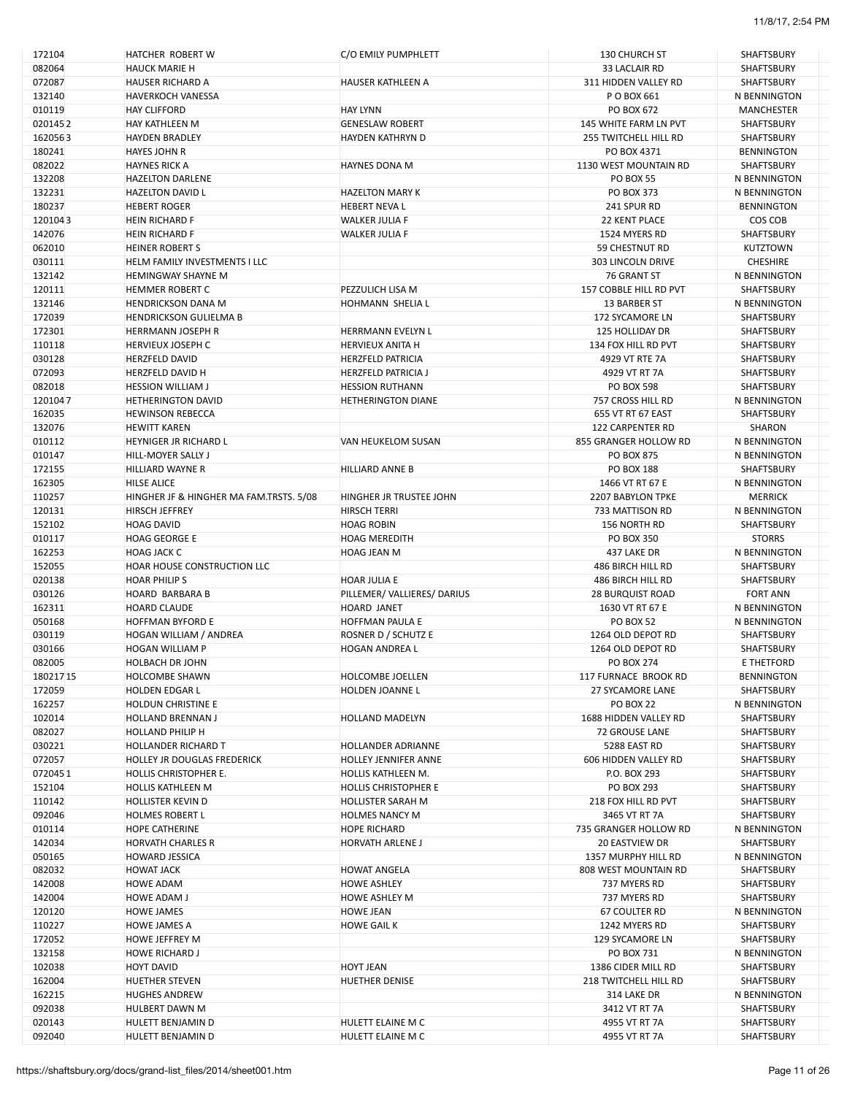| 172104   | <b>HATCHER ROBERT W</b>                 | C/O EMILY PUMPHLETT         | 130 CHURCH ST           | SHAFTSBURY        |
|----------|-----------------------------------------|-----------------------------|-------------------------|-------------------|
| 082064   | <b>HAUCK MARIE H</b>                    |                             | 33 LACLAIR RD           | SHAFTSBURY        |
| 072087   | <b>HAUSER RICHARD A</b>                 | HAUSER KATHLEEN A           | 311 HIDDEN VALLEY RD    | SHAFTSBURY        |
| 132140   | <b>HAVERKOCH VANESSA</b>                |                             | P O BOX 661             | N BENNINGTON      |
|          |                                         |                             |                         |                   |
| 010119   | <b>HAY CLIFFORD</b>                     | <b>HAY LYNN</b>             | PO BOX 672              | <b>MANCHESTER</b> |
| 0201452  | <b>HAY KATHLEEN M</b>                   | <b>GENESLAW ROBERT</b>      | 145 WHITE FARM LN PVT   | SHAFTSBURY        |
| 1620563  | <b>HAYDEN BRADLEY</b>                   | <b>HAYDEN KATHRYN D</b>     | 255 TWITCHELL HILL RD   | SHAFTSBURY        |
| 180241   | <b>HAYES JOHN R</b>                     |                             | PO BOX 4371             | <b>BENNINGTON</b> |
| 082022   | <b>HAYNES RICK A</b>                    | <b>HAYNES DONA M</b>        | 1130 WEST MOUNTAIN RD   | SHAFTSBURY        |
|          |                                         |                             |                         |                   |
| 132208   | <b>HAZELTON DARLENE</b>                 |                             | <b>PO BOX 55</b>        | N BENNINGTON      |
| 132231   | <b>HAZELTON DAVID L</b>                 | <b>HAZELTON MARY K</b>      | <b>PO BOX 373</b>       | N BENNINGTON      |
| 180237   | <b>HEBERT ROGER</b>                     | <b>HEBERT NEVAL</b>         | 241 SPUR RD             | <b>BENNINGTON</b> |
| 1201043  | <b>HEIN RICHARD F</b>                   | <b>WALKER JULIA F</b>       | 22 KENT PLACE           | COS COB           |
|          |                                         |                             |                         |                   |
| 142076   | <b>HEIN RICHARD F</b>                   | <b>WALKER JULIA F</b>       | 1524 MYERS RD           | SHAFTSBURY        |
| 062010   | <b>HEINER ROBERT S</b>                  |                             | 59 CHESTNUT RD          | <b>KUTZTOWN</b>   |
| 030111   | HELM FAMILY INVESTMENTS I LLC           |                             | 303 LINCOLN DRIVE       | <b>CHESHIRE</b>   |
| 132142   | <b>HEMINGWAY SHAYNE M</b>               |                             | 76 GRANT ST             | N BENNINGTON      |
| 120111   | <b>HEMMER ROBERT C</b>                  | PEZZULICH LISA M            | 157 COBBLE HILL RD PVT  | SHAFTSBURY        |
|          |                                         |                             |                         |                   |
| 132146   | <b>HENDRICKSON DANA M</b>               | HOHMANN SHELIA L            | 13 BARBER ST            | N BENNINGTON      |
| 172039   | <b>HENDRICKSON GULIELMA B</b>           |                             | 172 SYCAMORE LN         | SHAFTSBURY        |
| 172301   | <b>HERRMANN JOSEPH R</b>                | HERRMANN EVELYN L           | 125 HOLLIDAY DR         | SHAFTSBURY        |
| 110118   | <b>HERVIEUX JOSEPH C</b>                | <b>HERVIEUX ANITA H</b>     | 134 FOX HILL RD PVT     | SHAFTSBURY        |
| 030128   | <b>HERZFELD DAVID</b>                   | <b>HERZFELD PATRICIA</b>    | 4929 VT RTE 7A          | <b>SHAFTSBURY</b> |
|          |                                         |                             |                         |                   |
| 072093   | <b>HERZFELD DAVID H</b>                 | <b>HERZFELD PATRICIA J</b>  | 4929 VT RT 7A           | SHAFTSBURY        |
| 082018   | <b>HESSION WILLIAM J</b>                | <b>HESSION RUTHANN</b>      | <b>PO BOX 598</b>       | SHAFTSBURY        |
| 1201047  | <b>HETHERINGTON DAVID</b>               | <b>HETHERINGTON DIANE</b>   | 757 CROSS HILL RD       | N BENNINGTON      |
| 162035   | <b>HEWINSON REBECCA</b>                 |                             | 655 VT RT 67 EAST       | SHAFTSBURY        |
| 132076   | <b>HEWITT KAREN</b>                     |                             | <b>122 CARPENTER RD</b> | SHARON            |
|          |                                         |                             |                         |                   |
| 010112   | <b>HEYNIGER JR RICHARD L</b>            | VAN HEUKELOM SUSAN          | 855 GRANGER HOLLOW RD   | N BENNINGTON      |
| 010147   | <b>HILL-MOYER SALLY J</b>               |                             | <b>PO BOX 875</b>       | N BENNINGTON      |
| 172155   | <b>HILLIARD WAYNE R</b>                 | <b>HILLIARD ANNE B</b>      | <b>PO BOX 188</b>       | SHAFTSBURY        |
| 162305   | <b>HILSE ALICE</b>                      |                             | 1466 VT RT 67 E         | N BENNINGTON      |
| 110257   | HINGHER JF & HINGHER MA FAM.TRSTS. 5/08 | HINGHER JR TRUSTEE JOHN     | 2207 BABYLON TPKE       | <b>MERRICK</b>    |
|          |                                         |                             |                         |                   |
| 120131   | <b>HIRSCH JEFFREY</b>                   | <b>HIRSCH TERRI</b>         | 733 MATTISON RD         | N BENNINGTON      |
| 152102   | <b>HOAG DAVID</b>                       | <b>HOAG ROBIN</b>           | 156 NORTH RD            | SHAFTSBURY        |
| 010117   | <b>HOAG GEORGE E</b>                    | <b>HOAG MEREDITH</b>        | <b>PO BOX 350</b>       | <b>STORRS</b>     |
| 162253   | <b>HOAG JACK C</b>                      | <b>HOAG JEAN M</b>          | 437 LAKE DR             | N BENNINGTON      |
| 152055   | <b>HOAR HOUSE CONSTRUCTION LLC</b>      |                             | 486 BIRCH HILL RD       | SHAFTSBURY        |
| 020138   | <b>HOAR PHILIPS</b>                     | <b>HOAR JULIA E</b>         | 486 BIRCH HILL RD       | SHAFTSBURY        |
|          |                                         |                             |                         |                   |
| 030126   | <b>HOARD BARBARA B</b>                  | PILLEMER/VALLIERES/DARIUS   | <b>28 BURQUIST ROAD</b> | <b>FORT ANN</b>   |
| 162311   | <b>HOARD CLAUDE</b>                     | <b>HOARD JANET</b>          | 1630 VT RT 67 E         | N BENNINGTON      |
| 050168   | <b>HOFFMAN BYFORD E</b>                 | <b>HOFFMAN PAULA E</b>      | <b>PO BOX 52</b>        | N BENNINGTON      |
| 030119   | HOGAN WILLIAM / ANDREA                  | ROSNER D / SCHUTZ E         | 1264 OLD DEPOT RD       | SHAFTSBURY        |
| 030166   | <b>HOGAN WILLIAM P</b>                  | <b>HOGAN ANDREA L</b>       | 1264 OLD DEPOT RD       | SHAFTSBURY        |
|          |                                         |                             |                         |                   |
| 082005   | <b>HOLBACH DR JOHN</b>                  |                             | <b>PO BOX 274</b>       | E THETFORD        |
| 18021715 | <b>HOLCOMBE SHAWN</b>                   | <b>HOLCOMBE JOELLEN</b>     | 117 FURNACE BROOK RD    | <b>BENNINGTON</b> |
| 172059   | <b>HOLDEN EDGAR L</b>                   | HOLDEN JOANNE L             | 27 SYCAMORE LANE        | SHAFTSBURY        |
| 162257   | <b>HOLDUN CHRISTINE E</b>               |                             | <b>PO BOX 22</b>        | N BENNINGTON      |
| 102014   | <b>HOLLAND BRENNAN J</b>                | <b>HOLLAND MADELYN</b>      | 1688 HIDDEN VALLEY RD   | SHAFTSBURY        |
|          |                                         |                             |                         |                   |
| 082027   | <b>HOLLAND PHILIP H</b>                 |                             | 72 GROUSE LANE          | SHAFTSBURY        |
| 030221   | <b>HOLLANDER RICHARD T</b>              | HOLLANDER ADRIANNE          | 5288 EAST RD            | SHAFTSBURY        |
| 072057   | <b>HOLLEY JR DOUGLAS FREDERICK</b>      | <b>HOLLEY JENNIFER ANNE</b> | 606 HIDDEN VALLEY RD    | <b>SHAFTSBURY</b> |
| 0720451  | <b>HOLLIS CHRISTOPHER E.</b>            | HOLLIS KATHLEEN M.          | P.O. BOX 293            | <b>SHAFTSBURY</b> |
| 152104   | <b>HOLLIS KATHLEEN M</b>                | <b>HOLLIS CHRISTOPHER E</b> | <b>PO BOX 293</b>       | SHAFTSBURY        |
| 110142   | <b>HOLLISTER KEVIN D</b>                |                             |                         |                   |
|          |                                         | <b>HOLLISTER SARAH M</b>    | 218 FOX HILL RD PVT     | SHAFTSBURY        |
| 092046   | <b>HOLMES ROBERT L</b>                  | <b>HOLMES NANCY M</b>       | 3465 VT RT 7A           | <b>SHAFTSBURY</b> |
| 010114   | <b>HOPE CATHERINE</b>                   | <b>HOPE RICHARD</b>         | 735 GRANGER HOLLOW RD   | N BENNINGTON      |
| 142034   | <b>HORVATH CHARLES R</b>                | <b>HORVATH ARLENE J</b>     | 20 EASTVIEW DR          | SHAFTSBURY        |
| 050165   | <b>HOWARD JESSICA</b>                   |                             | 1357 MURPHY HILL RD     | N BENNINGTON      |
| 082032   | <b>HOWAT JACK</b>                       | <b>HOWAT ANGELA</b>         | 808 WEST MOUNTAIN RD    | SHAFTSBURY        |
|          |                                         |                             |                         |                   |
| 142008   | <b>HOWE ADAM</b>                        | <b>HOWE ASHLEY</b>          | 737 MYERS RD            | SHAFTSBURY        |
| 142004   | <b>HOWE ADAM J</b>                      | <b>HOWE ASHLEY M</b>        | 737 MYERS RD            | SHAFTSBURY        |
| 120120   | <b>HOWE JAMES</b>                       | <b>HOWE JEAN</b>            | <b>67 COULTER RD</b>    | N BENNINGTON      |
| 110227   | <b>HOWE JAMES A</b>                     | <b>HOWE GAIL K</b>          | 1242 MYERS RD           | SHAFTSBURY        |
| 172052   | <b>HOWE JEFFREY M</b>                   |                             | 129 SYCAMORE LN         | SHAFTSBURY        |
|          |                                         |                             |                         |                   |
| 132158   | <b>HOWE RICHARD J</b>                   |                             | PO BOX 731              | N BENNINGTON      |
| 102038   | <b>HOYT DAVID</b>                       | <b>HOYT JEAN</b>            | 1386 CIDER MILL RD      | SHAFTSBURY        |
| 162004   | <b>HUETHER STEVEN</b>                   | <b>HUETHER DENISE</b>       | 218 TWITCHELL HILL RD   | SHAFTSBURY        |
| 162215   | <b>HUGHES ANDREW</b>                    |                             | 314 LAKE DR             | N BENNINGTON      |
| 092038   | <b>HULBERT DAWN M</b>                   |                             | 3412 VT RT 7A           | SHAFTSBURY        |
|          |                                         |                             |                         |                   |
| 020143   | HULETT BENJAMIN D                       | HULETT ELAINE M C           | 4955 VT RT 7A           | SHAFTSBURY        |
| 092040   | HULETT BENJAMIN D                       | HULETT ELAINE M C           | 4955 VT RT 7A           | SHAFTSBURY        |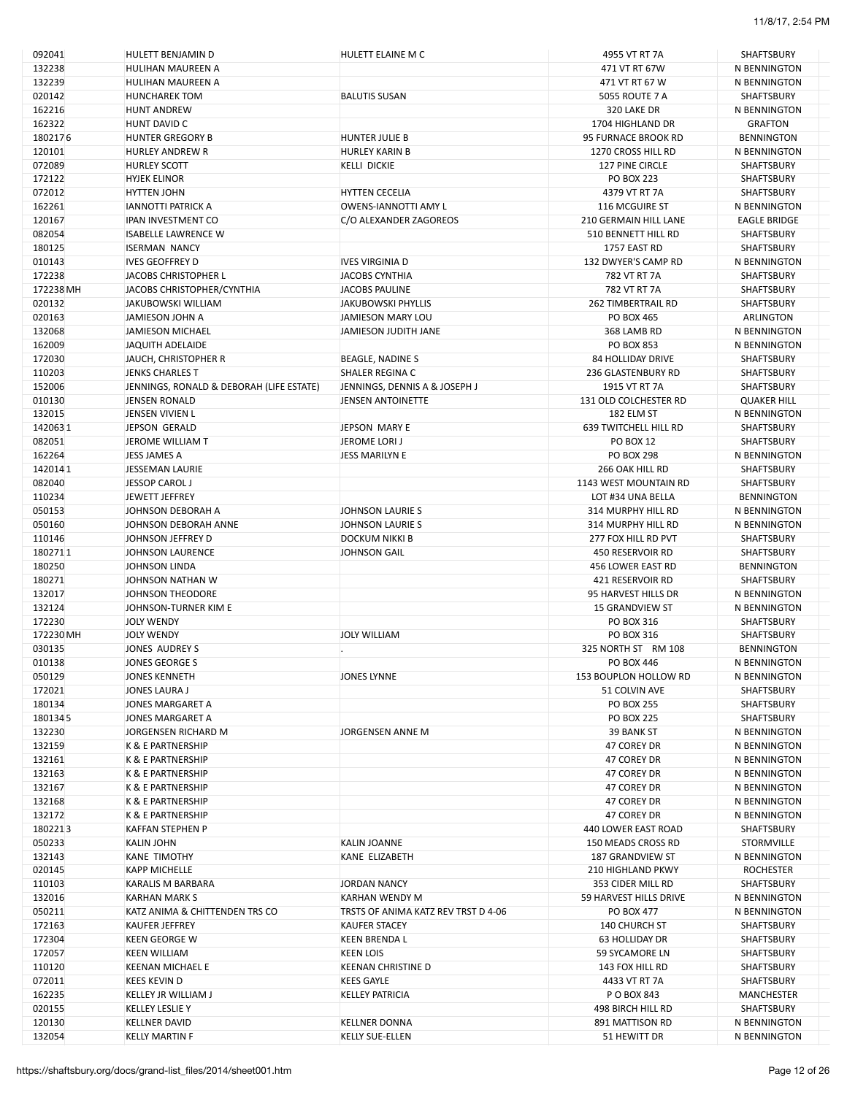| 092041    | <b>HULETT BENJAMIN D</b>                 | HULETT ELAINE M C                   | 4955 VT RT 7A                | SHAFTSBURY          |
|-----------|------------------------------------------|-------------------------------------|------------------------------|---------------------|
| 132238    | HULIHAN MAUREEN A                        |                                     | 471 VT RT 67W                | N BENNINGTON        |
| 132239    | HULIHAN MAUREEN A                        |                                     | 471 VT RT 67 W               | N BENNINGTON        |
| 020142    | <b>HUNCHAREK TOM</b>                     | <b>BALUTIS SUSAN</b>                | 5055 ROUTE 7 A               | SHAFTSBURY          |
| 162216    | <b>HUNT ANDREW</b>                       |                                     | 320 LAKE DR                  | N BENNINGTON        |
| 162322    | HUNT DAVID C                             |                                     | 1704 HIGHLAND DR             | <b>GRAFTON</b>      |
|           |                                          |                                     |                              |                     |
| 1802176   | <b>HUNTER GREGORY B</b>                  | <b>HUNTER JULIE B</b>               | 95 FURNACE BROOK RD          | <b>BENNINGTON</b>   |
| 120101    | <b>HURLEY ANDREW R</b>                   | <b>HURLEY KARIN B</b>               | 1270 CROSS HILL RD           | N BENNINGTON        |
| 072089    | <b>HURLEY SCOTT</b>                      | <b>KELLI DICKIE</b>                 | 127 PINE CIRCLE              | SHAFTSBURY          |
| 172122    | <b>HYJEK ELINOR</b>                      |                                     | <b>PO BOX 223</b>            | SHAFTSBURY          |
| 072012    | <b>HYTTEN JOHN</b>                       | <b>HYTTEN CECELIA</b>               | 4379 VT RT 7A                | SHAFTSBURY          |
| 162261    | IANNOTTI PATRICK A                       | OWENS-IANNOTTI AMY L                | 116 MCGUIRE ST               | N BENNINGTON        |
| 120167    | <b>IPAN INVESTMENT CO</b>                | C/O ALEXANDER ZAGOREOS              | <b>210 GERMAIN HILL LANE</b> | <b>EAGLE BRIDGE</b> |
| 082054    | <b>ISABELLE LAWRENCE W</b>               |                                     | 510 BENNETT HILL RD          | SHAFTSBURY          |
| 180125    |                                          |                                     |                              |                     |
|           | <b>ISERMAN NANCY</b>                     |                                     | 1757 EAST RD                 | SHAFTSBURY          |
| 010143    | <b>IVES GEOFFREY D</b>                   | <b>IVES VIRGINIA D</b>              | 132 DWYER'S CAMP RD          | N BENNINGTON        |
| 172238    | JACOBS CHRISTOPHER L                     | JACOBS CYNTHIA                      | 782 VT RT 7A                 | SHAFTSBURY          |
| 172238 MH | JACOBS CHRISTOPHER/CYNTHIA               | JACOBS PAULINE                      | 782 VT RT 7A                 | SHAFTSBURY          |
| 020132    | JAKUBOWSKI WILLIAM                       | JAKUBOWSKI PHYLLIS                  | 262 TIMBERTRAIL RD           | SHAFTSBURY          |
| 020163    | JAMIESON JOHN A                          | JAMIESON MARY LOU                   | <b>PO BOX 465</b>            | ARLINGTON           |
| 132068    | JAMIESON MICHAEL                         | JAMIESON JUDITH JANE                | 368 LAMB RD                  | N BENNINGTON        |
| 162009    | JAQUITH ADELAIDE                         |                                     | PO BOX 853                   | N BENNINGTON        |
|           |                                          |                                     |                              |                     |
| 172030    | JAUCH, CHRISTOPHER R                     | <b>BEAGLE, NADINE S</b>             | <b>84 HOLLIDAY DRIVE</b>     | <b>SHAFTSBURY</b>   |
| 110203    | <b>JENKS CHARLES T</b>                   | <b>SHALER REGINA C</b>              | 236 GLASTENBURY RD           | SHAFTSBURY          |
| 152006    | JENNINGS, RONALD & DEBORAH (LIFE ESTATE) | JENNINGS, DENNIS A & JOSEPH J       | 1915 VT RT 7A                | SHAFTSBURY          |
| 010130    | JENSEN RONALD                            | JENSEN ANTOINETTE                   | 131 OLD COLCHESTER RD        | <b>QUAKER HILL</b>  |
| 132015    | JENSEN VIVIEN L                          |                                     | 182 ELM ST                   | N BENNINGTON        |
| 1420631   | JEPSON GERALD                            | JEPSON MARY E                       | <b>639 TWITCHELL HILL RD</b> | SHAFTSBURY          |
| 082051    | JEROME WILLIAM T                         | JEROME LORI J                       | <b>PO BOX 12</b>             | SHAFTSBURY          |
|           |                                          |                                     |                              |                     |
| 162264    | JESS JAMES A                             | JESS MARILYN E                      | <b>PO BOX 298</b>            | N BENNINGTON        |
| 1420141   | JESSEMAN LAURIE                          |                                     | 266 OAK HILL RD              | SHAFTSBURY          |
| 082040    | JESSOP CAROL J                           |                                     | 1143 WEST MOUNTAIN RD        | SHAFTSBURY          |
| 110234    | JEWETT JEFFREY                           |                                     | LOT #34 UNA BELLA            | <b>BENNINGTON</b>   |
| 050153    | JOHNSON DEBORAH A                        | JOHNSON LAURIE S                    | 314 MURPHY HILL RD           | N BENNINGTON        |
| 050160    | JOHNSON DEBORAH ANNE                     | JOHNSON LAURIE S                    | 314 MURPHY HILL RD           | N BENNINGTON        |
| 110146    | JOHNSON JEFFREY D                        | <b>DOCKUM NIKKI B</b>               | 277 FOX HILL RD PVT          | SHAFTSBURY          |
|           |                                          |                                     |                              |                     |
| 1802711   | JOHNSON LAURENCE                         | <b>JOHNSON GAIL</b>                 | 450 RESERVOIR RD             | SHAFTSBURY          |
| 180250    | JOHNSON LINDA                            |                                     | 456 LOWER EAST RD            | <b>BENNINGTON</b>   |
| 180271    | JOHNSON NATHAN W                         |                                     | 421 RESERVOIR RD             | SHAFTSBURY          |
| 132017    | JOHNSON THEODORE                         |                                     | 95 HARVEST HILLS DR          | N BENNINGTON        |
| 132124    | JOHNSON-TURNER KIM E                     |                                     | <b>15 GRANDVIEW ST</b>       | N BENNINGTON        |
| 172230    | <b>JOLY WENDY</b>                        |                                     | PO BOX 316                   | SHAFTSBURY          |
| 172230 MH | JOLY WENDY                               | <b>JOLY WILLIAM</b>                 | PO BOX 316                   | SHAFTSBURY          |
| 030135    | JONES AUDREY S                           |                                     | 325 NORTH ST RM 108          | <b>BENNINGTON</b>   |
|           |                                          |                                     | PO BOX 446                   |                     |
| 010138    | JONES GEORGE S                           |                                     |                              | N BENNINGTON        |
| 050129    | <b>JONES KENNETH</b>                     | <b>JONES LYNNE</b>                  | 153 BOUPLON HOLLOW RD        | N BENNINGTON        |
| 172021    | JONES LAURA J                            |                                     | 51 COLVIN AVE                | <b>SHAFTSBURY</b>   |
| 180134    | JONES MARGARET A                         |                                     | <b>PO BOX 255</b>            | SHAFTSBURY          |
| 1801345   | JONES MARGARET A                         |                                     | <b>PO BOX 225</b>            | SHAFTSBURY          |
| 132230    | JORGENSEN RICHARD M                      | JORGENSEN ANNE M                    | 39 BANK ST                   | N BENNINGTON        |
| 132159    | K & E PARTNERSHIP                        |                                     | 47 COREY DR                  | N BENNINGTON        |
|           |                                          |                                     |                              |                     |
| 132161    | K & E PARTNERSHIP                        |                                     | 47 COREY DR                  | N BENNINGTON        |
| 132163    | K & E PARTNERSHIP                        |                                     | 47 COREY DR                  | N BENNINGTON        |
| 132167    | K & E PARTNERSHIP                        |                                     | 47 COREY DR                  | N BENNINGTON        |
| 132168    | K & E PARTNERSHIP                        |                                     | 47 COREY DR                  | N BENNINGTON        |
| 132172    | K & E PARTNERSHIP                        |                                     | 47 COREY DR                  | N BENNINGTON        |
| 1802213   | <b>KAFFAN STEPHEN P</b>                  |                                     | 440 LOWER EAST ROAD          | SHAFTSBURY          |
| 050233    | <b>KALIN JOHN</b>                        | <b>KALIN JOANNE</b>                 | 150 MEADS CROSS RD           | <b>STORMVILLE</b>   |
| 132143    | <b>KANE TIMOTHY</b>                      | KANE ELIZABETH                      | <b>187 GRANDVIEW ST</b>      | N BENNINGTON        |
|           |                                          |                                     |                              |                     |
| 020145    | <b>KAPP MICHELLE</b>                     |                                     | <b>210 HIGHLAND PKWY</b>     | <b>ROCHESTER</b>    |
| 110103    | KARALIS M BARBARA                        | <b>JORDAN NANCY</b>                 | 353 CIDER MILL RD            | SHAFTSBURY          |
| 132016    | <b>KARHAN MARK S</b>                     | KARHAN WENDY M                      | 59 HARVEST HILLS DRIVE       | N BENNINGTON        |
| 050211    | KATZ ANIMA & CHITTENDEN TRS CO           | TRSTS OF ANIMA KATZ REV TRST D 4-06 | PO BOX 477                   | N BENNINGTON        |
| 172163    | <b>KAUFER JEFFREY</b>                    | <b>KAUFER STACEY</b>                | 140 CHURCH ST                | SHAFTSBURY          |
| 172304    | <b>KEEN GEORGE W</b>                     | <b>KEEN BRENDA L</b>                | 63 HOLLIDAY DR               | SHAFTSBURY          |
| 172057    | <b>KEEN WILLIAM</b>                      | <b>KEEN LOIS</b>                    | 59 SYCAMORE LN               | SHAFTSBURY          |
| 110120    |                                          |                                     | 143 FOX HILL RD              | SHAFTSBURY          |
|           | <b>KEENAN MICHAEL E</b>                  | KEENAN CHRISTINE D                  |                              |                     |
| 072011    | <b>KEES KEVIN D</b>                      | <b>KEES GAYLE</b>                   | 4433 VT RT 7A                | SHAFTSBURY          |
| 162235    | <b>KELLEY JR WILLIAM J</b>               | <b>KELLEY PATRICIA</b>              | P O BOX 843                  | <b>MANCHESTER</b>   |
| 020155    | <b>KELLEY LESLIE Y</b>                   |                                     | 498 BIRCH HILL RD            | SHAFTSBURY          |
| 120130    | <b>KELLNER DAVID</b>                     | <b>KELLNER DONNA</b>                | 891 MATTISON RD              | N BENNINGTON        |
| 132054    | <b>KELLY MARTIN F</b>                    | <b>KELLY SUE-ELLEN</b>              | 51 HEWITT DR                 | N BENNINGTON        |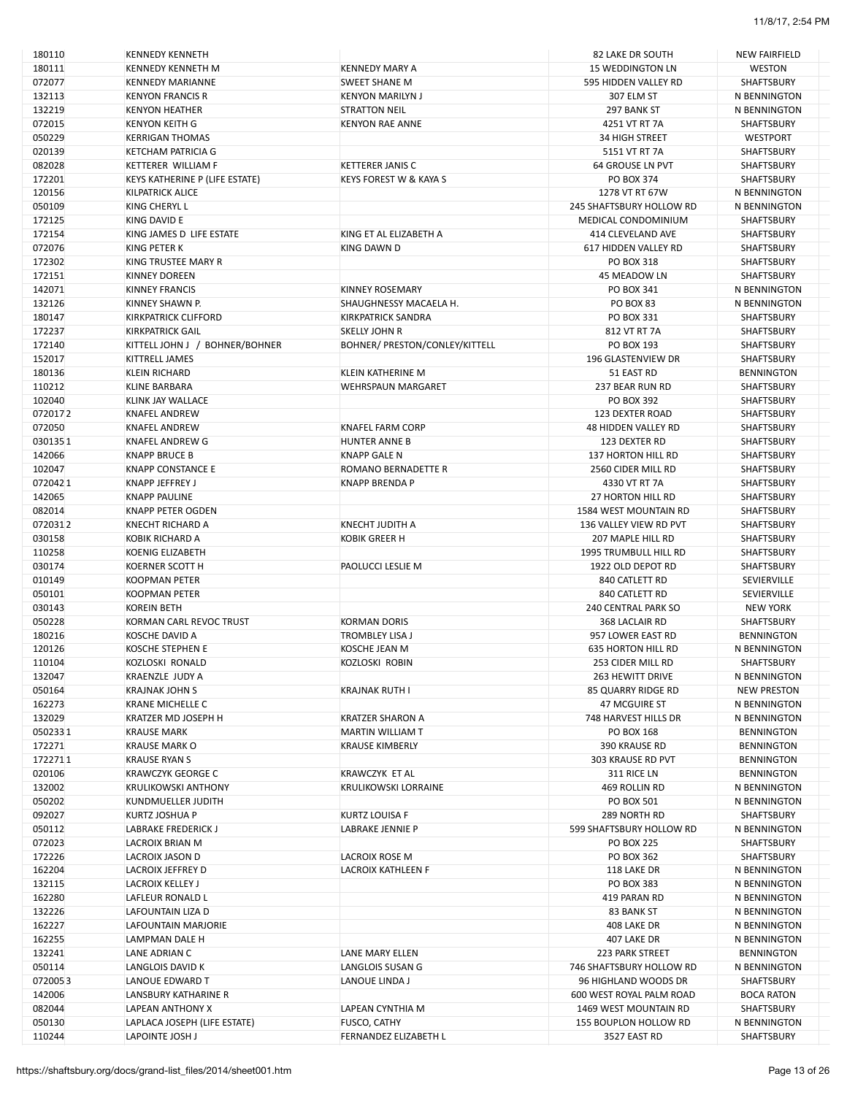| 180110  | <b>KENNEDY KENNETH</b>         |                                | 82 LAKE DR SOUTH           | <b>NEW FAIRFIELD</b> |
|---------|--------------------------------|--------------------------------|----------------------------|----------------------|
| 180111  | <b>KENNEDY KENNETH M</b>       | <b>KENNEDY MARY A</b>          | <b>15 WEDDINGTON LN</b>    | <b>WESTON</b>        |
| 072077  | <b>KENNEDY MARIANNE</b>        | <b>SWEET SHANE M</b>           | 595 HIDDEN VALLEY RD       | SHAFTSBURY           |
| 132113  | <b>KENYON FRANCIS R</b>        | <b>KENYON MARILYN J</b>        | 307 ELM ST                 | N BENNINGTON         |
| 132219  | <b>KENYON HEATHER</b>          | <b>STRATTON NEIL</b>           | 297 BANK ST                | N BENNINGTON         |
| 072015  | <b>KENYON KEITH G</b>          | <b>KENYON RAE ANNE</b>         | 4251 VT RT 7A              | SHAFTSBURY           |
|         |                                |                                |                            | <b>WESTPORT</b>      |
| 050229  | <b>KERRIGAN THOMAS</b>         |                                | 34 HIGH STREET             |                      |
| 020139  | <b>KETCHAM PATRICIA G</b>      |                                | 5151 VT RT 7A              | SHAFTSBURY           |
| 082028  | KETTERER WILLIAM F             | <b>KETTERER JANIS C</b>        | <b>64 GROUSE LN PVT</b>    | SHAFTSBURY           |
| 172201  | KEYS KATHERINE P (LIFE ESTATE) | KEYS FOREST W & KAYA S         | PO BOX 374                 | SHAFTSBURY           |
| 120156  | KILPATRICK ALICE               |                                | 1278 VT RT 67W             | N BENNINGTON         |
| 050109  | <b>KING CHERYL L</b>           |                                | 245 SHAFTSBURY HOLLOW RD   | N BENNINGTON         |
| 172125  | KING DAVID E                   |                                | MEDICAL CONDOMINIUM        | SHAFTSBURY           |
| 172154  | KING JAMES D LIFE ESTATE       | KING ET AL ELIZABETH A         | 414 CLEVELAND AVE          | <b>SHAFTSBURY</b>    |
|         |                                |                                |                            |                      |
| 072076  | <b>KING PETER K</b>            | <b>KING DAWN D</b>             | 617 HIDDEN VALLEY RD       | SHAFTSBURY           |
| 172302  | KING TRUSTEE MARY R            |                                | PO BOX 318                 | SHAFTSBURY           |
| 172151  | KINNEY DOREEN                  |                                | 45 MEADOW LN               | SHAFTSBURY           |
| 142071  | <b>KINNEY FRANCIS</b>          | <b>KINNEY ROSEMARY</b>         | PO BOX 341                 | N BENNINGTON         |
| 132126  | KINNEY SHAWN P.                | SHAUGHNESSY MACAELA H.         | <b>PO BOX 83</b>           | N BENNINGTON         |
| 180147  | KIRKPATRICK CLIFFORD           | <b>KIRKPATRICK SANDRA</b>      | PO BOX 331                 | SHAFTSBURY           |
| 172237  | <b>KIRKPATRICK GAIL</b>        |                                | 812 VT RT 7A               | <b>SHAFTSBURY</b>    |
|         |                                | SKELLY JOHN R                  |                            |                      |
| 172140  | KITTELL JOHN J / BOHNER/BOHNER | BOHNER/ PRESTON/CONLEY/KITTELL | PO BOX 193                 | SHAFTSBURY           |
| 152017  | <b>KITTRELL JAMES</b>          |                                | <b>196 GLASTENVIEW DR</b>  | <b>SHAFTSBURY</b>    |
| 180136  | <b>KLEIN RICHARD</b>           | <b>KLEIN KATHERINE M</b>       | 51 EAST RD                 | <b>BENNINGTON</b>    |
| 110212  | <b>KLINE BARBARA</b>           | <b>WEHRSPAUN MARGARET</b>      | 237 BEAR RUN RD            | SHAFTSBURY           |
| 102040  | KLINK JAY WALLACE              |                                | <b>PO BOX 392</b>          | <b>SHAFTSBURY</b>    |
| 0720172 | <b>KNAFEL ANDREW</b>           |                                | 123 DEXTER ROAD            | SHAFTSBURY           |
| 072050  | <b>KNAFEL ANDREW</b>           | <b>KNAFEL FARM CORP</b>        | <b>48 HIDDEN VALLEY RD</b> | SHAFTSBURY           |
|         |                                |                                |                            |                      |
| 0301351 | KNAFEL ANDREW G                | <b>HUNTER ANNE B</b>           | 123 DEXTER RD              | <b>SHAFTSBURY</b>    |
| 142066  | <b>KNAPP BRUCE B</b>           | <b>KNAPP GALE N</b>            | 137 HORTON HILL RD         | SHAFTSBURY           |
| 102047  | <b>KNAPP CONSTANCE E</b>       | ROMANO BERNADETTE R            | 2560 CIDER MILL RD         | SHAFTSBURY           |
| 0720421 | KNAPP JEFFREY J                | <b>KNAPP BRENDA P</b>          | 4330 VT RT 7A              | SHAFTSBURY           |
| 142065  | <b>KNAPP PAULINE</b>           |                                | 27 HORTON HILL RD          | SHAFTSBURY           |
| 082014  | <b>KNAPP PETER OGDEN</b>       |                                | 1584 WEST MOUNTAIN RD      | SHAFTSBURY           |
|         |                                |                                |                            |                      |
| 0720312 | <b>KNECHT RICHARD A</b>        | KNECHT JUDITH A                | 136 VALLEY VIEW RD PVT     | <b>SHAFTSBURY</b>    |
| 030158  | <b>KOBIK RICHARD A</b>         | <b>KOBIK GREER H</b>           | 207 MAPLE HILL RD          | SHAFTSBURY           |
| 110258  | <b>KOENIG ELIZABETH</b>        |                                | 1995 TRUMBULL HILL RD      | SHAFTSBURY           |
| 030174  | KOERNER SCOTT H                | PAOLUCCI LESLIE M              | 1922 OLD DEPOT RD          | <b>SHAFTSBURY</b>    |
| 010149  | <b>KOOPMAN PETER</b>           |                                | 840 CATLETT RD             | SEVIERVILLE          |
| 050101  | <b>KOOPMAN PETER</b>           |                                | 840 CATLETT RD             | SEVIERVILLE          |
| 030143  | <b>KOREIN BETH</b>             |                                | 240 CENTRAL PARK SO        | <b>NEW YORK</b>      |
|         |                                |                                |                            |                      |
| 050228  | KORMAN CARL REVOC TRUST        | <b>KORMAN DORIS</b>            | 368 LACLAIR RD             | SHAFTSBURY           |
| 180216  | KOSCHE DAVID A                 | <b>TROMBLEY LISA J</b>         | 957 LOWER EAST RD          | <b>BENNINGTON</b>    |
| 120126  | KOSCHE STEPHEN E               | KOSCHE JEAN M                  | <b>635 HORTON HILL RD</b>  | N BENNINGTON         |
| 110104  | KOZLOSKI RONALD                | KOZLOSKI ROBIN                 | 253 CIDER MILL RD          | SHAFTSBURY           |
| 132047  | <b>KRAENZLE JUDY A</b>         |                                | 263 HEWITT DRIVE           | N BENNINGTON         |
| 050164  | <b>KRAJNAK JOHN S</b>          | <b>KRAJNAK RUTH I</b>          | <b>85 QUARRY RIDGE RD</b>  | <b>NEW PRESTON</b>   |
| 162273  | <b>KRANE MICHELLE C</b>        |                                | <b>47 MCGUIRE ST</b>       | N BENNINGTON         |
|         |                                |                                |                            |                      |
| 132029  | KRATZER MD JOSEPH H            | <b>KRATZER SHARON A</b>        | 748 HARVEST HILLS DR       | N BENNINGTON         |
| 0502331 | <b>KRAUSE MARK</b>             | <b>MARTIN WILLIAM T</b>        | PO BOX 168                 | <b>BENNINGTON</b>    |
| 172271  | <b>KRAUSE MARK O</b>           | <b>KRAUSE KIMBERLY</b>         | 390 KRAUSE RD              | <b>BENNINGTON</b>    |
| 1722711 | <b>KRAUSE RYAN S</b>           |                                | 303 KRAUSE RD PVT          | <b>BENNINGTON</b>    |
| 020106  | <b>KRAWCZYK GEORGE C</b>       | <b>KRAWCZYK ET AL</b>          | 311 RICE LN                | <b>BENNINGTON</b>    |
| 132002  | <b>KRULIKOWSKI ANTHONY</b>     | KRULIKOWSKI LORRAINE           | 469 ROLLIN RD              | N BENNINGTON         |
| 050202  | KUNDMUELLER JUDITH             |                                | PO BOX 501                 | N BENNINGTON         |
|         |                                |                                |                            |                      |
| 092027  | KURTZ JOSHUA P                 | KURTZ LOUISA F                 | 289 NORTH RD               | <b>SHAFTSBURY</b>    |
| 050112  | <b>LABRAKE FREDERICK J</b>     | LABRAKE JENNIE P               | 599 SHAFTSBURY HOLLOW RD   | N BENNINGTON         |
| 072023  | LACROIX BRIAN M                |                                | <b>PO BOX 225</b>          | SHAFTSBURY           |
| 172226  | LACROIX JASON D                | LACROIX ROSE M                 | PO BOX 362                 | SHAFTSBURY           |
| 162204  | LACROIX JEFFREY D              | LACROIX KATHLEEN F             | 118 LAKE DR                | N BENNINGTON         |
| 132115  | LACROIX KELLEY J               |                                | PO BOX 383                 | N BENNINGTON         |
| 162280  | LAFLEUR RONALD L               |                                | 419 PARAN RD               | N BENNINGTON         |
|         |                                |                                |                            |                      |
| 132226  | LAFOUNTAIN LIZA D              |                                | 83 BANK ST                 | N BENNINGTON         |
| 162227  | LAFOUNTAIN MARJORIE            |                                | 408 LAKE DR                | N BENNINGTON         |
| 162255  | LAMPMAN DALE H                 |                                | 407 LAKE DR                | N BENNINGTON         |
| 132241  | LANE ADRIAN C                  | LANE MARY ELLEN                | <b>223 PARK STREET</b>     | <b>BENNINGTON</b>    |
| 050114  | LANGLOIS DAVID K               | LANGLOIS SUSAN G               | 746 SHAFTSBURY HOLLOW RD   | N BENNINGTON         |
| 0720053 | LANOUE EDWARD T                | LANOUE LINDA J                 | 96 HIGHLAND WOODS DR       | SHAFTSBURY           |
|         |                                |                                |                            |                      |
| 142006  | LANSBURY KATHARINE R           |                                | 600 WEST ROYAL PALM ROAD   | <b>BOCA RATON</b>    |
| 082044  | LAPEAN ANTHONY X               | LAPEAN CYNTHIA M               | 1469 WEST MOUNTAIN RD      | SHAFTSBURY           |
| 050130  | LAPLACA JOSEPH (LIFE ESTATE)   | FUSCO, CATHY                   | 155 BOUPLON HOLLOW RD      | N BENNINGTON         |
| 110244  | LAPOINTE JOSH J                | FERNANDEZ ELIZABETH L          | 3527 EAST RD               | SHAFTSBURY           |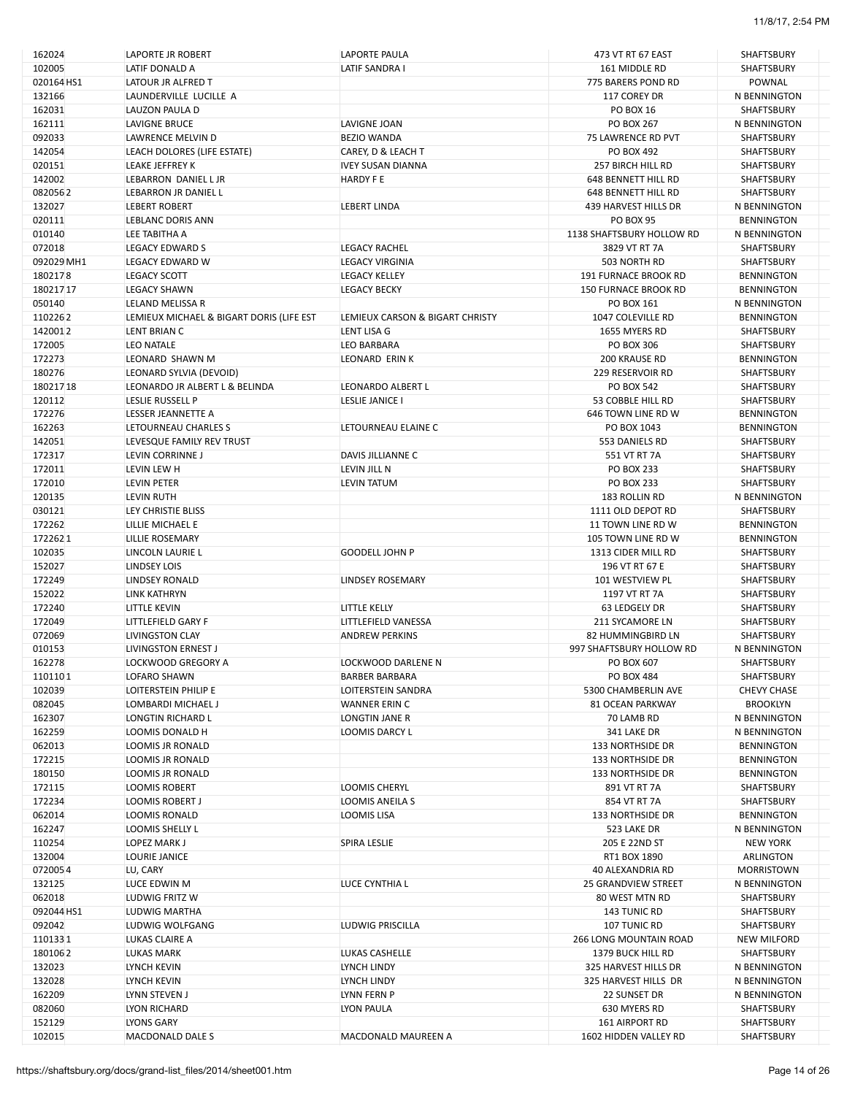| 162024     | <b>LAPORTE JR ROBERT</b>                 | LAPORTE PAULA                   | 473 VT RT 67 EAST           | SHAFTSBURY         |
|------------|------------------------------------------|---------------------------------|-----------------------------|--------------------|
| 102005     | LATIF DONALD A                           | LATIF SANDRA I                  | 161 MIDDLE RD               | SHAFTSBURY         |
| 020164 HS1 | LATOUR JR ALFRED T                       |                                 | 775 BARERS POND RD          | POWNAL             |
| 132166     | LAUNDERVILLE LUCILLE A                   |                                 | 117 COREY DR                | N BENNINGTON       |
| 162031     | LAUZON PAULA D                           |                                 | PO BOX 16                   | SHAFTSBURY         |
| 162111     | LAVIGNE BRUCE                            | LAVIGNE JOAN                    | PO BOX 267                  | N BENNINGTON       |
| 092033     | LAWRENCE MELVIN D                        | <b>BEZIO WANDA</b>              | 75 LAWRENCE RD PVT          | SHAFTSBURY         |
|            |                                          |                                 |                             | <b>SHAFTSBURY</b>  |
| 142054     | LEACH DOLORES (LIFE ESTATE)              | CAREY, D & LEACH T              | PO BOX 492                  |                    |
| 020151     | LEAKE JEFFREY K                          | <b>IVEY SUSAN DIANNA</b>        | 257 BIRCH HILL RD           | SHAFTSBURY         |
| 142002     | LEBARRON DANIEL L JR                     | HARDY F E                       | <b>648 BENNETT HILL RD</b>  | SHAFTSBURY         |
| 0820562    | LEBARRON JR DANIEL L                     |                                 | <b>648 BENNETT HILL RD</b>  | SHAFTSBURY         |
| 132027     | <b>LEBERT ROBERT</b>                     | <b>LEBERT LINDA</b>             | 439 HARVEST HILLS DR        | N BENNINGTON       |
| 020111     | <b>LEBLANC DORIS ANN</b>                 |                                 | <b>PO BOX 95</b>            | <b>BENNINGTON</b>  |
| 010140     | LEE TABITHA A                            |                                 | 1138 SHAFTSBURY HOLLOW RD   | N BENNINGTON       |
| 072018     | LEGACY EDWARD S                          | <b>LEGACY RACHEL</b>            | 3829 VT RT 7A               | <b>SHAFTSBURY</b>  |
| 092029 MH1 | LEGACY EDWARD W                          | <b>LEGACY VIRGINIA</b>          | 503 NORTH RD                | SHAFTSBURY         |
| 1802178    | <b>LEGACY SCOTT</b>                      | <b>LEGACY KELLEY</b>            | <b>191 FURNACE BROOK RD</b> | <b>BENNINGTON</b>  |
| 18021717   | <b>LEGACY SHAWN</b>                      | <b>LEGACY BECKY</b>             | <b>150 FURNACE BROOK RD</b> | <b>BENNINGTON</b>  |
|            |                                          |                                 |                             |                    |
| 050140     | LELAND MELISSA R                         |                                 | PO BOX 161                  | N BENNINGTON       |
| 1102262    | LEMIEUX MICHAEL & BIGART DORIS (LIFE EST | LEMIEUX CARSON & BIGART CHRISTY | 1047 COLEVILLE RD           | <b>BENNINGTON</b>  |
| 1420012    | LENT BRIAN C                             | LENT LISA G                     | 1655 MYERS RD               | SHAFTSBURY         |
| 172005     | <b>LEO NATALE</b>                        | <b>LEO BARBARA</b>              | PO BOX 306                  | SHAFTSBURY         |
| 172273     | LEONARD SHAWN M                          | LEONARD ERIN K                  | 200 KRAUSE RD               | <b>BENNINGTON</b>  |
| 180276     | LEONARD SYLVIA (DEVOID)                  |                                 | 229 RESERVOIR RD            | SHAFTSBURY         |
| 18021718   | LEONARDO JR ALBERT L & BELINDA           | LEONARDO ALBERT L               | <b>PO BOX 542</b>           | SHAFTSBURY         |
|            |                                          |                                 |                             | <b>SHAFTSBURY</b>  |
| 120112     | LESLIE RUSSELL P                         | <b>LESLIE JANICE I</b>          | 53 COBBLE HILL RD           |                    |
| 172276     | LESSER JEANNETTE A                       |                                 | 646 TOWN LINE RD W          | <b>BENNINGTON</b>  |
| 162263     | LETOURNEAU CHARLES S                     | LETOURNEAU ELAINE C             | PO BOX 1043                 | <b>BENNINGTON</b>  |
| 142051     | LEVESQUE FAMILY REV TRUST                |                                 | 553 DANIELS RD              | SHAFTSBURY         |
| 172317     | LEVIN CORRINNE J                         | DAVIS JILLIANNE C               | 551 VT RT 7A                | SHAFTSBURY         |
| 172011     | LEVIN LEW H                              | LEVIN JILL N                    | PO BOX 233                  | SHAFTSBURY         |
| 172010     | LEVIN PETER                              | LEVIN TATUM                     | PO BOX 233                  | SHAFTSBURY         |
| 120135     | LEVIN RUTH                               |                                 | 183 ROLLIN RD               | N BENNINGTON       |
|            |                                          |                                 |                             |                    |
| 030121     | LEY CHRISTIE BLISS                       |                                 | 1111 OLD DEPOT RD           | SHAFTSBURY         |
| 172262     | LILLIE MICHAEL E                         |                                 | 11 TOWN LINE RD W           | <b>BENNINGTON</b>  |
| 1722621    | LILLIE ROSEMARY                          |                                 | 105 TOWN LINE RD W          | <b>BENNINGTON</b>  |
| 102035     | LINCOLN LAURIE L                         | <b>GOODELL JOHN P</b>           | 1313 CIDER MILL RD          | SHAFTSBURY         |
| 152027     | <b>LINDSEY LOIS</b>                      |                                 | 196 VT RT 67 E              | SHAFTSBURY         |
| 172249     | LINDSEY RONALD                           | <b>LINDSEY ROSEMARY</b>         | 101 WESTVIEW PL             | SHAFTSBURY         |
| 152022     | <b>LINK KATHRYN</b>                      |                                 | 1197 VT RT 7A               | SHAFTSBURY         |
|            | LITTLE KEVIN                             |                                 | 63 LEDGELY DR               |                    |
| 172240     |                                          | LITTLE KELLY                    |                             | SHAFTSBURY         |
| 172049     | LITTLEFIELD GARY F                       | LITTLEFIELD VANESSA             | 211 SYCAMORE LN             | SHAFTSBURY         |
| 072069     | LIVINGSTON CLAY                          | <b>ANDREW PERKINS</b>           | <b>82 HUMMINGBIRD LN</b>    | SHAFTSBURY         |
| 010153     | LIVINGSTON ERNEST J                      |                                 | 997 SHAFTSBURY HOLLOW RD    | N BENNINGTON       |
| 162278     | LOCKWOOD GREGORY A                       | LOCKWOOD DARLENE N              | PO BOX 607                  | SHAFTSBURY         |
| 1101101    | LOFARO SHAWN                             | <b>BARBER BARBARA</b>           | PO BOX 484                  | SHAFTSBURY         |
| 102039     | LOITERSTEIN PHILIP E                     | LOITERSTEIN SANDRA              | 5300 CHAMBERLIN AVE         | <b>CHEVY CHASE</b> |
| 082045     | LOMBARDI MICHAEL J                       | <b>WANNER ERIN C</b>            | <b>81 OCEAN PARKWAY</b>     | <b>BROOKLYN</b>    |
|            |                                          |                                 |                             |                    |
| 162307     | LONGTIN RICHARD L                        | <b>LONGTIN JANE R</b>           | 70 LAMB RD                  | N BENNINGTON       |
| 162259     | LOOMIS DONALD H                          | <b>LOOMIS DARCY L</b>           | 341 LAKE DR                 | N BENNINGTON       |
| 062013     | LOOMIS JR RONALD                         |                                 | <b>133 NORTHSIDE DR</b>     | <b>BENNINGTON</b>  |
| 172215     | LOOMIS JR RONALD                         |                                 | 133 NORTHSIDE DR            | <b>BENNINGTON</b>  |
| 180150     | LOOMIS JR RONALD                         |                                 | <b>133 NORTHSIDE DR</b>     | <b>BENNINGTON</b>  |
| 172115     | LOOMIS ROBERT                            | <b>LOOMIS CHERYL</b>            | 891 VT RT 7A                | <b>SHAFTSBURY</b>  |
| 172234     | LOOMIS ROBERT J                          | <b>LOOMIS ANEILA S</b>          | 854 VT RT 7A                | SHAFTSBURY         |
|            |                                          |                                 |                             |                    |
| 062014     | LOOMIS RONALD                            | LOOMIS LISA                     | 133 NORTHSIDE DR            | <b>BENNINGTON</b>  |
| 162247     | LOOMIS SHELLY L                          |                                 | 523 LAKE DR                 | N BENNINGTON       |
| 110254     | LOPEZ MARK J                             | SPIRA LESLIE                    | 205 E 22ND ST               | <b>NEW YORK</b>    |
| 132004     | LOURIE JANICE                            |                                 | RT1 BOX 1890                | <b>ARLINGTON</b>   |
| 0720054    | LU, CARY                                 |                                 | 40 ALEXANDRIA RD            | <b>MORRISTOWN</b>  |
| 132125     | LUCE EDWIN M                             | LUCE CYNTHIA L                  | <b>25 GRANDVIEW STREET</b>  | N BENNINGTON       |
| 062018     | LUDWIG FRITZ W                           |                                 | 80 WEST MTN RD              | SHAFTSBURY         |
| 092044 HS1 | LUDWIG MARTHA                            |                                 | <b>143 TUNIC RD</b>         | SHAFTSBURY         |
|            |                                          |                                 |                             |                    |
| 092042     | LUDWIG WOLFGANG                          | LUDWIG PRISCILLA                | 107 TUNIC RD                | SHAFTSBURY         |
| 1101331    | LUKAS CLAIRE A                           |                                 | 266 LONG MOUNTAIN ROAD      | <b>NEW MILFORD</b> |
| 1801062    | LUKAS MARK                               | LUKAS CASHELLE                  | 1379 BUCK HILL RD           | SHAFTSBURY         |
| 132023     | LYNCH KEVIN                              | LYNCH LINDY                     | 325 HARVEST HILLS DR        | N BENNINGTON       |
| 132028     | LYNCH KEVIN                              | LYNCH LINDY                     | 325 HARVEST HILLS DR        | N BENNINGTON       |
| 162209     | LYNN STEVEN J                            | LYNN FERN P                     | 22 SUNSET DR                | N BENNINGTON       |
|            |                                          |                                 |                             |                    |
| 082060     | LYON RICHARD                             | LYON PAULA                      | 630 MYERS RD                | SHAFTSBURY         |
| 152129     | LYONS GARY                               |                                 | 161 AIRPORT RD              | SHAFTSBURY         |
| 102015     | MACDONALD DALE S                         | MACDONALD MAUREEN A             | 1602 HIDDEN VALLEY RD       | SHAFTSBURY         |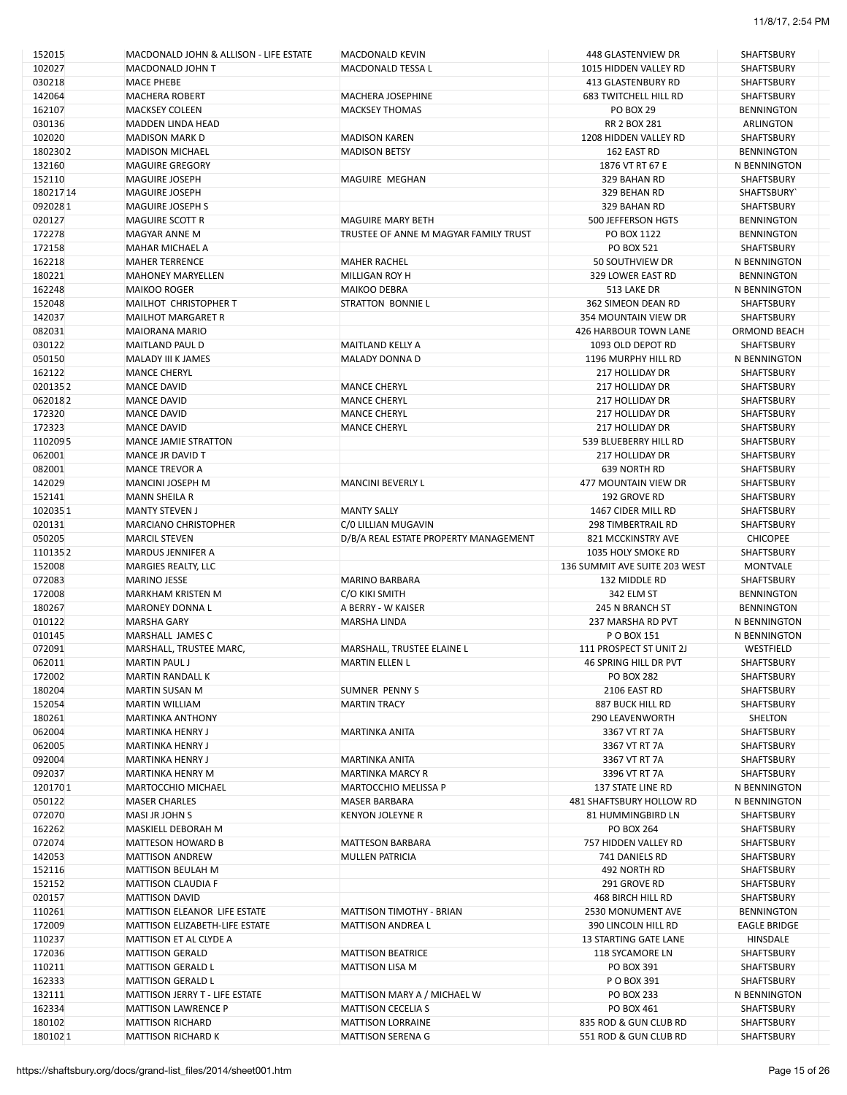| 152015   | MACDONALD JOHN & ALLISON - LIFE ESTATE | <b>MACDONALD KEVIN</b>                | 448 GLASTENVIEW DR            | SHAFTSBURY          |
|----------|----------------------------------------|---------------------------------------|-------------------------------|---------------------|
| 102027   | <b>MACDONALD JOHN T</b>                | MACDONALD TESSA L                     | 1015 HIDDEN VALLEY RD         | SHAFTSBURY          |
| 030218   | <b>MACE PHEBE</b>                      |                                       | 413 GLASTENBURY RD            | SHAFTSBURY          |
| 142064   | <b>MACHERA ROBERT</b>                  | <b>MACHERA JOSEPHINE</b>              | <b>683 TWITCHELL HILL RD</b>  | SHAFTSBURY          |
|          |                                        |                                       |                               |                     |
| 162107   | <b>MACKSEY COLEEN</b>                  | <b>MACKSEY THOMAS</b>                 | PO BOX 29                     | <b>BENNINGTON</b>   |
| 030136   | <b>MADDEN LINDA HEAD</b>               |                                       | <b>RR 2 BOX 281</b>           | <b>ARLINGTON</b>    |
| 102020   | <b>MADISON MARK D</b>                  | <b>MADISON KAREN</b>                  | 1208 HIDDEN VALLEY RD         | SHAFTSBURY          |
| 1802302  | <b>MADISON MICHAEL</b>                 | <b>MADISON BETSY</b>                  | 162 EAST RD                   | <b>BENNINGTON</b>   |
| 132160   | <b>MAGUIRE GREGORY</b>                 |                                       | 1876 VT RT 67 E               | N BENNINGTON        |
|          |                                        |                                       |                               |                     |
| 152110   | <b>MAGUIRE JOSEPH</b>                  | MAGUIRE MEGHAN                        | 329 BAHAN RD                  | SHAFTSBURY          |
| 18021714 | <b>MAGUIRE JOSEPH</b>                  |                                       | 329 BEHAN RD                  | SHAFTSBURY`         |
| 0920281  | <b>MAGUIRE JOSEPH S</b>                |                                       | 329 BAHAN RD                  | SHAFTSBURY          |
| 020127   | <b>MAGUIRE SCOTT R</b>                 | <b>MAGUIRE MARY BETH</b>              | 500 JEFFERSON HGTS            | <b>BENNINGTON</b>   |
| 172278   | MAGYAR ANNE M                          | TRUSTEE OF ANNE M MAGYAR FAMILY TRUST | PO BOX 1122                   | <b>BENNINGTON</b>   |
| 172158   | <b>MAHAR MICHAEL A</b>                 |                                       | PO BOX 521                    | SHAFTSBURY          |
|          |                                        |                                       |                               |                     |
| 162218   | <b>MAHER TERRENCE</b>                  | <b>MAHER RACHEL</b>                   | 50 SOUTHVIEW DR               | N BENNINGTON        |
| 180221   | <b>MAHONEY MARYELLEN</b>               | MILLIGAN ROY H                        | 329 LOWER EAST RD             | <b>BENNINGTON</b>   |
| 162248   | <b>MAIKOO ROGER</b>                    | <b>MAIKOO DEBRA</b>                   | 513 LAKE DR                   | N BENNINGTON        |
| 152048   | MAILHOT CHRISTOPHER T                  | <b>STRATTON BONNIE L</b>              | 362 SIMEON DEAN RD            | SHAFTSBURY          |
| 142037   | <b>MAILHOT MARGARET R</b>              |                                       | 354 MOUNTAIN VIEW DR          | SHAFTSBURY          |
|          |                                        |                                       |                               |                     |
| 082031   | <b>MAIORANA MARIO</b>                  |                                       | <b>426 HARBOUR TOWN LANE</b>  | ORMOND BEACH        |
| 030122   | <b>MAITLAND PAUL D</b>                 | MAITLAND KELLY A                      | 1093 OLD DEPOT RD             | SHAFTSBURY          |
| 050150   | <b>MALADY III K JAMES</b>              | MALADY DONNA D                        | 1196 MURPHY HILL RD           | N BENNINGTON        |
| 162122   | <b>MANCE CHERYL</b>                    |                                       | 217 HOLLIDAY DR               | SHAFTSBURY          |
| 0201352  | <b>MANCE DAVID</b>                     | <b>MANCE CHERYL</b>                   | 217 HOLLIDAY DR               | SHAFTSBURY          |
|          |                                        |                                       |                               |                     |
| 0620182  | <b>MANCE DAVID</b>                     | <b>MANCE CHERYL</b>                   | 217 HOLLIDAY DR               | SHAFTSBURY          |
| 172320   | <b>MANCE DAVID</b>                     | <b>MANCE CHERYL</b>                   | 217 HOLLIDAY DR               | <b>SHAFTSBURY</b>   |
| 172323   | <b>MANCE DAVID</b>                     | <b>MANCE CHERYL</b>                   | 217 HOLLIDAY DR               | SHAFTSBURY          |
| 1102095  | MANCE JAMIE STRATTON                   |                                       | 539 BLUEBERRY HILL RD         | SHAFTSBURY          |
| 062001   | MANCE JR DAVID T                       |                                       | 217 HOLLIDAY DR               | SHAFTSBURY          |
| 082001   | <b>MANCE TREVOR A</b>                  |                                       | 639 NORTH RD                  | SHAFTSBURY          |
|          |                                        |                                       |                               |                     |
| 142029   | <b>MANCINI JOSEPH M</b>                | <b>MANCINI BEVERLY L</b>              | 477 MOUNTAIN VIEW DR          | SHAFTSBURY          |
| 152141   | <b>MANN SHEILA R</b>                   |                                       | 192 GROVE RD                  | SHAFTSBURY          |
| 1020351  | <b>MANTY STEVEN J</b>                  | <b>MANTY SALLY</b>                    | 1467 CIDER MILL RD            | SHAFTSBURY          |
| 020131   | <b>MARCIANO CHRISTOPHER</b>            | C/0 LILLIAN MUGAVIN                   | 298 TIMBERTRAIL RD            | SHAFTSBURY          |
| 050205   | <b>MARCIL STEVEN</b>                   | D/B/A REAL ESTATE PROPERTY MANAGEMENT | 821 MCCKINSTRY AVE            | <b>CHICOPEE</b>     |
|          |                                        |                                       |                               |                     |
| 1101352  | <b>MARDUS JENNIFER A</b>               |                                       | 1035 HOLY SMOKE RD            | SHAFTSBURY          |
| 152008   | <b>MARGIES REALTY, LLC</b>             |                                       | 136 SUMMIT AVE SUITE 203 WEST | MONTVALE            |
| 072083   | <b>MARINO JESSE</b>                    | <b>MARINO BARBARA</b>                 | 132 MIDDLE RD                 | SHAFTSBURY          |
| 172008   | <b>MARKHAM KRISTEN M</b>               | C/O KIKI SMITH                        | 342 ELM ST                    | <b>BENNINGTON</b>   |
| 180267   | <b>MARONEY DONNA L</b>                 | A BERRY - W KAISER                    | 245 N BRANCH ST               | <b>BENNINGTON</b>   |
| 010122   | <b>MARSHA GARY</b>                     | <b>MARSHA LINDA</b>                   | 237 MARSHA RD PVT             | N BENNINGTON        |
|          |                                        |                                       |                               |                     |
| 010145   | MARSHALL JAMES C                       |                                       | P O BOX 151                   | N BENNINGTON        |
| 072091   | MARSHALL, TRUSTEE MARC,                | MARSHALL, TRUSTEE ELAINE L            | 111 PROSPECT ST UNIT 2J       | WESTFIELD           |
| 062011   | <b>MARTIN PAUL J</b>                   | <b>MARTIN ELLEN L</b>                 | 46 SPRING HILL DR PVT         | SHAFTSBURY          |
| 172002   | <b>MARTIN RANDALL K</b>                |                                       | <b>PO BOX 282</b>             | SHAFTSBURY          |
| 180204   |                                        | SUMNER PENNY S                        |                               | SHAFTSBURY          |
|          | <b>MARTIN SUSAN M</b>                  |                                       | 2106 EAST RD                  |                     |
| 152054   | <b>MARTIN WILLIAM</b>                  | <b>MARTIN TRACY</b>                   | 887 BUCK HILL RD              | SHAFTSBURY          |
| 180261   | <b>MARTINKA ANTHONY</b>                |                                       | <b>290 LEAVENWORTH</b>        | SHELTON             |
| 062004   | <b>MARTINKA HENRY J</b>                | MARTINKA ANITA                        | 3367 VT RT 7A                 | SHAFTSBURY          |
| 062005   | <b>MARTINKA HENRY J</b>                |                                       | 3367 VT RT 7A                 | <b>SHAFTSBURY</b>   |
| 092004   | <b>MARTINKA HENRY J</b>                | <b>MARTINKA ANITA</b>                 | 3367 VT RT 7A                 | SHAFTSBURY          |
|          |                                        |                                       |                               |                     |
| 092037   | <b>MARTINKA HENRY M</b>                | <b>MARTINKA MARCY R</b>               | 3396 VT RT 7A                 | SHAFTSBURY          |
| 1201701  | MARTOCCHIO MICHAEL                     | <b>MARTOCCHIO MELISSA P</b>           | 137 STATE LINE RD             | N BENNINGTON        |
| 050122   | <b>MASER CHARLES</b>                   | <b>MASER BARBARA</b>                  | 481 SHAFTSBURY HOLLOW RD      | N BENNINGTON        |
| 072070   | <b>MASI JR JOHN S</b>                  | <b>KENYON JOLEYNE R</b>               | 81 HUMMINGBIRD LN             | SHAFTSBURY          |
| 162262   | MASKIELL DEBORAH M                     |                                       | PO BOX 264                    | SHAFTSBURY          |
| 072074   | <b>MATTESON HOWARD B</b>               | <b>MATTESON BARBARA</b>               | 757 HIDDEN VALLEY RD          | SHAFTSBURY          |
|          |                                        |                                       |                               |                     |
| 142053   | <b>MATTISON ANDREW</b>                 | MULLEN PATRICIA                       | 741 DANIELS RD                | SHAFTSBURY          |
| 152116   | <b>MATTISON BEULAH M</b>               |                                       | 492 NORTH RD                  | SHAFTSBURY          |
| 152152   | <b>MATTISON CLAUDIA F</b>              |                                       | 291 GROVE RD                  | SHAFTSBURY          |
| 020157   | <b>MATTISON DAVID</b>                  |                                       | 468 BIRCH HILL RD             | SHAFTSBURY          |
| 110261   | MATTISON ELEANOR LIFE ESTATE           | MATTISON TIMOTHY - BRIAN              | 2530 MONUMENT AVE             | <b>BENNINGTON</b>   |
|          |                                        |                                       |                               |                     |
| 172009   | MATTISON ELIZABETH-LIFE ESTATE         | <b>MATTISON ANDREA L</b>              | 390 LINCOLN HILL RD           | <b>EAGLE BRIDGE</b> |
| 110237   | MATTISON ET AL CLYDE A                 |                                       | 13 STARTING GATE LANE         | HINSDALE            |
| 172036   | <b>MATTISON GERALD</b>                 | <b>MATTISON BEATRICE</b>              | 118 SYCAMORE LN               | SHAFTSBURY          |
| 110211   | <b>MATTISON GERALD L</b>               | <b>MATTISON LISA M</b>                | PO BOX 391                    | SHAFTSBURY          |
|          |                                        |                                       |                               |                     |
| 162333   | <b>MATTISON GERALD L</b>               |                                       | P O BOX 391                   | SHAFTSBURY          |
| 132111   | <b>MATTISON JERRY T - LIFE ESTATE</b>  | MATTISON MARY A / MICHAEL W           | <b>PO BOX 233</b>             | N BENNINGTON        |
| 162334   | <b>MATTISON LAWRENCE P</b>             | <b>MATTISON CECELIA S</b>             | PO BOX 461                    | SHAFTSBURY          |
| 180102   | <b>MATTISON RICHARD</b>                | <b>MATTISON LORRAINE</b>              | 835 ROD & GUN CLUB RD         | SHAFTSBURY          |
| 1801021  | <b>MATTISON RICHARD K</b>              | MATTISON SERENA G                     | 551 ROD & GUN CLUB RD         | SHAFTSBURY          |
|          |                                        |                                       |                               |                     |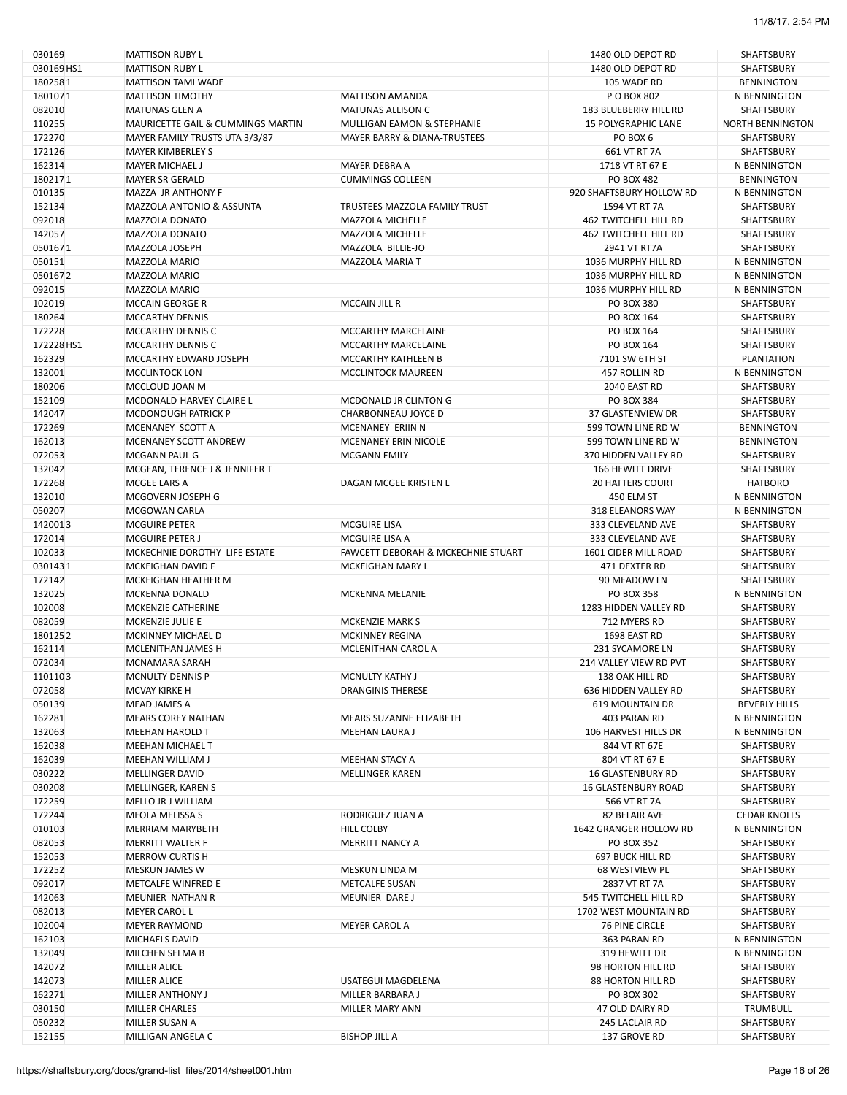| 030169     | <b>MATTISON RUBY L</b>               |                                               | 1480 OLD DEPOT RD            | SHAFTSBURY              |
|------------|--------------------------------------|-----------------------------------------------|------------------------------|-------------------------|
| 030169 HS1 | <b>MATTISON RUBY L</b>               |                                               | 1480 OLD DEPOT RD            | <b>SHAFTSBURY</b>       |
| 1802581    | MATTISON TAMI WADE                   |                                               | 105 WADE RD                  | <b>BENNINGTON</b>       |
| 1801071    | <b>MATTISON TIMOTHY</b>              | <b>MATTISON AMANDA</b>                        | P O BOX 802                  | N BENNINGTON            |
| 082010     | <b>MATUNAS GLEN A</b>                | <b>MATUNAS ALLISON C</b>                      | 183 BLUEBERRY HILL RD        | <b>SHAFTSBURY</b>       |
| 110255     | MAURICETTE GAIL & CUMMINGS MARTIN    | <b>MULLIGAN EAMON &amp; STEPHANIE</b>         | <b>15 POLYGRAPHIC LANE</b>   | <b>NORTH BENNINGTON</b> |
|            | MAYER FAMILY TRUSTS UTA 3/3/87       | <b>MAYER BARRY &amp; DIANA-TRUSTEES</b>       |                              |                         |
| 172270     |                                      |                                               | PO BOX 6                     | SHAFTSBURY              |
| 172126     | <b>MAYER KIMBERLEY S</b>             |                                               | 661 VT RT 7A                 | SHAFTSBURY              |
| 162314     | <b>MAYER MICHAEL J</b>               | MAYER DEBRA A                                 | 1718 VT RT 67 E              | N BENNINGTON            |
| 1802171    | <b>MAYER SR GERALD</b>               | <b>CUMMINGS COLLEEN</b>                       | PO BOX 482                   | <b>BENNINGTON</b>       |
| 010135     | MAZZA JR ANTHONY F                   |                                               | 920 SHAFTSBURY HOLLOW RD     | N BENNINGTON            |
| 152134     | <b>MAZZOLA ANTONIO &amp; ASSUNTA</b> | TRUSTEES MAZZOLA FAMILY TRUST                 | 1594 VT RT 7A                | SHAFTSBURY              |
| 092018     | MAZZOLA DONATO                       | <b>MAZZOLA MICHELLE</b>                       | <b>462 TWITCHELL HILL RD</b> | SHAFTSBURY              |
| 142057     | MAZZOLA DONATO                       | <b>MAZZOLA MICHELLE</b>                       | <b>462 TWITCHELL HILL RD</b> | SHAFTSBURY              |
| 0501671    | MAZZOLA JOSEPH                       | MAZZOLA BILLIE-JO                             | 2941 VT RT7A                 | <b>SHAFTSBURY</b>       |
| 050151     | MAZZOLA MARIO                        | <b>MAZZOLA MARIA T</b>                        | 1036 MURPHY HILL RD          | N BENNINGTON            |
| 0501672    | MAZZOLA MARIO                        |                                               | 1036 MURPHY HILL RD          | N BENNINGTON            |
|            |                                      |                                               |                              |                         |
| 092015     | MAZZOLA MARIO                        |                                               | 1036 MURPHY HILL RD          | N BENNINGTON            |
| 102019     | <b>MCCAIN GEORGE R</b>               | <b>MCCAIN JILL R</b>                          | <b>PO BOX 380</b>            | SHAFTSBURY              |
| 180264     | <b>MCCARTHY DENNIS</b>               |                                               | PO BOX 164                   | SHAFTSBURY              |
| 172228     | MCCARTHY DENNIS C                    | <b>MCCARTHY MARCELAINE</b>                    | PO BOX 164                   | <b>SHAFTSBURY</b>       |
| 172228 HS1 | <b>MCCARTHY DENNIS C</b>             | MCCARTHY MARCELAINE                           | PO BOX 164                   | SHAFTSBURY              |
| 162329     | MCCARTHY EDWARD JOSEPH               | <b>MCCARTHY KATHLEEN B</b>                    | 7101 SW 6TH ST               | <b>PLANTATION</b>       |
| 132001     | <b>MCCLINTOCK LON</b>                | <b>MCCLINTOCK MAUREEN</b>                     | 457 ROLLIN RD                | N BENNINGTON            |
| 180206     | MCCLOUD JOAN M                       |                                               | 2040 EAST RD                 | SHAFTSBURY              |
| 152109     | MCDONALD-HARVEY CLAIRE L             | MCDONALD JR CLINTON G                         | PO BOX 384                   | SHAFTSBURY              |
|            |                                      |                                               | 37 GLASTENVIEW DR            |                         |
| 142047     | <b>MCDONOUGH PATRICK P</b>           | CHARBONNEAU JOYCE D                           |                              | SHAFTSBURY              |
| 172269     | MCENANEY SCOTT A                     | MCENANEY ERIIN N                              | 599 TOWN LINE RD W           | <b>BENNINGTON</b>       |
| 162013     | MCENANEY SCOTT ANDREW                | MCENANEY ERIN NICOLE                          | 599 TOWN LINE RD W           | <b>BENNINGTON</b>       |
| 072053     | MCGANN PAUL G                        | <b>MCGANN EMILY</b>                           | 370 HIDDEN VALLEY RD         | SHAFTSBURY              |
| 132042     | MCGEAN, TERENCE J & JENNIFER T       |                                               | <b>166 HEWITT DRIVE</b>      | SHAFTSBURY              |
| 172268     | MCGEE LARS A                         | DAGAN MCGEE KRISTEN L                         | <b>20 HATTERS COURT</b>      | <b>HATBORO</b>          |
| 132010     | MCGOVERN JOSEPH G                    |                                               | 450 ELM ST                   | N BENNINGTON            |
| 050207     | MCGOWAN CARLA                        |                                               | 318 ELEANORS WAY             | N BENNINGTON            |
| 1420013    | <b>MCGUIRE PETER</b>                 | MCGUIRE LISA                                  | 333 CLEVELAND AVE            | SHAFTSBURY              |
| 172014     | <b>MCGUIRE PETER J</b>               | MCGUIRE LISA A                                | 333 CLEVELAND AVE            | SHAFTSBURY              |
| 102033     | MCKECHNIE DOROTHY- LIFE ESTATE       | <b>FAWCETT DEBORAH &amp; MCKECHNIE STUART</b> | 1601 CIDER MILL ROAD         | SHAFTSBURY              |
|            |                                      |                                               |                              |                         |
| 0301431    | MCKEIGHAN DAVID F                    | MCKEIGHAN MARY L                              | 471 DEXTER RD                | SHAFTSBURY              |
| 172142     | MCKEIGHAN HEATHER M                  |                                               | 90 MEADOW LN                 | SHAFTSBURY              |
| 132025     | <b>MCKENNA DONALD</b>                | <b>MCKENNA MELANIE</b>                        | <b>PO BOX 358</b>            | N BENNINGTON            |
| 102008     | MCKENZIE CATHERINE                   |                                               | 1283 HIDDEN VALLEY RD        | SHAFTSBURY              |
| 082059     | MCKENZIE JULIE E                     | <b>MCKENZIE MARK S</b>                        | 712 MYERS RD                 | SHAFTSBURY              |
| 1801252    | <b>MCKINNEY MICHAEL D</b>            | <b>MCKINNEY REGINA</b>                        | 1698 EAST RD                 | <b>SHAFTSBURY</b>       |
| 162114     | <b>MCLENITHAN JAMES H</b>            | <b>MCLENITHAN CAROL A</b>                     | 231 SYCAMORE LN              | <b>SHAFTSBURY</b>       |
| 072034     | <b>MCNAMARA SARAH</b>                |                                               | 214 VALLEY VIEW RD PVT       | SHAFTSBURY              |
| 1101103    | MCNULTY DENNIS P                     | MCNULTY KATHY J                               | 138 OAK HILL RD              | SHAFTSBURY              |
| 072058     | MCVAY KIRKE H                        | <b>DRANGINIS THERESE</b>                      | 636 HIDDEN VALLEY RD         | SHAFTSBURY              |
|            |                                      |                                               |                              |                         |
| 050139     | MEAD JAMES A                         |                                               | <b>619 MOUNTAIN DR</b>       | <b>BEVERLY HILLS</b>    |
| 162281     | <b>MEARS COREY NATHAN</b>            | MEARS SUZANNE ELIZABETH                       | 403 PARAN RD                 | N BENNINGTON            |
| 132063     | <b>MEEHAN HAROLD T</b>               | MEEHAN LAURA J                                | 106 HARVEST HILLS DR         | N BENNINGTON            |
| 162038     | <b>MEEHAN MICHAEL T</b>              |                                               | 844 VT RT 67E                | SHAFTSBURY              |
| 162039     | <b>MEEHAN WILLIAM J</b>              | <b>MEEHAN STACY A</b>                         | 804 VT RT 67 E               | SHAFTSBURY              |
| 030222     | MELLINGER DAVID                      | <b>MELLINGER KAREN</b>                        | <b>16 GLASTENBURY RD</b>     | SHAFTSBURY              |
| 030208     | MELLINGER, KAREN S                   |                                               | <b>16 GLASTENBURY ROAD</b>   | SHAFTSBURY              |
| 172259     | MELLO JR J WILLIAM                   |                                               | 566 VT RT 7A                 | SHAFTSBURY              |
| 172244     | MEOLA MELISSA S                      | RODRIGUEZ JUAN A                              | 82 BELAIR AVE                | <b>CEDAR KNOLLS</b>     |
| 010103     | <b>MERRIAM MARYBETH</b>              | <b>HILL COLBY</b>                             | 1642 GRANGER HOLLOW RD       | N BENNINGTON            |
|            |                                      |                                               |                              |                         |
| 082053     | <b>MERRITT WALTER F</b>              | <b>MERRITT NANCY A</b>                        | PO BOX 352                   | SHAFTSBURY              |
| 152053     | <b>MERROW CURTIS H</b>               |                                               | <b>697 BUCK HILL RD</b>      | SHAFTSBURY              |
| 172252     | <b>MESKUN JAMES W</b>                | MESKUN LINDA M                                | 68 WESTVIEW PL               | SHAFTSBURY              |
| 092017     | METCALFE WINFRED E                   | <b>METCALFE SUSAN</b>                         | 2837 VT RT 7A                | SHAFTSBURY              |
| 142063     | MEUNIER NATHAN R                     | MEUNIER DARE J                                | 545 TWITCHELL HILL RD        | SHAFTSBURY              |
| 082013     | <b>MEYER CAROL L</b>                 |                                               | 1702 WEST MOUNTAIN RD        | SHAFTSBURY              |
| 102004     | <b>MEYER RAYMOND</b>                 | <b>MEYER CAROL A</b>                          | <b>76 PINE CIRCLE</b>        | SHAFTSBURY              |
| 162103     | MICHAELS DAVID                       |                                               | 363 PARAN RD                 | N BENNINGTON            |
| 132049     | MILCHEN SELMA B                      |                                               | 319 HEWITT DR                | N BENNINGTON            |
|            |                                      |                                               |                              |                         |
| 142072     | <b>MILLER ALICE</b>                  |                                               | 98 HORTON HILL RD            | SHAFTSBURY              |
| 142073     | <b>MILLER ALICE</b>                  | USATEGUI MAGDELENA                            | <b>88 HORTON HILL RD</b>     | SHAFTSBURY              |
| 162271     | MILLER ANTHONY J                     | MILLER BARBARA J                              | PO BOX 302                   | SHAFTSBURY              |
| 030150     | MILLER CHARLES                       | MILLER MARY ANN                               | 47 OLD DAIRY RD              | TRUMBULL                |
| 050232     | MILLER SUSAN A                       |                                               | 245 LACLAIR RD               | SHAFTSBURY              |
| 152155     | MILLIGAN ANGELA C                    | <b>BISHOP JILL A</b>                          | 137 GROVE RD                 | SHAFTSBURY              |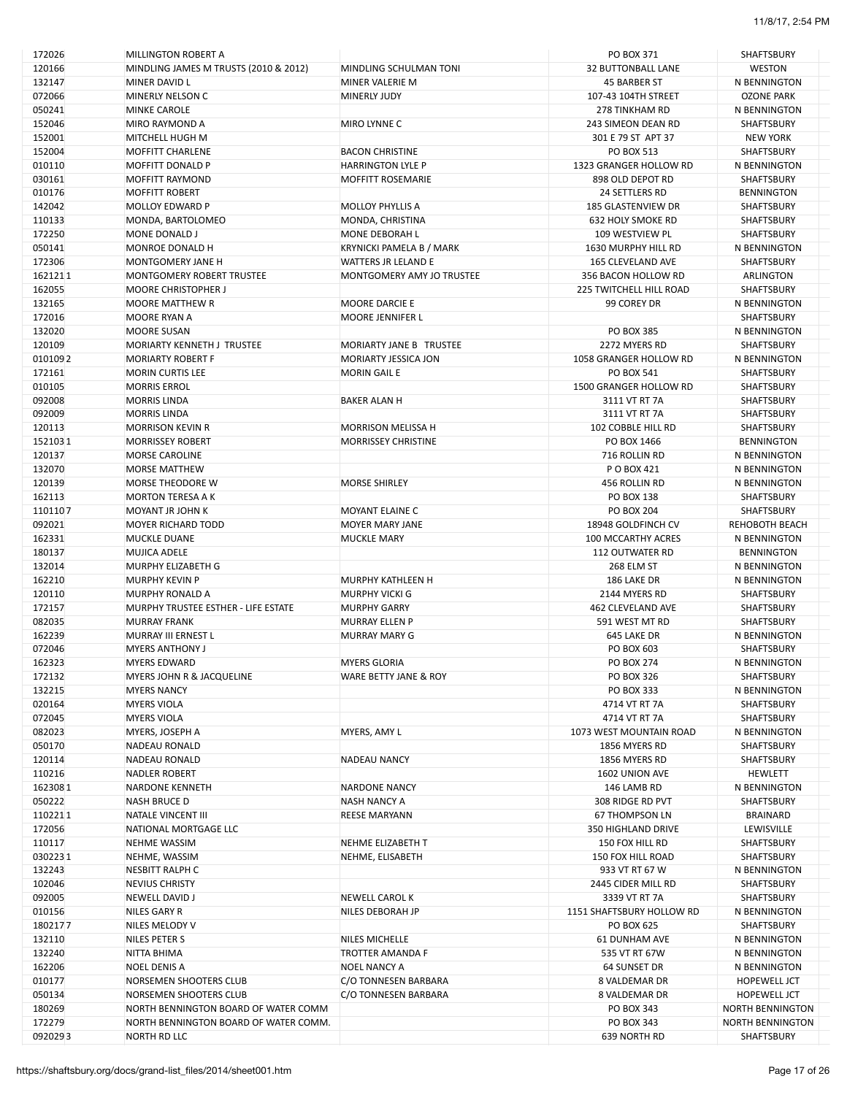| 172026  | <b>MILLINGTON ROBERT A</b>            |                                 | PO BOX 371                     | SHAFTSBURY              |
|---------|---------------------------------------|---------------------------------|--------------------------------|-------------------------|
| 120166  | MINDLING JAMES M TRUSTS (2010 & 2012) | MINDLING SCHULMAN TONI          | <b>32 BUTTONBALL LANE</b>      | WESTON                  |
| 132147  | MINER DAVID L                         | MINER VALERIE M                 | <b>45 BARBER ST</b>            | N BENNINGTON            |
| 072066  | MINERLY NELSON C                      | <b>MINERLY JUDY</b>             | 107-43 104TH STREET            | <b>OZONE PARK</b>       |
| 050241  | <b>MINKE CAROLE</b>                   |                                 | <b>278 TINKHAM RD</b>          | N BENNINGTON            |
| 152046  | <b>MIRO RAYMOND A</b>                 | MIRO LYNNE C                    | 243 SIMEON DEAN RD             | SHAFTSBURY              |
| 152001  | <b>MITCHELL HUGH M</b>                |                                 | 301 E 79 ST APT 37             | <b>NEW YORK</b>         |
|         |                                       |                                 |                                |                         |
| 152004  | <b>MOFFITT CHARLENE</b>               | <b>BACON CHRISTINE</b>          | PO BOX 513                     | SHAFTSBURY              |
| 010110  | <b>MOFFITT DONALD P</b>               | <b>HARRINGTON LYLE P</b>        | 1323 GRANGER HOLLOW RD         | N BENNINGTON            |
| 030161  | <b>MOFFITT RAYMOND</b>                | <b>MOFFITT ROSEMARIE</b>        | 898 OLD DEPOT RD               | SHAFTSBURY              |
| 010176  | <b>MOFFITT ROBERT</b>                 |                                 | <b>24 SETTLERS RD</b>          | <b>BENNINGTON</b>       |
| 142042  | MOLLOY EDWARD P                       | <b>MOLLOY PHYLLIS A</b>         | 185 GLASTENVIEW DR             | SHAFTSBURY              |
| 110133  | MONDA, BARTOLOMEO                     | MONDA, CHRISTINA                | <b>632 HOLY SMOKE RD</b>       | SHAFTSBURY              |
| 172250  | MONE DONALD J                         | MONE DEBORAH L                  | 109 WESTVIEW PL                | SHAFTSBURY              |
| 050141  | MONROE DONALD H                       | <b>KRYNICKI PAMELA B / MARK</b> | 1630 MURPHY HILL RD            | N BENNINGTON            |
|         |                                       |                                 |                                |                         |
| 172306  | MONTGOMERY JANE H                     | <b>WATTERS JR LELAND E</b>      | 165 CLEVELAND AVE              | SHAFTSBURY              |
| 1621211 | MONTGOMERY ROBERT TRUSTEE             | MONTGOMERY AMY JO TRUSTEE       | 356 BACON HOLLOW RD            | ARLINGTON               |
| 162055  | <b>MOORE CHRISTOPHER J</b>            |                                 | <b>225 TWITCHELL HILL ROAD</b> | SHAFTSBURY              |
| 132165  | MOORE MATTHEW R                       | MOORE DARCIE E                  | 99 COREY DR                    | N BENNINGTON            |
| 172016  | <b>MOORE RYAN A</b>                   | MOORE JENNIFER L                |                                | SHAFTSBURY              |
| 132020  | <b>MOORE SUSAN</b>                    |                                 | PO BOX 385                     | N BENNINGTON            |
| 120109  | <b>MORIARTY KENNETH J TRUSTEE</b>     | MORIARTY JANE B TRUSTEE         | 2272 MYERS RD                  | SHAFTSBURY              |
|         | <b>MORIARTY ROBERT F</b>              | <b>MORIARTY JESSICA JON</b>     |                                |                         |
| 0101092 |                                       |                                 | 1058 GRANGER HOLLOW RD         | N BENNINGTON            |
| 172161  | <b>MORIN CURTIS LEE</b>               | <b>MORIN GAIL E</b>             | PO BOX 541                     | SHAFTSBURY              |
| 010105  | <b>MORRIS ERROL</b>                   |                                 | 1500 GRANGER HOLLOW RD         | SHAFTSBURY              |
| 092008  | <b>MORRIS LINDA</b>                   | <b>BAKER ALAN H</b>             | 3111 VT RT 7A                  | SHAFTSBURY              |
| 092009  | <b>MORRIS LINDA</b>                   |                                 | 3111 VT RT 7A                  | SHAFTSBURY              |
| 120113  | <b>MORRISON KEVIN R</b>               | <b>MORRISON MELISSA H</b>       | 102 COBBLE HILL RD             | SHAFTSBURY              |
| 1521031 | <b>MORRISSEY ROBERT</b>               | <b>MORRISSEY CHRISTINE</b>      | PO BOX 1466                    | <b>BENNINGTON</b>       |
|         |                                       |                                 |                                |                         |
| 120137  | MORSE CAROLINE                        |                                 | 716 ROLLIN RD                  | N BENNINGTON            |
| 132070  | <b>MORSE MATTHEW</b>                  |                                 | P O BOX 421                    | N BENNINGTON            |
| 120139  | <b>MORSE THEODORE W</b>               | <b>MORSE SHIRLEY</b>            | 456 ROLLIN RD                  | N BENNINGTON            |
| 162113  | <b>MORTON TERESA A K</b>              |                                 | PO BOX 138                     | SHAFTSBURY              |
| 1101107 | MOYANT JR JOHN K                      | MOYANT ELAINE C                 | PO BOX 204                     | SHAFTSBURY              |
| 092021  | <b>MOYER RICHARD TODD</b>             | <b>MOYER MARY JANE</b>          | 18948 GOLDFINCH CV             | REHOBOTH BEACH          |
| 162331  | <b>MUCKLE DUANE</b>                   | <b>MUCKLE MARY</b>              | 100 MCCARTHY ACRES             | N BENNINGTON            |
|         |                                       |                                 |                                |                         |
| 180137  | <b>MUJICA ADELE</b>                   |                                 | 112 OUTWATER RD                | BENNINGTON              |
| 132014  | MURPHY ELIZABETH G                    |                                 | 268 ELM ST                     | N BENNINGTON            |
| 162210  | <b>MURPHY KEVIN P</b>                 | MURPHY KATHLEEN H               | 186 LAKE DR                    | N BENNINGTON            |
| 120110  | <b>MURPHY RONALD A</b>                | <b>MURPHY VICKI G</b>           | 2144 MYERS RD                  | SHAFTSBURY              |
| 172157  | MURPHY TRUSTEE ESTHER - LIFE ESTATE   | <b>MURPHY GARRY</b>             | 462 CLEVELAND AVE              | SHAFTSBURY              |
| 082035  | <b>MURRAY FRANK</b>                   | <b>MURRAY ELLEN P</b>           | 591 WEST MT RD                 | <b>SHAFTSBURY</b>       |
| 162239  | MURRAY III ERNEST L                   | <b>MURRAY MARY G</b>            | 645 LAKE DR                    | N BENNINGTON            |
|         |                                       |                                 |                                |                         |
| 072046  | <b>MYERS ANTHONY J</b>                |                                 | PO BOX 603                     | SHAFTSBURY              |
| 162323  | <b>MYERS EDWARD</b>                   | <b>MYERS GLORIA</b>             | <b>PO BOX 274</b>              | N BENNINGTON            |
| 172132  | <b>MYERS JOHN R &amp; JACQUELINE</b>  | WARE BETTY JANE & ROY           | PO BOX 326                     | SHAFTSBURY              |
| 132215  | <b>MYERS NANCY</b>                    |                                 | PO BOX 333                     | N BENNINGTON            |
| 020164  | <b>MYERS VIOLA</b>                    |                                 | 4714 VT RT 7A                  | SHAFTSBURY              |
| 072045  | <b>MYERS VIOLA</b>                    |                                 | 4714 VT RT 7A                  | SHAFTSBURY              |
| 082023  |                                       |                                 |                                |                         |
|         | MYERS, JOSEPH A                       | MYERS, AMY L                    | 1073 WEST MOUNTAIN ROAD        | N BENNINGTON            |
| 050170  | NADEAU RONALD                         |                                 | 1856 MYERS RD                  | SHAFTSBURY              |
| 120114  | NADEAU RONALD                         | <b>NADEAU NANCY</b>             | 1856 MYERS RD                  | SHAFTSBURY              |
| 110216  | NADLER ROBERT                         |                                 | 1602 UNION AVE                 | HEWLETT                 |
| 1623081 | NARDONE KENNETH                       | <b>NARDONE NANCY</b>            | 146 LAMB RD                    | N BENNINGTON            |
| 050222  | <b>NASH BRUCE D</b>                   | <b>NASH NANCY A</b>             | 308 RIDGE RD PVT               | SHAFTSBURY              |
| 1102211 | NATALE VINCENT III                    | REESE MARYANN                   | <b>67 THOMPSON LN</b>          | <b>BRAINARD</b>         |
| 172056  | NATIONAL MORTGAGE LLC                 |                                 | 350 HIGHLAND DRIVE             | LEWISVILLE              |
|         |                                       |                                 |                                |                         |
| 110117  | NEHME WASSIM                          | NEHME ELIZABETH T               | 150 FOX HILL RD                | SHAFTSBURY              |
| 0302231 | NEHME, WASSIM                         | NEHME, ELISABETH                | 150 FOX HILL ROAD              | SHAFTSBURY              |
| 132243  | <b>NESBITT RALPH C</b>                |                                 | 933 VT RT 67 W                 | N BENNINGTON            |
| 102046  | <b>NEVIUS CHRISTY</b>                 |                                 | 2445 CIDER MILL RD             | SHAFTSBURY              |
| 092005  | NEWELL DAVID J                        | <b>NEWELL CAROL K</b>           | 3339 VT RT 7A                  | SHAFTSBURY              |
| 010156  | <b>NILES GARY R</b>                   | NILES DEBORAH JP                | 1151 SHAFTSBURY HOLLOW RD      | N BENNINGTON            |
| 1802177 | NILES MELODY V                        |                                 | PO BOX 625                     | SHAFTSBURY              |
|         |                                       |                                 |                                |                         |
| 132110  | NILES PETER S                         | <b>NILES MICHELLE</b>           | <b>61 DUNHAM AVE</b>           | N BENNINGTON            |
| 132240  | NITTA BHIMA                           | <b>TROTTER AMANDA F</b>         | 535 VT RT 67W                  | N BENNINGTON            |
| 162206  | <b>NOEL DENIS A</b>                   | <b>NOEL NANCY A</b>             | 64 SUNSET DR                   | N BENNINGTON            |
| 010177  | NORSEMEN SHOOTERS CLUB                | C/O TONNESEN BARBARA            | 8 VALDEMAR DR                  | <b>HOPEWELL JCT</b>     |
| 050134  | NORSEMEN SHOOTERS CLUB                | C/O TONNESEN BARBARA            | 8 VALDEMAR DR                  | <b>HOPEWELL JCT</b>     |
| 180269  | NORTH BENNINGTON BOARD OF WATER COMM  |                                 | PO BOX 343                     | <b>NORTH BENNINGTON</b> |
|         |                                       |                                 |                                |                         |
| 172279  | NORTH BENNINGTON BOARD OF WATER COMM. |                                 | PO BOX 343                     | <b>NORTH BENNINGTON</b> |
| 0920293 | <b>NORTH RD LLC</b>                   |                                 | 639 NORTH RD                   | SHAFTSBURY              |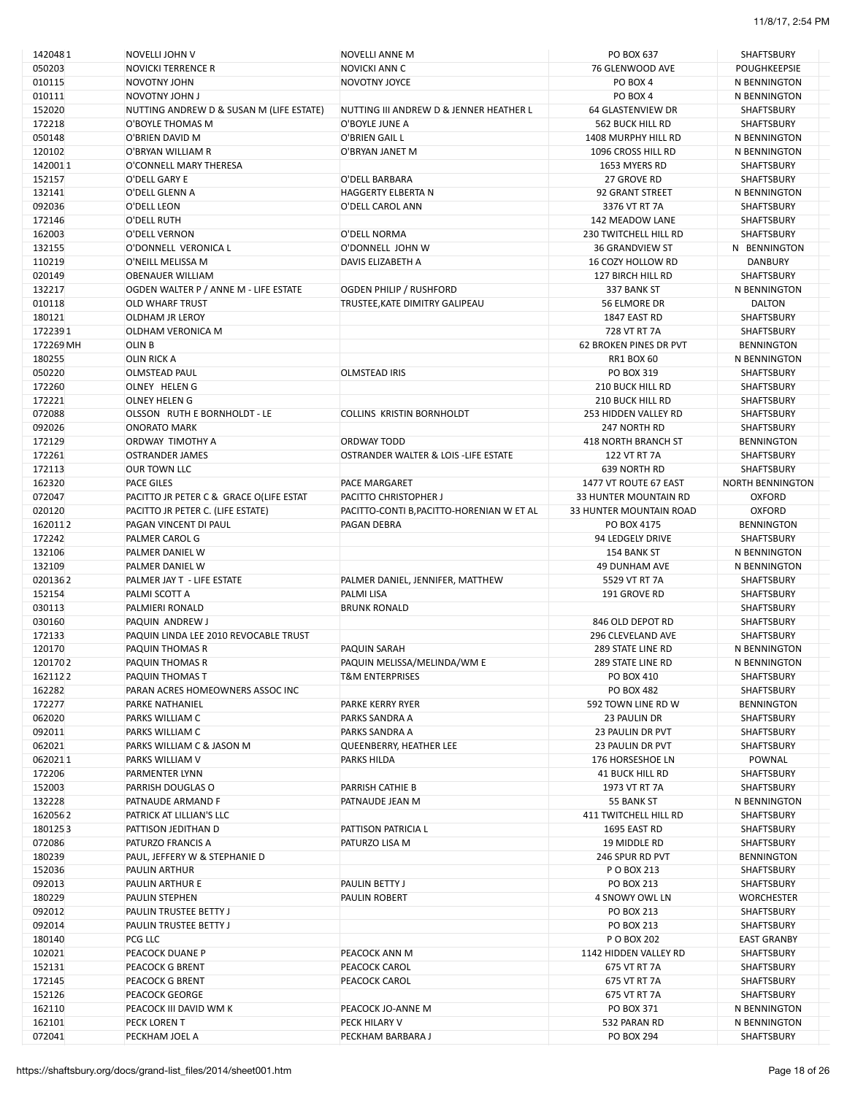| 1420481   | NOVELLI JOHN V                           | <b>NOVELLI ANNE M</b>                     | PO BOX 637                    | SHAFTSBURY              |
|-----------|------------------------------------------|-------------------------------------------|-------------------------------|-------------------------|
| 050203    | <b>NOVICKI TERRENCE R</b>                | <b>NOVICKI ANN C</b>                      | 76 GLENWOOD AVE               | <b>POUGHKEEPSIE</b>     |
| 010115    | NOVOTNY JOHN                             | NOVOTNY JOYCE                             | PO BOX 4                      | N BENNINGTON            |
| 010111    | <b>NOVOTNY JOHN J</b>                    |                                           | PO BOX 4                      | N BENNINGTON            |
|           |                                          |                                           |                               |                         |
| 152020    | NUTTING ANDREW D & SUSAN M (LIFE ESTATE) | NUTTING III ANDREW D & JENNER HEATHER L   | 64 GLASTENVIEW DR             | SHAFTSBURY              |
| 172218    | O'BOYLE THOMAS M                         | O'BOYLE JUNE A                            | <b>562 BUCK HILL RD</b>       | SHAFTSBURY              |
| 050148    | O'BRIEN DAVID M                          | O'BRIEN GAIL L                            | 1408 MURPHY HILL RD           | N BENNINGTON            |
| 120102    | O'BRYAN WILLIAM R                        | O'BRYAN JANET M                           | 1096 CROSS HILL RD            | N BENNINGTON            |
| 1420011   | O'CONNELL MARY THERESA                   |                                           | 1653 MYERS RD                 | SHAFTSBURY              |
|           |                                          |                                           |                               |                         |
| 152157    | O'DELL GARY E                            | O'DELL BARBARA                            | 27 GROVE RD                   | SHAFTSBURY              |
| 132141    | O'DELL GLENN A                           | <b>HAGGERTY ELBERTA N</b>                 | 92 GRANT STREET               | N BENNINGTON            |
| 092036    | O'DELL LEON                              | O'DELL CAROL ANN                          | 3376 VT RT 7A                 | <b>SHAFTSBURY</b>       |
| 172146    | O'DELL RUTH                              |                                           | <b>142 MEADOW LANE</b>        | SHAFTSBURY              |
| 162003    | O'DELL VERNON                            | O'DELL NORMA                              | 230 TWITCHELL HILL RD         | SHAFTSBURY              |
|           |                                          |                                           |                               |                         |
| 132155    | O'DONNELL VERONICA L                     | O'DONNELL JOHN W                          | <b>36 GRANDVIEW ST</b>        | N BENNINGTON            |
| 110219    | O'NEILL MELISSA M                        | DAVIS ELIZABETH A                         | 16 COZY HOLLOW RD             | <b>DANBURY</b>          |
| 020149    | OBENAUER WILLIAM                         |                                           | 127 BIRCH HILL RD             | SHAFTSBURY              |
| 132217    | OGDEN WALTER P / ANNE M - LIFE ESTATE    | OGDEN PHILIP / RUSHFORD                   | 337 BANK ST                   | N BENNINGTON            |
|           |                                          |                                           |                               |                         |
| 010118    | <b>OLD WHARF TRUST</b>                   | TRUSTEE, KATE DIMITRY GALIPEAU            | 56 ELMORE DR                  | <b>DALTON</b>           |
| 180121    | OLDHAM JR LEROY                          |                                           | 1847 EAST RD                  | SHAFTSBURY              |
| 1722391   | OLDHAM VERONICA M                        |                                           | 728 VT RT 7A                  | SHAFTSBURY              |
| 172269 MH | OLIN <sub>B</sub>                        |                                           | <b>62 BROKEN PINES DR PVT</b> | <b>BENNINGTON</b>       |
|           |                                          |                                           |                               |                         |
| 180255    | OLIN RICK A                              |                                           | <b>RR1 BOX 60</b>             | N BENNINGTON            |
| 050220    | <b>OLMSTEAD PAUL</b>                     | <b>OLMSTEAD IRIS</b>                      | PO BOX 319                    | SHAFTSBURY              |
| 172260    | OLNEY HELENG                             |                                           | 210 BUCK HILL RD              | SHAFTSBURY              |
| 172221    | <b>OLNEY HELEN G</b>                     |                                           | <b>210 BUCK HILL RD</b>       | SHAFTSBURY              |
| 072088    | OLSSON RUTH E BORNHOLDT - LE             | <b>COLLINS KRISTIN BORNHOLDT</b>          | 253 HIDDEN VALLEY RD          | SHAFTSBURY              |
|           |                                          |                                           |                               |                         |
| 092026    | <b>ONORATO MARK</b>                      |                                           | 247 NORTH RD                  | <b>SHAFTSBURY</b>       |
| 172129    | ORDWAY TIMOTHY A                         | <b>ORDWAY TODD</b>                        | 418 NORTH BRANCH ST           | <b>BENNINGTON</b>       |
| 172261    | <b>OSTRANDER JAMES</b>                   | OSTRANDER WALTER & LOIS -LIFE ESTATE      | 122 VT RT 7A                  | SHAFTSBURY              |
| 172113    | OUR TOWN LLC                             |                                           | 639 NORTH RD                  | SHAFTSBURY              |
|           |                                          |                                           |                               |                         |
| 162320    | PACE GILES                               | PACE MARGARET                             | 1477 VT ROUTE 67 EAST         | <b>NORTH BENNINGTON</b> |
| 072047    | PACITTO JR PETER C & GRACE O(LIFE ESTAT  | PACITTO CHRISTOPHER J                     | 33 HUNTER MOUNTAIN RD         | <b>OXFORD</b>           |
| 020120    | PACITTO JR PETER C. (LIFE ESTATE)        | PACITTO-CONTI B, PACITTO-HORENIAN W ET AL | 33 HUNTER MOUNTAIN ROAD       | <b>OXFORD</b>           |
| 1620112   | PAGAN VINCENT DI PAUL                    | PAGAN DEBRA                               | PO BOX 4175                   | <b>BENNINGTON</b>       |
|           |                                          |                                           |                               |                         |
| 172242    | PALMER CAROL G                           |                                           | 94 LEDGELY DRIVE              | SHAFTSBURY              |
| 132106    | PALMER DANIEL W                          |                                           | 154 BANK ST                   | N BENNINGTON            |
| 132109    | PALMER DANIEL W                          |                                           | <b>49 DUNHAM AVE</b>          | N BENNINGTON            |
| 0201362   | PALMER JAY T - LIFE ESTATE               | PALMER DANIEL, JENNIFER, MATTHEW          | 5529 VT RT 7A                 | SHAFTSBURY              |
| 152154    | PALMI SCOTT A                            | PALMI LISA                                | 191 GROVE RD                  | SHAFTSBURY              |
|           |                                          |                                           |                               |                         |
| 030113    | PALMIERI RONALD                          | <b>BRUNK RONALD</b>                       |                               | SHAFTSBURY              |
| 030160    | PAQUIN ANDREW J                          |                                           | 846 OLD DEPOT RD              | SHAFTSBURY              |
| 172133    | PAQUIN LINDA LEE 2010 REVOCABLE TRUST    |                                           | 296 CLEVELAND AVE             | SHAFTSBURY              |
| 120170    | PAQUIN THOMAS R                          | PAQUIN SARAH                              | 289 STATE LINE RD             | N BENNINGTON            |
| 1201702   |                                          |                                           | 289 STATE LINE RD             |                         |
|           | PAQUIN THOMAS R                          | PAQUIN MELISSA/MELINDA/WM E               |                               | N BENNINGTON            |
| 1621122   | PAQUIN THOMAS T                          | <b>T&amp;M ENTERPRISES</b>                | PO BOX 410                    | SHAFTSBURY              |
| 162282    | PARAN ACRES HOMEOWNERS ASSOC INC         |                                           | <b>PO BOX 482</b>             | <b>SHAFTSBURY</b>       |
| 172277    | PARKE NATHANIEL                          | <b>PARKE KERRY RYER</b>                   | 592 TOWN LINE RD W            | <b>BENNINGTON</b>       |
| 062020    | PARKS WILLIAM C                          | PARKS SANDRA A                            |                               | SHAFTSBURY              |
|           |                                          |                                           | 23 PAULIN DR                  |                         |
| 092011    | PARKS WILLIAM C                          | PARKS SANDRA A                            | 23 PAULIN DR PVT              | SHAFTSBURY              |
| 062021    | PARKS WILLIAM C & JASON M                | QUEENBERRY, HEATHER LEE                   | 23 PAULIN DR PVT              | SHAFTSBURY              |
| 0620211   | PARKS WILLIAM V                          | PARKS HILDA                               | 176 HORSESHOE LN              | POWNAL                  |
| 172206    | PARMENTER LYNN                           |                                           | <b>41 BUCK HILL RD</b>        | SHAFTSBURY              |
| 152003    | PARRISH DOUGLAS O                        | PARRISH CATHIE B                          | 1973 VT RT 7A                 | SHAFTSBURY              |
|           |                                          |                                           |                               |                         |
| 132228    | PATNAUDE ARMAND F                        | PATNAUDE JEAN M                           | 55 BANK ST                    | N BENNINGTON            |
| 1620562   | PATRICK AT LILLIAN'S LLC                 |                                           | 411 TWITCHELL HILL RD         | SHAFTSBURY              |
| 1801253   | PATTISON JEDITHAN D                      | PATTISON PATRICIA L                       | 1695 EAST RD                  | SHAFTSBURY              |
| 072086    | PATURZO FRANCIS A                        | PATURZO LISA M                            | 19 MIDDLE RD                  | SHAFTSBURY              |
| 180239    | PAUL, JEFFERY W & STEPHANIE D            |                                           | 246 SPUR RD PVT               | <b>BENNINGTON</b>       |
|           |                                          |                                           |                               |                         |
| 152036    | PAULIN ARTHUR                            |                                           | P O BOX 213                   | SHAFTSBURY              |
| 092013    | PAULIN ARTHUR E                          | PAULIN BETTY J                            | PO BOX 213                    | SHAFTSBURY              |
| 180229    | PAULIN STEPHEN                           | PAULIN ROBERT                             | 4 SNOWY OWL LN                | <b>WORCHESTER</b>       |
| 092012    | PAULIN TRUSTEE BETTY J                   |                                           | PO BOX 213                    | SHAFTSBURY              |
|           |                                          |                                           |                               |                         |
| 092014    | PAULIN TRUSTEE BETTY J                   |                                           | PO BOX 213                    | SHAFTSBURY              |
| 180140    | PCG LLC                                  |                                           | P O BOX 202                   | <b>EAST GRANBY</b>      |
| 102021    | PEACOCK DUANE P                          | PEACOCK ANN M                             | 1142 HIDDEN VALLEY RD         | SHAFTSBURY              |
| 152131    | PEACOCK G BRENT                          | PEACOCK CAROL                             | 675 VT RT 7A                  | SHAFTSBURY              |
|           |                                          |                                           |                               |                         |
| 172145    | PEACOCK G BRENT                          | PEACOCK CAROL                             | 675 VT RT 7A                  | SHAFTSBURY              |
| 152126    | PEACOCK GEORGE                           |                                           | 675 VT RT 7A                  | SHAFTSBURY              |
| 162110    | PEACOCK III DAVID WM K                   | PEACOCK JO-ANNE M                         | PO BOX 371                    | N BENNINGTON            |
| 162101    | PECK LOREN T                             | PECK HILARY V                             | 532 PARAN RD                  | N BENNINGTON            |
| 072041    | PECKHAM JOEL A                           | PECKHAM BARBARA J                         | PO BOX 294                    | SHAFTSBURY              |
|           |                                          |                                           |                               |                         |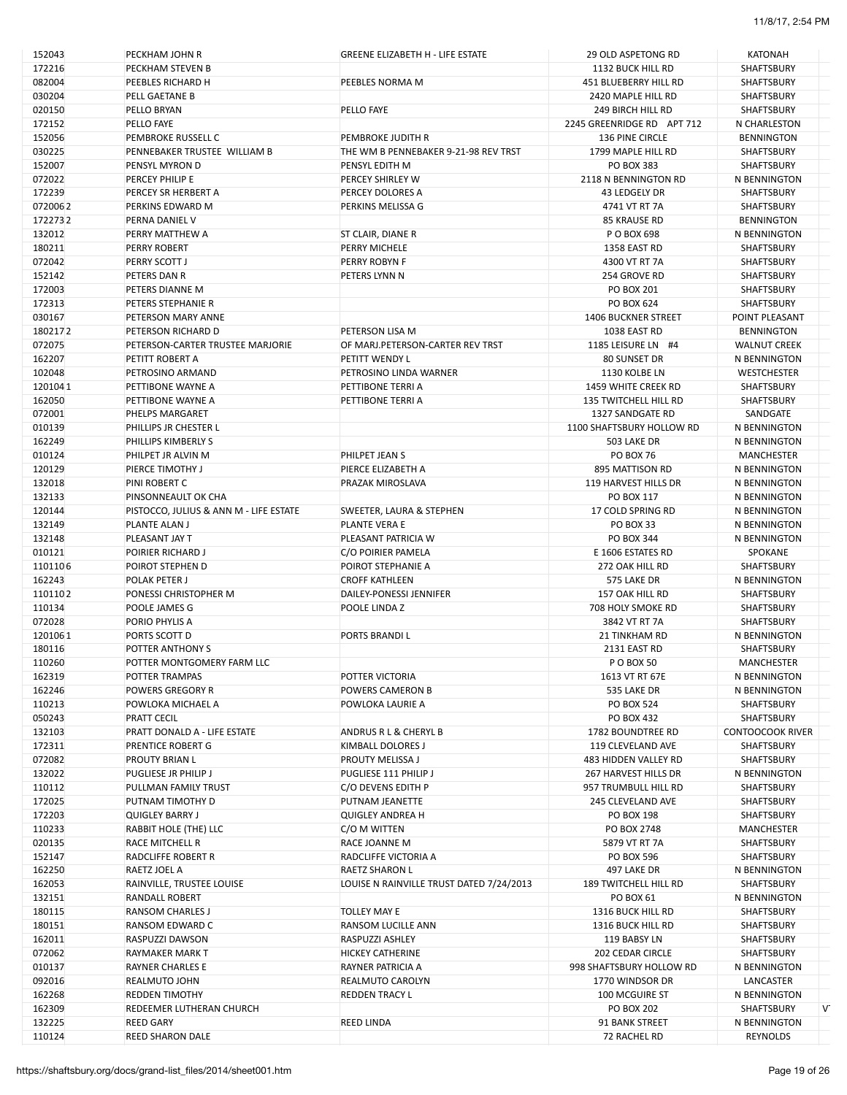| 152043  | PECKHAM JOHN R                         | GREENE ELIZABETH H - LIFE ESTATE         | 29 OLD ASPETONG RD           | <b>KATONAH</b>          |
|---------|----------------------------------------|------------------------------------------|------------------------------|-------------------------|
| 172216  | PECKHAM STEVEN B                       |                                          | 1132 BUCK HILL RD            | SHAFTSBURY              |
| 082004  | PEEBLES RICHARD H                      | PEEBLES NORMA M                          | 451 BLUEBERRY HILL RD        | SHAFTSBURY              |
| 030204  | PELL GAETANE B                         |                                          | 2420 MAPLE HILL RD           | SHAFTSBURY              |
| 020150  | PELLO BRYAN                            | PELLO FAYE                               | 249 BIRCH HILL RD            | SHAFTSBURY              |
| 172152  | PELLO FAYE                             |                                          | 2245 GREENRIDGE RD APT 712   | N CHARLESTON            |
|         | PEMBROKE RUSSELL C                     | PEMBROKE JUDITH R                        | 136 PINE CIRCLE              |                         |
| 152056  |                                        |                                          |                              | <b>BENNINGTON</b>       |
| 030225  | PENNEBAKER TRUSTEE WILLIAM B           | THE WM B PENNEBAKER 9-21-98 REV TRST     | 1799 MAPLE HILL RD           | SHAFTSBURY              |
| 152007  | PENSYL MYRON D                         | PENSYL EDITH M                           | <b>PO BOX 383</b>            | SHAFTSBURY              |
| 072022  | PERCEY PHILIP E                        | PERCEY SHIRLEY W                         | 2118 N BENNINGTON RD         | N BENNINGTON            |
| 172239  | PERCEY SR HERBERT A                    | PERCEY DOLORES A                         | 43 LEDGELY DR                | SHAFTSBURY              |
| 0720062 | PERKINS EDWARD M                       | PERKINS MELISSA G                        | 4741 VT RT 7A                | <b>SHAFTSBURY</b>       |
|         |                                        |                                          |                              |                         |
| 1722732 | PERNA DANIEL V                         |                                          | 85 KRAUSE RD                 | <b>BENNINGTON</b>       |
| 132012  | PERRY MATTHEW A                        | ST CLAIR, DIANE R                        | P O BOX 698                  | N BENNINGTON            |
| 180211  | <b>PERRY ROBERT</b>                    | PERRY MICHELE                            | 1358 EAST RD                 | SHAFTSBURY              |
| 072042  | PERRY SCOTT J                          | PERRY ROBYN F                            | 4300 VT RT 7A                | SHAFTSBURY              |
| 152142  | PETERS DAN R                           | PETERS LYNN N                            | 254 GROVE RD                 | SHAFTSBURY              |
| 172003  | PETERS DIANNE M                        |                                          | PO BOX 201                   | SHAFTSBURY              |
|         |                                        |                                          |                              |                         |
| 172313  | PETERS STEPHANIE R                     |                                          | PO BOX 624                   | SHAFTSBURY              |
| 030167  | PETERSON MARY ANNE                     |                                          | <b>1406 BUCKNER STREET</b>   | POINT PLEASANT          |
| 1802172 | PETERSON RICHARD D                     | PETERSON LISA M                          | 1038 EAST RD                 | BENNINGTON              |
| 072075  | PETERSON-CARTER TRUSTEE MARJORIE       | OF MARJ.PETERSON-CARTER REV TRST         | 1185 LEISURE LN #4           | <b>WALNUT CREEK</b>     |
| 162207  | PETITT ROBERT A                        | PETITT WENDY L                           | 80 SUNSET DR                 | N BENNINGTON            |
| 102048  | PETROSINO ARMAND                       |                                          | 1130 KOLBE LN                | <b>WESTCHESTER</b>      |
|         |                                        | PETROSINO LINDA WARNER                   |                              |                         |
| 1201041 | PETTIBONE WAYNE A                      | PETTIBONE TERRI A                        | 1459 WHITE CREEK RD          | SHAFTSBURY              |
| 162050  | PETTIBONE WAYNE A                      | PETTIBONE TERRI A                        | <b>135 TWITCHELL HILL RD</b> | SHAFTSBURY              |
| 072001  | PHELPS MARGARET                        |                                          | 1327 SANDGATE RD             | SANDGATE                |
| 010139  | PHILLIPS JR CHESTER L                  |                                          | 1100 SHAFTSBURY HOLLOW RD    | N BENNINGTON            |
| 162249  | PHILLIPS KIMBERLY S                    |                                          | 503 LAKE DR                  | N BENNINGTON            |
|         |                                        |                                          |                              |                         |
| 010124  | PHILPET JR ALVIN M                     | PHILPET JEAN S                           | <b>PO BOX 76</b>             | MANCHESTER              |
| 120129  | PIERCE TIMOTHY J                       | PIERCE ELIZABETH A                       | 895 MATTISON RD              | N BENNINGTON            |
| 132018  | PINI ROBERT C                          | PRAZAK MIROSLAVA                         | 119 HARVEST HILLS DR         | N BENNINGTON            |
| 132133  | PINSONNEAULT OK CHA                    |                                          | PO BOX 117                   | N BENNINGTON            |
| 120144  | PISTOCCO, JULIUS & ANN M - LIFE ESTATE | SWEETER, LAURA & STEPHEN                 | 17 COLD SPRING RD            | N BENNINGTON            |
|         |                                        |                                          |                              |                         |
| 132149  | PLANTE ALAN J                          | PLANTE VERA E                            | PO BOX 33                    | N BENNINGTON            |
| 132148  | PLEASANT JAY T                         | PLEASANT PATRICIA W                      | PO BOX 344                   | N BENNINGTON            |
| 010121  | POIRIER RICHARD J                      | C/O POIRIER PAMELA                       | E 1606 ESTATES RD            | SPOKANE                 |
| 1101106 | POIROT STEPHEN D                       | POIROT STEPHANIE A                       | 272 OAK HILL RD              | SHAFTSBURY              |
| 162243  | <b>POLAK PETER J</b>                   | <b>CROFF KATHLEEN</b>                    | 575 LAKE DR                  | N BENNINGTON            |
| 1101102 | PONESSI CHRISTOPHER M                  | <b>DAILEY-PONESSI JENNIFER</b>           | 157 OAK HILL RD              | SHAFTSBURY              |
|         |                                        |                                          |                              |                         |
| 110134  | POOLE JAMES G                          | POOLE LINDA Z                            | 708 HOLY SMOKE RD            | SHAFTSBURY              |
| 072028  | <b>PORIO PHYLIS A</b>                  |                                          | 3842 VT RT 7A                | <b>SHAFTSBURY</b>       |
| 1201061 | PORTS SCOTT D                          | PORTS BRANDIL                            | 21 TINKHAM RD                | N BENNINGTON            |
| 180116  | POTTER ANTHONY S                       |                                          | 2131 EAST RD                 | SHAFTSBURY              |
| 110260  | POTTER MONTGOMERY FARM LLC             |                                          | P O BOX 50                   | <b>MANCHESTER</b>       |
|         |                                        |                                          |                              |                         |
| 162319  | POTTER TRAMPAS                         | POTTER VICTORIA                          | 1613 VT RT 67E               | N BENNINGTON            |
| 162246  | POWERS GREGORY R                       | POWERS CAMERON B                         | 535 LAKE DR                  | N BENNINGTON            |
| 110213  | POWLOKA MICHAEL A                      | POWLOKA LAURIE A                         | <b>PO BOX 524</b>            | SHAFTSBURY              |
| 050243  | <b>PRATT CECIL</b>                     |                                          | PO BOX 432                   | SHAFTSBURY              |
| 132103  | PRATT DONALD A - LIFE ESTATE           | ANDRUS R L & CHERYL B                    | 1782 BOUNDTREE RD            | <b>CONTOOCOOK RIVER</b> |
| 172311  | <b>PRENTICE ROBERT G</b>               | <b>KIMBALL DOLORES J</b>                 | 119 CLEVELAND AVE            | SHAFTSBURY              |
|         |                                        |                                          |                              |                         |
| 072082  | <b>PROUTY BRIAN L</b>                  | <b>PROUTY MELISSA J</b>                  | 483 HIDDEN VALLEY RD         | SHAFTSBURY              |
| 132022  | PUGLIESE JR PHILIP J                   | PUGLIESE 111 PHILIP J                    | 267 HARVEST HILLS DR         | N BENNINGTON            |
| 110112  | PULLMAN FAMILY TRUST                   | C/O DEVENS EDITH P                       | 957 TRUMBULL HILL RD         | SHAFTSBURY              |
| 172025  | PUTNAM TIMOTHY D                       | PUTNAM JEANETTE                          | 245 CLEVELAND AVE            | SHAFTSBURY              |
| 172203  | <b>QUIGLEY BARRY J</b>                 | <b>QUIGLEY ANDREA H</b>                  | PO BOX 198                   | SHAFTSBURY              |
|         |                                        |                                          |                              |                         |
| 110233  | <b>RABBIT HOLE (THE) LLC</b>           | C/O M WITTEN                             | PO BOX 2748                  | MANCHESTER              |
| 020135  | <b>RACE MITCHELL R</b>                 | RACE JOANNE M                            | 5879 VT RT 7A                | SHAFTSBURY              |
| 152147  | <b>RADCLIFFE ROBERT R</b>              | RADCLIFFE VICTORIA A                     | PO BOX 596                   | SHAFTSBURY              |
| 162250  | RAETZ JOEL A                           | <b>RAETZ SHARON L</b>                    | 497 LAKE DR                  | N BENNINGTON            |
| 162053  | RAINVILLE, TRUSTEE LOUISE              | LOUISE N RAINVILLE TRUST DATED 7/24/2013 | 189 TWITCHELL HILL RD        | SHAFTSBURY              |
| 132151  | RANDALL ROBERT                         |                                          | PO BOX 61                    | N BENNINGTON            |
|         |                                        |                                          |                              |                         |
| 180115  | <b>RANSOM CHARLES J</b>                | <b>TOLLEY MAY E</b>                      | 1316 BUCK HILL RD            | SHAFTSBURY              |
| 180151  | RANSOM EDWARD C                        | RANSOM LUCILLE ANN                       | 1316 BUCK HILL RD            | SHAFTSBURY              |
| 162011  | RASPUZZI DAWSON                        | RASPUZZI ASHLEY                          | 119 BABSY LN                 | SHAFTSBURY              |
| 072062  | RAYMAKER MARK T                        | <b>HICKEY CATHERINE</b>                  | 202 CEDAR CIRCLE             | SHAFTSBURY              |
| 010137  | <b>RAYNER CHARLES E</b>                | RAYNER PATRICIA A                        | 998 SHAFTSBURY HOLLOW RD     | N BENNINGTON            |
|         |                                        |                                          |                              |                         |
| 092016  | REALMUTO JOHN                          | REALMUTO CAROLYN                         | 1770 WINDSOR DR              | LANCASTER               |
| 162268  | <b>REDDEN TIMOTHY</b>                  | <b>REDDEN TRACY L</b>                    | 100 MCGUIRE ST               | N BENNINGTON            |
| 162309  | REDEEMER LUTHERAN CHURCH               |                                          | <b>PO BOX 202</b>            | SHAFTSBURY              |
| 132225  | <b>REED GARY</b>                       | <b>REED LINDA</b>                        | 91 BANK STREET               | N BENNINGTON            |
|         | <b>REED SHARON DALE</b>                |                                          | 72 RACHEL RD                 | REYNOLDS                |
| 110124  |                                        |                                          |                              |                         |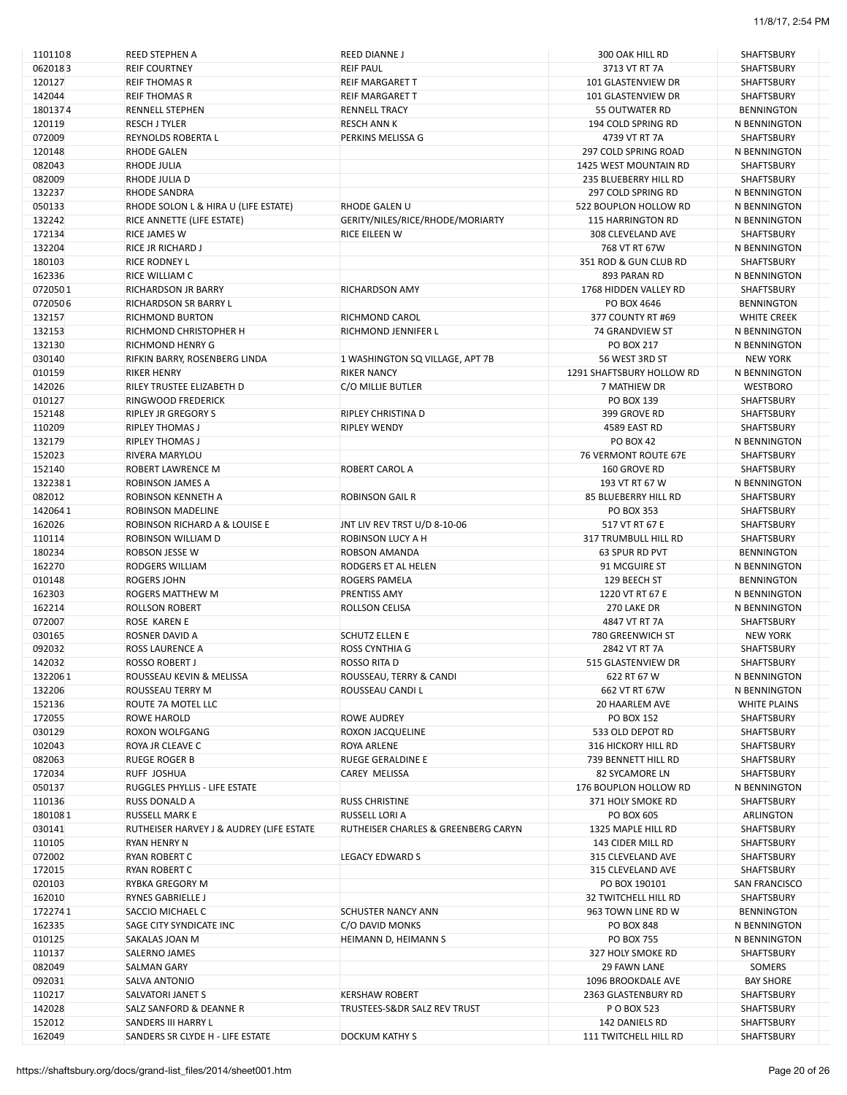| 11/8/17, 2:54 PM |  |
|------------------|--|
|                  |  |

| 1101108 | <b>REED STEPHEN A</b>                    | <b>REED DIANNE J</b>                | 300 OAK HILL RD             | <b>SHAFTSBURY</b>    |
|---------|------------------------------------------|-------------------------------------|-----------------------------|----------------------|
| 0620183 | <b>REIF COURTNEY</b>                     | <b>REIF PAUL</b>                    | 3713 VT RT 7A               | SHAFTSBURY           |
| 120127  | <b>REIF THOMAS R</b>                     | <b>REIF MARGARET T</b>              | 101 GLASTENVIEW DR          | <b>SHAFTSBURY</b>    |
| 142044  | <b>REIF THOMAS R</b>                     | <b>REIF MARGARET T</b>              | 101 GLASTENVIEW DR          | SHAFTSBURY           |
| 1801374 | <b>RENNELL STEPHEN</b>                   | <b>RENNELL TRACY</b>                | 55 OUTWATER RD              | <b>BENNINGTON</b>    |
| 120119  | <b>RESCH J TYLER</b>                     | <b>RESCH ANN K</b>                  | 194 COLD SPRING RD          | N BENNINGTON         |
| 072009  | REYNOLDS ROBERTA L                       | PERKINS MELISSA G                   | 4739 VT RT 7A               | SHAFTSBURY           |
| 120148  | <b>RHODE GALEN</b>                       |                                     | 297 COLD SPRING ROAD        | N BENNINGTON         |
| 082043  | <b>RHODE JULIA</b>                       |                                     | 1425 WEST MOUNTAIN RD       | SHAFTSBURY           |
| 082009  | RHODE JULIA D                            |                                     | 235 BLUEBERRY HILL RD       | SHAFTSBURY           |
| 132237  | <b>RHODE SANDRA</b>                      |                                     | 297 COLD SPRING RD          | N BENNINGTON         |
| 050133  | RHODE SOLON L & HIRA U (LIFE ESTATE)     | <b>RHODE GALEN U</b>                | 522 BOUPLON HOLLOW RD       | N BENNINGTON         |
|         |                                          |                                     |                             |                      |
| 132242  | RICE ANNETTE (LIFE ESTATE)               | GERITY/NILES/RICE/RHODE/MORIARTY    | <b>115 HARRINGTON RD</b>    | N BENNINGTON         |
| 172134  | <b>RICE JAMES W</b>                      | RICE EILEEN W                       | 308 CLEVELAND AVE           | SHAFTSBURY           |
| 132204  | RICE JR RICHARD J                        |                                     | 768 VT RT 67W               | N BENNINGTON         |
| 180103  | RICE RODNEY L                            |                                     | 351 ROD & GUN CLUB RD       | SHAFTSBURY           |
| 162336  | RICE WILLIAM C                           |                                     | 893 PARAN RD                | N BENNINGTON         |
| 0720501 | <b>RICHARDSON JR BARRY</b>               | <b>RICHARDSON AMY</b>               | 1768 HIDDEN VALLEY RD       | SHAFTSBURY           |
| 0720506 | <b>RICHARDSON SR BARRY L</b>             |                                     | PO BOX 4646                 | <b>BENNINGTON</b>    |
| 132157  | <b>RICHMOND BURTON</b>                   | RICHMOND CAROL                      | 377 COUNTY RT #69           | <b>WHITE CREEK</b>   |
| 132153  | RICHMOND CHRISTOPHER H                   | RICHMOND JENNIFER L                 | <b>74 GRANDVIEW ST</b>      | N BENNINGTON         |
| 132130  | <b>RICHMOND HENRY G</b>                  |                                     | PO BOX 217                  | N BENNINGTON         |
| 030140  | RIFKIN BARRY, ROSENBERG LINDA            | 1 WASHINGTON SQ VILLAGE, APT 7B     | 56 WEST 3RD ST              | <b>NEW YORK</b>      |
| 010159  | <b>RIKER HENRY</b>                       | <b>RIKER NANCY</b>                  | 1291 SHAFTSBURY HOLLOW RD   | N BENNINGTON         |
| 142026  | RILEY TRUSTEE ELIZABETH D                | C/O MILLIE BUTLER                   | 7 MATHIEW DR                | WESTBORO             |
| 010127  | <b>RINGWOOD FREDERICK</b>                |                                     | PO BOX 139                  | <b>SHAFTSBURY</b>    |
| 152148  | <b>RIPLEY JR GREGORY S</b>               | <b>RIPLEY CHRISTINA D</b>           | 399 GROVE RD                | <b>SHAFTSBURY</b>    |
| 110209  | <b>RIPLEY THOMAS J</b>                   | <b>RIPLEY WENDY</b>                 | 4589 EAST RD                | SHAFTSBURY           |
|         |                                          |                                     |                             |                      |
| 132179  | <b>RIPLEY THOMAS J</b>                   |                                     | <b>PO BOX 42</b>            | N BENNINGTON         |
| 152023  | RIVERA MARYLOU                           |                                     | 76 VERMONT ROUTE 67E        | <b>SHAFTSBURY</b>    |
| 152140  | ROBERT LAWRENCE M                        | <b>ROBERT CAROL A</b>               | 160 GROVE RD                | SHAFTSBURY           |
| 1322381 | <b>ROBINSON JAMES A</b>                  |                                     | 193 VT RT 67 W              | N BENNINGTON         |
| 082012  | ROBINSON KENNETH A                       | <b>ROBINSON GAIL R</b>              | 85 BLUEBERRY HILL RD        | <b>SHAFTSBURY</b>    |
| 1420641 | <b>ROBINSON MADELINE</b>                 |                                     | PO BOX 353                  | SHAFTSBURY           |
| 162026  | ROBINSON RICHARD A & LOUISE E            | JNT LIV REV TRST U/D 8-10-06        | 517 VT RT 67 E              | SHAFTSBURY           |
| 110114  | ROBINSON WILLIAM D                       | <b>ROBINSON LUCY A H</b>            | 317 TRUMBULL HILL RD        | SHAFTSBURY           |
| 180234  | ROBSON JESSE W                           | <b>ROBSON AMANDA</b>                | <b>63 SPUR RD PVT</b>       | <b>BENNINGTON</b>    |
| 162270  | <b>RODGERS WILLIAM</b>                   | RODGERS ET AL HELEN                 | 91 MCGUIRE ST               | N BENNINGTON         |
| 010148  | <b>ROGERS JOHN</b>                       | ROGERS PAMELA                       | 129 BEECH ST                | <b>BENNINGTON</b>    |
| 162303  | <b>ROGERS MATTHEW M</b>                  | <b>PRENTISS AMY</b>                 | 1220 VT RT 67 E             | N BENNINGTON         |
| 162214  | <b>ROLLSON ROBERT</b>                    | ROLLSON CELISA                      | 270 LAKE DR                 | N BENNINGTON         |
| 072007  | ROSE KAREN E                             |                                     | 4847 VT RT 7A               | SHAFTSBURY           |
| 030165  | ROSNER DAVID A                           | <b>SCHUTZ ELLEN E</b>               | 780 GREENWICH ST            | <b>NEW YORK</b>      |
| 092032  | ROSS LAURENCE A                          | <b>ROSS CYNTHIA G</b>               | 2842 VT RT 7A               | <b>SHAFTSBURY</b>    |
|         | ROSSO ROBERT J                           |                                     |                             |                      |
| 142032  |                                          | ROSSO RITA D                        | 515 GLASTENVIEW DR          | SHAFTSBURY           |
| 1322061 | ROUSSEAU KEVIN & MELISSA                 | ROUSSEAU, TERRY & CANDI             | 622 RT 67 W                 | N BENNINGTON         |
| 132206  | ROUSSEAU TERRY M                         | ROUSSEAU CANDI L                    | 662 VT RT 67W               | N BENNINGTON         |
| 152136  | ROUTE 7A MOTEL LLC                       |                                     | 20 HAARLEM AVE              | <b>WHITE PLAINS</b>  |
| 172055  | <b>ROWE HAROLD</b>                       | <b>ROWE AUDREY</b>                  | <b>PO BOX 152</b>           | SHAFTSBURY           |
| 030129  | ROXON WOLFGANG                           | ROXON JACQUELINE                    | 533 OLD DEPOT RD            | SHAFTSBURY           |
| 102043  | ROYA JR CLEAVE C                         | ROYA ARLENE                         | 316 HICKORY HILL RD         | SHAFTSBURY           |
| 082063  | <b>RUEGE ROGER B</b>                     | <b>RUEGE GERALDINE E</b>            | 739 BENNETT HILL RD         | SHAFTSBURY           |
| 172034  | RUFF JOSHUA                              | <b>CAREY MELISSA</b>                | <b>82 SYCAMORE LN</b>       | SHAFTSBURY           |
| 050137  | RUGGLES PHYLLIS - LIFE ESTATE            |                                     | 176 BOUPLON HOLLOW RD       | N BENNINGTON         |
| 110136  | <b>RUSS DONALD A</b>                     | <b>RUSS CHRISTINE</b>               | 371 HOLY SMOKE RD           | SHAFTSBURY           |
| 1801081 | <b>RUSSELL MARK E</b>                    | RUSSELL LORI A                      | PO BOX 605                  | ARLINGTON            |
| 030141  | RUTHEISER HARVEY J & AUDREY (LIFE ESTATE | RUTHEISER CHARLES & GREENBERG CARYN | 1325 MAPLE HILL RD          | SHAFTSBURY           |
| 110105  | RYAN HENRY N                             |                                     | 143 CIDER MILL RD           | SHAFTSBURY           |
|         |                                          |                                     |                             |                      |
| 072002  | <b>RYAN ROBERT C</b>                     | <b>LEGACY EDWARD S</b>              | 315 CLEVELAND AVE           | SHAFTSBURY           |
| 172015  | <b>RYAN ROBERT C</b>                     |                                     | 315 CLEVELAND AVE           | SHAFTSBURY           |
| 020103  | <b>RYBKA GREGORY M</b>                   |                                     | PO BOX 190101               | <b>SAN FRANCISCO</b> |
| 162010  | <b>RYNES GABRIELLE J</b>                 |                                     | <b>32 TWITCHELL HILL RD</b> | SHAFTSBURY           |
| 1722741 | SACCIO MICHAEL C                         | <b>SCHUSTER NANCY ANN</b>           | 963 TOWN LINE RD W          | <b>BENNINGTON</b>    |
| 162335  | SAGE CITY SYNDICATE INC                  | C/O DAVID MONKS                     | PO BOX 848                  | N BENNINGTON         |
| 010125  | SAKALAS JOAN M                           | HEIMANN D, HEIMANN S                | <b>PO BOX 755</b>           | N BENNINGTON         |
| 110137  | <b>SALERNO JAMES</b>                     |                                     | 327 HOLY SMOKE RD           | SHAFTSBURY           |
| 082049  | <b>SALMAN GARY</b>                       |                                     | 29 FAWN LANE                | SOMERS               |
| 092031  | <b>SALVA ANTONIO</b>                     |                                     | 1096 BROOKDALE AVE          | <b>BAY SHORE</b>     |
| 110217  | SALVATORI JANET S                        | <b>KERSHAW ROBERT</b>               | 2363 GLASTENBURY RD         | SHAFTSBURY           |
| 142028  | SALZ SANFORD & DEANNE R                  | TRUSTEES-S&DR SALZ REV TRUST        | P O BOX 523                 | SHAFTSBURY           |
| 152012  | SANDERS III HARRY L                      |                                     | 142 DANIELS RD              | SHAFTSBURY           |
| 162049  | SANDERS SR CLYDE H - LIFE ESTATE         | <b>DOCKUM KATHY S</b>               | 111 TWITCHELL HILL RD       | SHAFTSBURY           |
|         |                                          |                                     |                             |                      |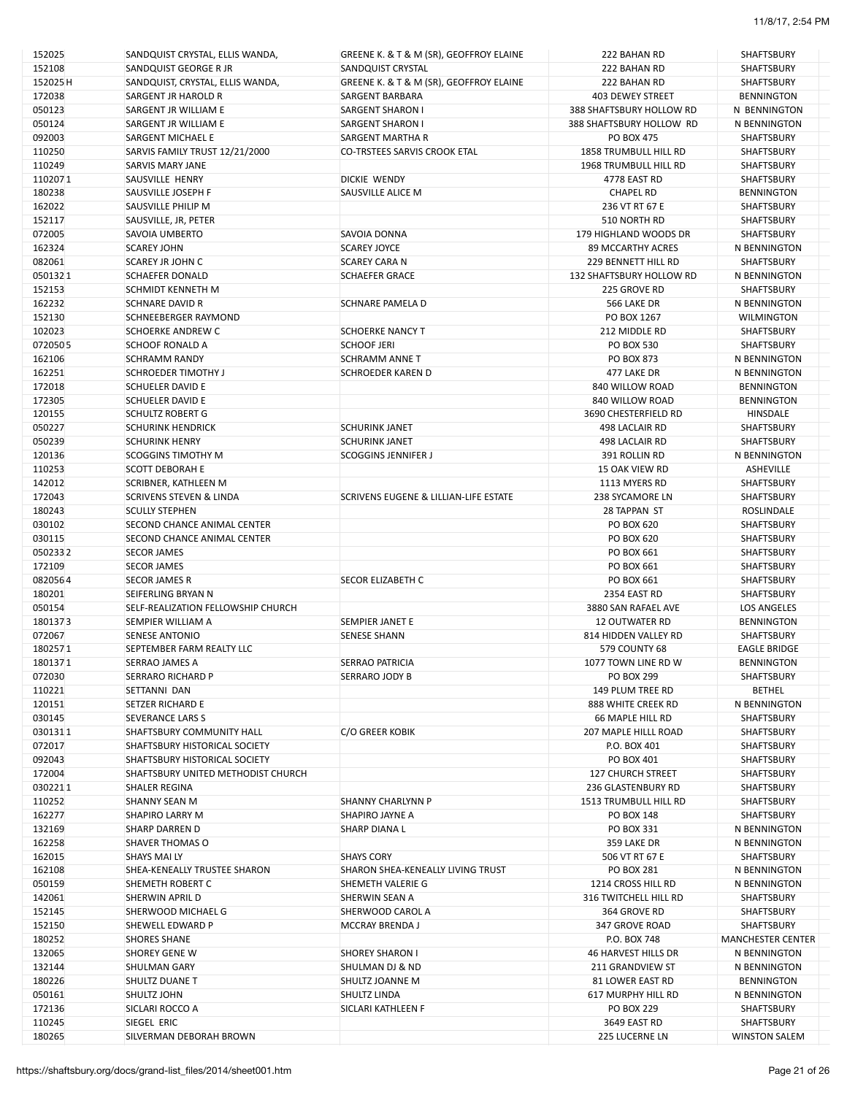| 152025   | SANDQUIST CRYSTAL, ELLIS WANDA,    | GREENE K. & T & M (SR), GEOFFROY ELAINE | 222 BAHAN RD                 | SHAFTSBURY               |
|----------|------------------------------------|-----------------------------------------|------------------------------|--------------------------|
| 152108   | SANDQUIST GEORGE R JR              | SANDQUIST CRYSTAL                       | 222 BAHAN RD                 | <b>SHAFTSBURY</b>        |
| 152025 H | SANDQUIST, CRYSTAL, ELLIS WANDA,   | GREENE K. & T & M (SR), GEOFFROY ELAINE | 222 BAHAN RD                 | <b>SHAFTSBURY</b>        |
| 172038   | <b>SARGENT JR HAROLD R</b>         | SARGENT BARBARA                         | 403 DEWEY STREET             | <b>BENNINGTON</b>        |
| 050123   | SARGENT JR WILLIAM E               | <b>SARGENT SHARON I</b>                 | 388 SHAFTSBURY HOLLOW RD     | N BENNINGTON             |
| 050124   | SARGENT JR WILLIAM E               | SARGENT SHARON I                        | 388 SHAFTSBURY HOLLOW RD     | N BENNINGTON             |
| 092003   | SARGENT MICHAEL E                  | <b>SARGENT MARTHA R</b>                 | PO BOX 475                   | <b>SHAFTSBURY</b>        |
| 110250   | SARVIS FAMILY TRUST 12/21/2000     | <b>CO-TRSTEES SARVIS CROOK ETAL</b>     |                              | <b>SHAFTSBURY</b>        |
|          |                                    |                                         | 1858 TRUMBULL HILL RD        |                          |
| 110249   | <b>SARVIS MARY JANE</b>            |                                         | 1968 TRUMBULL HILL RD        | SHAFTSBURY               |
| 1102071  | SAUSVILLE HENRY                    | <b>DICKIE WENDY</b>                     | 4778 EAST RD                 | <b>SHAFTSBURY</b>        |
| 180238   | SAUSVILLE JOSEPH F                 | SAUSVILLE ALICE M                       | <b>CHAPEL RD</b>             | <b>BENNINGTON</b>        |
| 162022   | SAUSVILLE PHILIP M                 |                                         | 236 VT RT 67 E               | <b>SHAFTSBURY</b>        |
| 152117   | SAUSVILLE, JR, PETER               |                                         | 510 NORTH RD                 | <b>SHAFTSBURY</b>        |
| 072005   | <b>SAVOIA UMBERTO</b>              | SAVOIA DONNA                            | 179 HIGHLAND WOODS DR        | SHAFTSBURY               |
| 162324   | <b>SCAREY JOHN</b>                 | <b>SCAREY JOYCE</b>                     | 89 MCCARTHY ACRES            | N BENNINGTON             |
| 082061   | <b>SCAREY JR JOHN C</b>            | <b>SCAREY CARA N</b>                    | 229 BENNETT HILL RD          | <b>SHAFTSBURY</b>        |
| 0501321  | <b>SCHAEFER DONALD</b>             | <b>SCHAEFER GRACE</b>                   | 132 SHAFTSBURY HOLLOW RD     | N BENNINGTON             |
| 152153   | <b>SCHMIDT KENNETH M</b>           |                                         | 225 GROVE RD                 | <b>SHAFTSBURY</b>        |
| 162232   | <b>SCHNARE DAVID R</b>             | SCHNARE PAMELA D                        | 566 LAKE DR                  | N BENNINGTON             |
| 152130   | <b>SCHNEEBERGER RAYMOND</b>        |                                         | PO BOX 1267                  | WILMINGTON               |
| 102023   | <b>SCHOERKE ANDREW C</b>           | <b>SCHOERKE NANCY T</b>                 | 212 MIDDLE RD                | <b>SHAFTSBURY</b>        |
|          | <b>SCHOOF RONALD A</b>             |                                         |                              |                          |
| 0720505  |                                    | <b>SCHOOF JERI</b>                      | PO BOX 530                   | <b>SHAFTSBURY</b>        |
| 162106   | <b>SCHRAMM RANDY</b>               | <b>SCHRAMM ANNE T</b>                   | <b>PO BOX 873</b>            | N BENNINGTON             |
| 162251   | <b>SCHROEDER TIMOTHY J</b>         | <b>SCHROEDER KAREN D</b>                | 477 LAKE DR                  | N BENNINGTON             |
| 172018   | SCHUELER DAVID E                   |                                         | 840 WILLOW ROAD              | <b>BENNINGTON</b>        |
| 172305   | <b>SCHUELER DAVID E</b>            |                                         | 840 WILLOW ROAD              | <b>BENNINGTON</b>        |
| 120155   | <b>SCHULTZ ROBERT G</b>            |                                         | 3690 CHESTERFIELD RD         | HINSDALE                 |
| 050227   | <b>SCHURINK HENDRICK</b>           | <b>SCHURINK JANET</b>                   | 498 LACLAIR RD               | SHAFTSBURY               |
| 050239   | <b>SCHURINK HENRY</b>              | <b>SCHURINK JANET</b>                   | 498 LACLAIR RD               | SHAFTSBURY               |
| 120136   | <b>SCOGGINS TIMOTHY M</b>          | <b>SCOGGINS JENNIFER J</b>              | 391 ROLLIN RD                | N BENNINGTON             |
| 110253   | <b>SCOTT DEBORAH E</b>             |                                         | 15 OAK VIEW RD               | ASHEVILLE                |
| 142012   | SCRIBNER, KATHLEEN M               |                                         | 1113 MYERS RD                | <b>SHAFTSBURY</b>        |
|          |                                    | SCRIVENS EUGENE & LILLIAN-LIFE ESTATE   |                              |                          |
| 172043   | <b>SCRIVENS STEVEN &amp; LINDA</b> |                                         | 238 SYCAMORE LN              | SHAFTSBURY               |
| 180243   | <b>SCULLY STEPHEN</b>              |                                         | 28 TAPPAN ST                 | ROSLINDALE               |
| 030102   | SECOND CHANCE ANIMAL CENTER        |                                         | PO BOX 620                   | <b>SHAFTSBURY</b>        |
| 030115   | SECOND CHANCE ANIMAL CENTER        |                                         | PO BOX 620                   | SHAFTSBURY               |
| 0502332  | <b>SECOR JAMES</b>                 |                                         | PO BOX 661                   | <b>SHAFTSBURY</b>        |
| 172109   | <b>SECOR JAMES</b>                 |                                         | PO BOX 661                   | <b>SHAFTSBURY</b>        |
| 0820564  | <b>SECOR JAMES R</b>               | <b>SECOR ELIZABETH C</b>                | PO BOX 661                   | SHAFTSBURY               |
| 180201   | SEIFERLING BRYAN N                 |                                         | 2354 EAST RD                 | <b>SHAFTSBURY</b>        |
| 050154   | SELF-REALIZATION FELLOWSHIP CHURCH |                                         | 3880 SAN RAFAEL AVE          | <b>LOS ANGELES</b>       |
| 1801373  | SEMPIER WILLIAM A                  | SEMPIER JANET E                         | <b>12 OUTWATER RD</b>        | <b>BENNINGTON</b>        |
| 072067   | <b>SENESE ANTONIO</b>              | <b>SENESE SHANN</b>                     | 814 HIDDEN VALLEY RD         | <b>SHAFTSBURY</b>        |
| 1802571  | SEPTEMBER FARM REALTY LLC          |                                         | 579 COUNTY 68                | <b>EAGLE BRIDGE</b>      |
|          |                                    |                                         |                              |                          |
| 1801371  | SERRAO JAMES A                     | SERRAO PATRICIA                         | 1077 TOWN LINE RD W          | BENNINGTON               |
| 072030   | <b>SERRARO RICHARD P</b>           | SERRARO JODY B                          | PO BOX 299                   | <b>SHAFTSBURY</b>        |
| 110221   | SETTANNI DAN                       |                                         | 149 PLUM TREE RD             | <b>BETHEL</b>            |
| 120151   | <b>SETZER RICHARD E</b>            |                                         | 888 WHITE CREEK RD           | N BENNINGTON             |
| 030145   | <b>SEVERANCE LARS S</b>            |                                         | 66 MAPLE HILL RD             | <b>SHAFTSBURY</b>        |
| 0301311  | SHAFTSBURY COMMUNITY HALL          | C/O GREER KOBIK                         | <b>207 MAPLE HILLL ROAD</b>  | SHAFTSBURY               |
| 072017   | SHAFTSBURY HISTORICAL SOCIETY      |                                         | P.O. BOX 401                 | <b>SHAFTSBURY</b>        |
| 092043   | SHAFTSBURY HISTORICAL SOCIETY      |                                         | PO BOX 401                   | SHAFTSBURY               |
| 172004   | SHAFTSBURY UNITED METHODIST CHURCH |                                         | <b>127 CHURCH STREET</b>     | <b>SHAFTSBURY</b>        |
| 0302211  | <b>SHALER REGINA</b>               |                                         | 236 GLASTENBURY RD           | <b>SHAFTSBURY</b>        |
| 110252   | <b>SHANNY SEAN M</b>               | <b>SHANNY CHARLYNN P</b>                | <b>1513 TRUMBULL HILL RD</b> | SHAFTSBURY               |
|          |                                    |                                         |                              |                          |
| 162277   | <b>SHAPIRO LARRY M</b>             | SHAPIRO JAYNE A                         | PO BOX 148                   | SHAFTSBURY               |
| 132169   | <b>SHARP DARREN D</b>              | <b>SHARP DIANA L</b>                    | PO BOX 331                   | N BENNINGTON             |
| 162258   | SHAVER THOMAS O                    |                                         | 359 LAKE DR                  | N BENNINGTON             |
| 162015   | <b>SHAYS MAILY</b>                 | <b>SHAYS CORY</b>                       | 506 VT RT 67 E               | SHAFTSBURY               |
| 162108   | SHEA-KENEALLY TRUSTEE SHARON       | SHARON SHEA-KENEALLY LIVING TRUST       | <b>PO BOX 281</b>            | N BENNINGTON             |
| 050159   | SHEMETH ROBERT C                   | SHEMETH VALERIE G                       | 1214 CROSS HILL RD           | N BENNINGTON             |
| 142061   | SHERWIN APRIL D                    | SHERWIN SEAN A                          | 316 TWITCHELL HILL RD        | <b>SHAFTSBURY</b>        |
| 152145   | SHERWOOD MICHAEL G                 | SHERWOOD CAROL A                        | 364 GROVE RD                 | SHAFTSBURY               |
| 152150   | SHEWELL EDWARD P                   | <b>MCCRAY BRENDA J</b>                  | 347 GROVE ROAD               | SHAFTSBURY               |
| 180252   | <b>SHORES SHANE</b>                |                                         | P.O. BOX 748                 | <b>MANCHESTER CENTER</b> |
| 132065   | <b>SHOREY GENE W</b>               | <b>SHOREY SHARON I</b>                  | 46 HARVEST HILLS DR          | N BENNINGTON             |
|          |                                    |                                         |                              |                          |
| 132144   | <b>SHULMAN GARY</b>                | SHULMAN DJ & ND                         | 211 GRANDVIEW ST             | N BENNINGTON             |
| 180226   | SHULTZ DUANE T                     | SHULTZ JOANNE M                         | 81 LOWER EAST RD             | <b>BENNINGTON</b>        |
| 050161   | <b>SHULTZ JOHN</b>                 | SHULTZ LINDA                            | 617 MURPHY HILL RD           | N BENNINGTON             |
| 172136   | SICLARI ROCCO A                    | SICLARI KATHLEEN F                      | <b>PO BOX 229</b>            | SHAFTSBURY               |
| 110245   | SIEGEL ERIC                        |                                         | 3649 EAST RD                 | SHAFTSBURY               |
| 180265   | SILVERMAN DEBORAH BROWN            |                                         | 225 LUCERNE LN               | <b>WINSTON SALEM</b>     |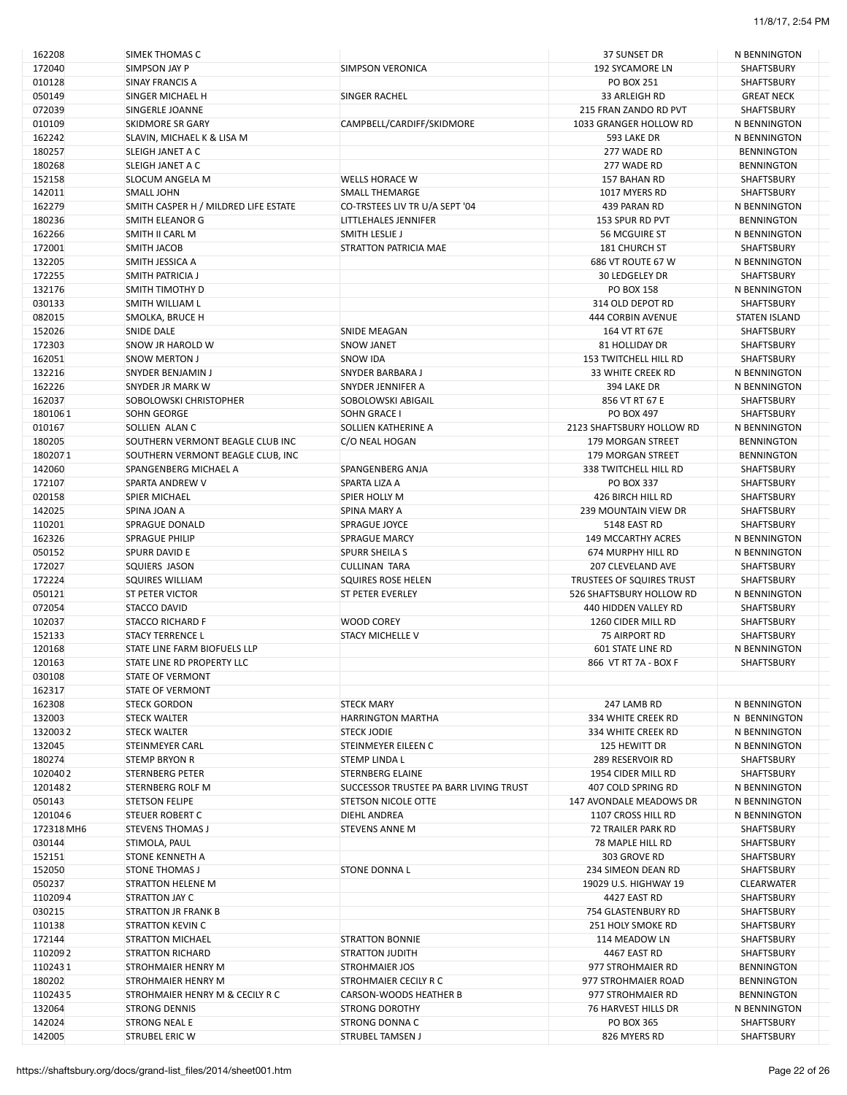| 162208                                                                          | SIMEK THOMAS C                       |                                        | 37 SUNSET DR                     | N BENNINGTON         |
|---------------------------------------------------------------------------------|--------------------------------------|----------------------------------------|----------------------------------|----------------------|
| 172040                                                                          | <b>SIMPSON JAY P</b>                 | SIMPSON VERONICA                       | 192 SYCAMORE LN                  | <b>SHAFTSBURY</b>    |
| 010128                                                                          | <b>SINAY FRANCIS A</b>               |                                        | PO BOX 251                       | SHAFTSBURY           |
| 050149                                                                          | SINGER MICHAEL H                     | SINGER RACHEL                          | 33 ARLEIGH RD                    | <b>GREAT NECK</b>    |
| 072039                                                                          | SINGERLE JOANNE                      |                                        | 215 FRAN ZANDO RD PVT            | <b>SHAFTSBURY</b>    |
| 010109                                                                          | <b>SKIDMORE SR GARY</b>              | CAMPBELL/CARDIFF/SKIDMORE              | 1033 GRANGER HOLLOW RD           | N BENNINGTON         |
| 162242                                                                          | SLAVIN, MICHAEL K & LISA M           |                                        | 593 LAKE DR                      | N BENNINGTON         |
|                                                                                 |                                      |                                        |                                  |                      |
| 180257                                                                          | <b>SLEIGH JANET A C</b>              |                                        | 277 WADE RD                      | <b>BENNINGTON</b>    |
| 180268                                                                          | <b>SLEIGH JANET A C</b>              |                                        | 277 WADE RD                      | <b>BENNINGTON</b>    |
| 152158                                                                          | <b>SLOCUM ANGELA M</b>               | <b>WELLS HORACE W</b>                  | 157 BAHAN RD                     | SHAFTSBURY           |
| 142011                                                                          | <b>SMALL JOHN</b>                    | <b>SMALL THEMARGE</b>                  | 1017 MYERS RD                    | <b>SHAFTSBURY</b>    |
| 162279                                                                          | SMITH CASPER H / MILDRED LIFE ESTATE | CO-TRSTEES LIV TR U/A SEPT '04         | 439 PARAN RD                     | N BENNINGTON         |
| 180236                                                                          | <b>SMITH ELEANOR G</b>               | LITTLEHALES JENNIFER                   | 153 SPUR RD PVT                  | <b>BENNINGTON</b>    |
| 162266                                                                          | <b>SMITH II CARL M</b>               | SMITH LESLIE J                         | 56 MCGUIRE ST                    | N BENNINGTON         |
| 172001                                                                          | <b>SMITH JACOB</b>                   | STRATTON PATRICIA MAE                  | <b>181 CHURCH ST</b>             | SHAFTSBURY           |
|                                                                                 |                                      |                                        |                                  |                      |
| 132205                                                                          | <b>SMITH JESSICA A</b>               |                                        | 686 VT ROUTE 67 W                | N BENNINGTON         |
| 172255                                                                          | SMITH PATRICIA J                     |                                        | <b>30 LEDGELEY DR</b>            | SHAFTSBURY           |
| 132176                                                                          | SMITH TIMOTHY D                      |                                        | PO BOX 158                       | N BENNINGTON         |
| 030133                                                                          | <b>SMITH WILLIAM L</b>               |                                        | 314 OLD DEPOT RD                 | SHAFTSBURY           |
| 082015                                                                          | SMOLKA, BRUCE H                      |                                        | 444 CORBIN AVENUE                | <b>STATEN ISLAND</b> |
| 152026                                                                          | <b>SNIDE DALE</b>                    | SNIDE MEAGAN                           | 164 VT RT 67E                    | SHAFTSBURY           |
| 172303                                                                          | <b>SNOW JR HAROLD W</b>              | <b>SNOW JANET</b>                      | 81 HOLLIDAY DR                   | SHAFTSBURY           |
|                                                                                 |                                      |                                        |                                  |                      |
| 162051                                                                          | <b>SNOW MERTON J</b>                 | <b>SNOW IDA</b>                        | <b>153 TWITCHELL HILL RD</b>     | <b>SHAFTSBURY</b>    |
| 132216                                                                          | SNYDER BENJAMIN J                    | <b>SNYDER BARBARA J</b>                | 33 WHITE CREEK RD                | N BENNINGTON         |
| 162226                                                                          | <b>SNYDER JR MARK W</b>              | SNYDER JENNIFER A                      | 394 LAKE DR                      | N BENNINGTON         |
| 162037                                                                          | SOBOLOWSKI CHRISTOPHER               | SOBOLOWSKI ABIGAIL                     | 856 VT RT 67 E                   | SHAFTSBURY           |
| 1801061                                                                         | <b>SOHN GEORGE</b>                   | <b>SOHN GRACE I</b>                    | PO BOX 497                       | SHAFTSBURY           |
| 010167                                                                          | SOLLIEN ALAN C                       | SOLLIEN KATHERINE A                    | 2123 SHAFTSBURY HOLLOW RD        | N BENNINGTON         |
|                                                                                 |                                      |                                        |                                  |                      |
| 180205                                                                          | SOUTHERN VERMONT BEAGLE CLUB INC     | C/O NEAL HOGAN                         | 179 MORGAN STREET                | <b>BENNINGTON</b>    |
| 1802071                                                                         | SOUTHERN VERMONT BEAGLE CLUB, INC    |                                        | 179 MORGAN STREET                | <b>BENNINGTON</b>    |
| 142060                                                                          | SPANGENBERG MICHAEL A                | SPANGENBERG ANJA                       | 338 TWITCHELL HILL RD            | SHAFTSBURY           |
| 172107                                                                          | SPARTA ANDREW V                      | SPARTA LIZA A                          | PO BOX 337                       | <b>SHAFTSBURY</b>    |
| 020158                                                                          | <b>SPIER MICHAEL</b>                 | SPIER HOLLY M                          | 426 BIRCH HILL RD                | <b>SHAFTSBURY</b>    |
| 142025                                                                          | SPINA JOAN A                         | SPINA MARY A                           | 239 MOUNTAIN VIEW DR             | SHAFTSBURY           |
| 110201                                                                          | <b>SPRAGUE DONALD</b>                | <b>SPRAGUE JOYCE</b>                   |                                  | <b>SHAFTSBURY</b>    |
|                                                                                 |                                      |                                        | 5148 EAST RD                     |                      |
| 162326                                                                          | <b>SPRAGUE PHILIP</b>                | <b>SPRAGUE MARCY</b>                   | <b>149 MCCARTHY ACRES</b>        | N BENNINGTON         |
| 050152                                                                          | <b>SPURR DAVID E</b>                 | <b>SPURR SHEILA S</b>                  | 674 MURPHY HILL RD               | N BENNINGTON         |
| 172027                                                                          | SQUIERS JASON                        | <b>CULLINAN TARA</b>                   | 207 CLEVELAND AVE                | <b>SHAFTSBURY</b>    |
| 172224                                                                          | <b>SQUIRES WILLIAM</b>               | <b>SQUIRES ROSE HELEN</b>              | <b>TRUSTEES OF SQUIRES TRUST</b> | SHAFTSBURY           |
| 050121                                                                          | <b>ST PETER VICTOR</b>               | <b>ST PETER EVERLEY</b>                | 526 SHAFTSBURY HOLLOW RD         | N BENNINGTON         |
| 072054                                                                          | STACCO DAVID                         |                                        | 440 HIDDEN VALLEY RD             | SHAFTSBURY           |
| 102037                                                                          | <b>STACCO RICHARD F</b>              | <b>WOOD COREY</b>                      | 1260 CIDER MILL RD               | SHAFTSBURY           |
|                                                                                 |                                      |                                        |                                  |                      |
| 152133                                                                          | <b>STACY TERRENCE L</b>              | <b>STACY MICHELLE V</b>                | <b>75 AIRPORT RD</b>             | SHAFTSBURY           |
| 120168                                                                          | STATE LINE FARM BIOFUELS LLP         |                                        | 601 STATE LINE RD                | N BENNINGTON         |
| 120163                                                                          | STATE LINE RD PROPERTY LLC           |                                        | 866 VT RT 7A - BOX F             | SHAFTSBURY           |
| 030108                                                                          | <b>STATE OF VERMONT</b>              |                                        |                                  |                      |
| 162317                                                                          | <b>STATE OF VERMONT</b>              |                                        |                                  |                      |
| 162308                                                                          | <b>STECK GORDON</b>                  | <b>STECK MARY</b>                      | 247 LAMB RD                      | N BENNINGTON         |
| 132003                                                                          | <b>STECK WALTER</b>                  | <b>HARRINGTON MARTHA</b>               | 334 WHITE CREEK RD               | N BENNINGTON         |
|                                                                                 |                                      |                                        |                                  |                      |
| 1320032                                                                         | <b>STECK WALTER</b>                  | <b>STECK JODIE</b>                     | 334 WHITE CREEK RD               | N BENNINGTON         |
| 132045                                                                          | <b>STEINMEYER CARL</b>               | STEINMEYER EILEEN C                    | 125 HEWITT DR                    | N BENNINGTON         |
| 180274                                                                          | <b>STEMP BRYON R</b>                 | <b>STEMP LINDA L</b>                   | 289 RESERVOIR RD                 | SHAFTSBURY           |
| 1020402                                                                         | <b>STERNBERG PETER</b>               | <b>STERNBERG ELAINE</b>                | 1954 CIDER MILL RD               | SHAFTSBURY           |
| 1201482                                                                         | <b>STERNBERG ROLF M</b>              | SUCCESSOR TRUSTEE PA BARR LIVING TRUST | 407 COLD SPRING RD               | N BENNINGTON         |
| 050143                                                                          | <b>STETSON FELIPE</b>                | <b>STETSON NICOLE OTTE</b>             | 147 AVONDALE MEADOWS DR          | N BENNINGTON         |
| 1201046                                                                         | <b>STEUER ROBERT C</b>               | DIEHL ANDREA                           | 1107 CROSS HILL RD               | N BENNINGTON         |
|                                                                                 |                                      |                                        |                                  |                      |
| 172318 MH6                                                                      | <b>STEVENS THOMAS J</b>              | <b>STEVENS ANNE M</b>                  | 72 TRAILER PARK RD               | SHAFTSBURY           |
| 030144                                                                          | STIMOLA, PAUL                        |                                        | 78 MAPLE HILL RD                 | SHAFTSBURY           |
| 152151                                                                          | <b>STONE KENNETH A</b>               |                                        | 303 GROVE RD                     | SHAFTSBURY           |
| 152050                                                                          | <b>STONE THOMAS J</b>                | <b>STONE DONNA L</b>                   | 234 SIMEON DEAN RD               | SHAFTSBURY           |
| 050237                                                                          | <b>STRATTON HELENE M</b>             |                                        | 19029 U.S. HIGHWAY 19            | CLEARWATER           |
| 1102094                                                                         | STRATTON JAY C                       |                                        | 4427 EAST RD                     | SHAFTSBURY           |
|                                                                                 | <b>STRATTON JR FRANK B</b>           |                                        |                                  |                      |
| 030215                                                                          |                                      |                                        | 754 GLASTENBURY RD               | SHAFTSBURY           |
|                                                                                 |                                      |                                        |                                  |                      |
|                                                                                 | <b>STRATTON KEVIN C</b>              |                                        | 251 HOLY SMOKE RD                | SHAFTSBURY           |
|                                                                                 | <b>STRATTON MICHAEL</b>              | <b>STRATTON BONNIE</b>                 | 114 MEADOW LN                    | SHAFTSBURY           |
|                                                                                 | <b>STRATTON RICHARD</b>              | <b>STRATTON JUDITH</b>                 | 4467 EAST RD                     | SHAFTSBURY           |
|                                                                                 |                                      |                                        |                                  |                      |
|                                                                                 | <b>STROHMAIER HENRY M</b>            | <b>STROHMAIER JOS</b>                  | 977 STROHMAIER RD                | <b>BENNINGTON</b>    |
|                                                                                 | <b>STROHMAIER HENRY M</b>            | STROHMAIER CECILY R C                  | 977 STROHMAIER ROAD              | <b>BENNINGTON</b>    |
|                                                                                 | STROHMAIER HENRY M & CECILY R C      | <b>CARSON-WOODS HEATHER B</b>          | 977 STROHMAIER RD                | <b>BENNINGTON</b>    |
|                                                                                 | <b>STRONG DENNIS</b>                 | <b>STRONG DOROTHY</b>                  | 76 HARVEST HILLS DR              | N BENNINGTON         |
| 110138<br>172144<br>1102092<br>1102431<br>180202<br>1102435<br>132064<br>142024 | <b>STRONG NEAL E</b>                 | <b>STRONG DONNA C</b>                  | PO BOX 365                       | SHAFTSBURY           |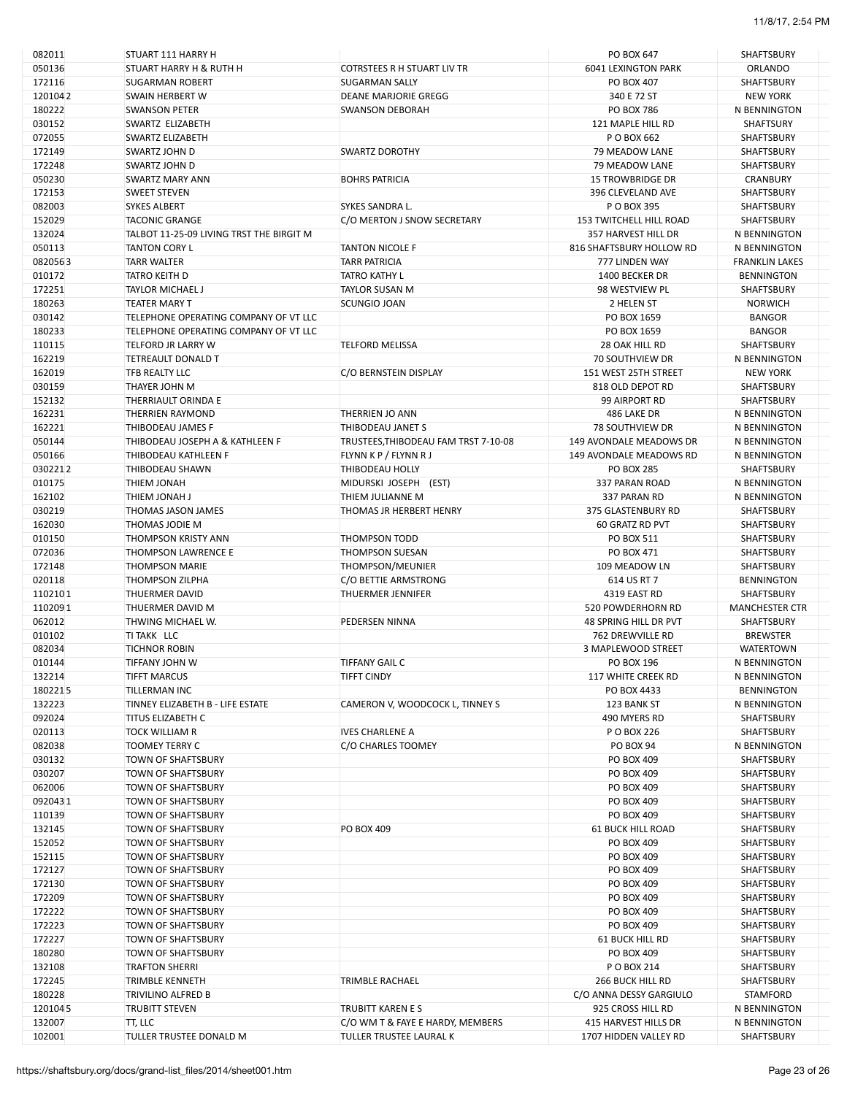| 082011  | STUART 111 HARRY H                       |                                      | PO BOX 647                     | SHAFTSBURY            |
|---------|------------------------------------------|--------------------------------------|--------------------------------|-----------------------|
| 050136  | STUART HARRY H & RUTH H                  | COTRSTEES R H STUART LIV TR          | <b>6041 LEXINGTON PARK</b>     | ORLANDO               |
| 172116  | <b>SUGARMAN ROBERT</b>                   | <b>SUGARMAN SALLY</b>                | PO BOX 407                     | SHAFTSBURY            |
| 1201042 | <b>SWAIN HERBERT W</b>                   | <b>DEANE MARJORIE GREGG</b>          | 340 E 72 ST                    | <b>NEW YORK</b>       |
| 180222  | <b>SWANSON PETER</b>                     | <b>SWANSON DEBORAH</b>               | <b>PO BOX 786</b>              | N BENNINGTON          |
| 030152  | SWARTZ ELIZABETH                         |                                      | 121 MAPLE HILL RD              | <b>SHAFTSURY</b>      |
|         |                                          |                                      | P O BOX 662                    |                       |
| 072055  | <b>SWARTZ ELIZABETH</b>                  |                                      |                                | <b>SHAFTSBURY</b>     |
| 172149  | <b>SWARTZ JOHN D</b>                     | <b>SWARTZ DOROTHY</b>                | 79 MEADOW LANE                 | <b>SHAFTSBURY</b>     |
| 172248  | <b>SWARTZ JOHN D</b>                     |                                      | 79 MEADOW LANE                 | <b>SHAFTSBURY</b>     |
| 050230  | <b>SWARTZ MARY ANN</b>                   | <b>BOHRS PATRICIA</b>                | <b>15 TROWBRIDGE DR</b>        | CRANBURY              |
| 172153  | <b>SWEET STEVEN</b>                      |                                      | 396 CLEVELAND AVE              | SHAFTSBURY            |
| 082003  | <b>SYKES ALBERT</b>                      | SYKES SANDRA L.                      | P O BOX 395                    | <b>SHAFTSBURY</b>     |
|         | <b>TACONIC GRANGE</b>                    |                                      |                                |                       |
| 152029  |                                          | C/O MERTON J SNOW SECRETARY          | <b>153 TWITCHELL HILL ROAD</b> | <b>SHAFTSBURY</b>     |
| 132024  | TALBOT 11-25-09 LIVING TRST THE BIRGIT M |                                      | 357 HARVEST HILL DR            | N BENNINGTON          |
| 050113  | <b>TANTON CORY L</b>                     | <b>TANTON NICOLE F</b>               | 816 SHAFTSBURY HOLLOW RD       | N BENNINGTON          |
| 0820563 | <b>TARR WALTER</b>                       | <b>TARR PATRICIA</b>                 | 777 LINDEN WAY                 | <b>FRANKLIN LAKES</b> |
| 010172  | <b>TATRO KEITH D</b>                     | <b>TATRO KATHY L</b>                 | 1400 BECKER DR                 | <b>BENNINGTON</b>     |
| 172251  | <b>TAYLOR MICHAEL J</b>                  | <b>TAYLOR SUSAN M</b>                | 98 WESTVIEW PL                 | <b>SHAFTSBURY</b>     |
| 180263  | <b>TEATER MARY T</b>                     | SCUNGIO JOAN                         | 2 HELEN ST                     | <b>NORWICH</b>        |
|         |                                          |                                      |                                |                       |
| 030142  | TELEPHONE OPERATING COMPANY OF VT LLC    |                                      | PO BOX 1659                    | <b>BANGOR</b>         |
| 180233  | TELEPHONE OPERATING COMPANY OF VT LLC    |                                      | PO BOX 1659                    | <b>BANGOR</b>         |
| 110115  | <b>TELFORD JR LARRY W</b>                | <b>TELFORD MELISSA</b>               | 28 OAK HILL RD                 | <b>SHAFTSBURY</b>     |
| 162219  | TETREAULT DONALD T                       |                                      | <b>70 SOUTHVIEW DR</b>         | N BENNINGTON          |
| 162019  | <b>TFB REALTY LLC</b>                    | C/O BERNSTEIN DISPLAY                | 151 WEST 25TH STREET           | <b>NEW YORK</b>       |
|         |                                          |                                      |                                |                       |
| 030159  | THAYER JOHN M                            |                                      | 818 OLD DEPOT RD               | <b>SHAFTSBURY</b>     |
| 152132  | THERRIAULT ORINDA E                      |                                      | 99 AIRPORT RD                  | <b>SHAFTSBURY</b>     |
| 162231  | THERRIEN RAYMOND                         | THERRIEN JO ANN                      | 486 LAKE DR                    | N BENNINGTON          |
| 162221  | THIBODEAU JAMES F                        | THIBODEAU JANET S                    | <b>78 SOUTHVIEW DR</b>         | N BENNINGTON          |
| 050144  | THIBODEAU JOSEPH A & KATHLEEN F          | TRUSTEES, THIBODEAU FAM TRST 7-10-08 | 149 AVONDALE MEADOWS DR        | N BENNINGTON          |
| 050166  | THIBODEAU KATHLEEN F                     | FLYNN K P / FLYNN R J                | 149 AVONDALE MEADOWS RD        | N BENNINGTON          |
|         |                                          |                                      |                                |                       |
| 0302212 | THIBODEAU SHAWN                          | THIBODEAU HOLLY                      | <b>PO BOX 285</b>              | <b>SHAFTSBURY</b>     |
| 010175  | THIEM JONAH                              | MIDURSKI JOSEPH (EST)                | 337 PARAN ROAD                 | N BENNINGTON          |
| 162102  | THIEM JONAH J                            | THIEM JULIANNE M                     | 337 PARAN RD                   | N BENNINGTON          |
| 030219  | THOMAS JASON JAMES                       | THOMAS JR HERBERT HENRY              | 375 GLASTENBURY RD             | <b>SHAFTSBURY</b>     |
| 162030  | THOMAS JODIE M                           |                                      | 60 GRATZ RD PVT                | <b>SHAFTSBURY</b>     |
|         |                                          |                                      |                                |                       |
| 010150  | THOMPSON KRISTY ANN                      | <b>THOMPSON TODD</b>                 | PO BOX 511                     | <b>SHAFTSBURY</b>     |
| 072036  | THOMPSON LAWRENCE E                      | <b>THOMPSON SUESAN</b>               | PO BOX 471                     | SHAFTSBURY            |
| 172148  | <b>THOMPSON MARIE</b>                    | THOMPSON/MEUNIER                     | 109 MEADOW LN                  | <b>SHAFTSBURY</b>     |
| 020118  | <b>THOMPSON ZILPHA</b>                   | C/O BETTIE ARMSTRONG                 | 614 US RT 7                    | <b>BENNINGTON</b>     |
| 1102101 | <b>THUERMER DAVID</b>                    | THUERMER JENNIFER                    | 4319 EAST RD                   | <b>SHAFTSBURY</b>     |
| 1102091 | THUERMER DAVID M                         |                                      | 520 POWDERHORN RD              | <b>MANCHESTER CTR</b> |
|         | THWING MICHAEL W.                        | PEDERSEN NINNA                       |                                |                       |
| 062012  |                                          |                                      | 48 SPRING HILL DR PVT          | SHAFTSBURY            |
| 010102  | TI TAKK LLC                              |                                      | 762 DREWVILLE RD               | <b>BREWSTER</b>       |
| 082034  | <b>TICHNOR ROBIN</b>                     |                                      | 3 MAPLEWOOD STREET             | <b>WATERTOWN</b>      |
| 010144  | <b>TIFFANY JOHN W</b>                    | <b>TIFFANY GAIL C</b>                | PO BOX 196                     | N BENNINGTON          |
| 132214  | <b>TIFFT MARCUS</b>                      | <b>TIFFT CINDY</b>                   | 117 WHITE CREEK RD             | N BENNINGTON          |
| 1802215 | TILLERMAN INC                            |                                      | PO BOX 4433                    | <b>BENNINGTON</b>     |
|         |                                          |                                      |                                |                       |
| 132223  | TINNEY ELIZABETH B - LIFE ESTATE         | CAMERON V, WOODCOCK L, TINNEY S      | 123 BANK ST                    | N BENNINGTON          |
| 092024  | <b>TITUS ELIZABETH C</b>                 |                                      | 490 MYERS RD                   | SHAFTSBURY            |
| 020113  | <b>TOCK WILLIAM R</b>                    | <b>IVES CHARLENE A</b>               | P O BOX 226                    | SHAFTSBURY            |
| 082038  | <b>TOOMEY TERRY C</b>                    | C/O CHARLES TOOMEY                   | <b>PO BOX 94</b>               | N BENNINGTON          |
| 030132  | <b>TOWN OF SHAFTSBURY</b>                |                                      | PO BOX 409                     | SHAFTSBURY            |
| 030207  | <b>TOWN OF SHAFTSBURY</b>                |                                      | PO BOX 409                     | SHAFTSBURY            |
|         |                                          |                                      |                                |                       |
| 062006  | <b>TOWN OF SHAFTSBURY</b>                |                                      | PO BOX 409                     | SHAFTSBURY            |
| 0920431 | TOWN OF SHAFTSBURY                       |                                      | PO BOX 409                     | SHAFTSBURY            |
| 110139  | <b>TOWN OF SHAFTSBURY</b>                |                                      | PO BOX 409                     | SHAFTSBURY            |
| 132145  | <b>TOWN OF SHAFTSBURY</b>                | PO BOX 409                           | <b>61 BUCK HILL ROAD</b>       | SHAFTSBURY            |
| 152052  | TOWN OF SHAFTSBURY                       |                                      | PO BOX 409                     | SHAFTSBURY            |
|         |                                          |                                      |                                |                       |
| 152115  | <b>TOWN OF SHAFTSBURY</b>                |                                      | PO BOX 409                     | <b>SHAFTSBURY</b>     |
| 172127  | TOWN OF SHAFTSBURY                       |                                      | PO BOX 409                     | SHAFTSBURY            |
| 172130  | <b>TOWN OF SHAFTSBURY</b>                |                                      | PO BOX 409                     | SHAFTSBURY            |
| 172209  | <b>TOWN OF SHAFTSBURY</b>                |                                      | PO BOX 409                     | SHAFTSBURY            |
| 172222  | TOWN OF SHAFTSBURY                       |                                      | PO BOX 409                     | SHAFTSBURY            |
| 172223  |                                          |                                      | PO BOX 409                     |                       |
|         | TOWN OF SHAFTSBURY                       |                                      |                                | SHAFTSBURY            |
| 172227  | <b>TOWN OF SHAFTSBURY</b>                |                                      | 61 BUCK HILL RD                | SHAFTSBURY            |
| 180280  | <b>TOWN OF SHAFTSBURY</b>                |                                      | PO BOX 409                     | SHAFTSBURY            |
| 132108  | <b>TRAFTON SHERRI</b>                    |                                      | P O BOX 214                    | SHAFTSBURY            |
| 172245  | TRIMBLE KENNETH                          | <b>TRIMBLE RACHAEL</b>               | 266 BUCK HILL RD               | SHAFTSBURY            |
| 180228  | <b>TRIVILINO ALFRED B</b>                |                                      | C/O ANNA DESSY GARGIULO        | STAMFORD              |
|         |                                          |                                      |                                |                       |
| 1201045 | <b>TRUBITT STEVEN</b>                    | TRUBITT KAREN E S                    | 925 CROSS HILL RD              | N BENNINGTON          |
| 132007  | TT, LLC                                  | C/O WM T & FAYE E HARDY, MEMBERS     | 415 HARVEST HILLS DR           | N BENNINGTON          |
| 102001  | TULLER TRUSTEE DONALD M                  | TULLER TRUSTEE LAURAL K              | 1707 HIDDEN VALLEY RD          | SHAFTSBURY            |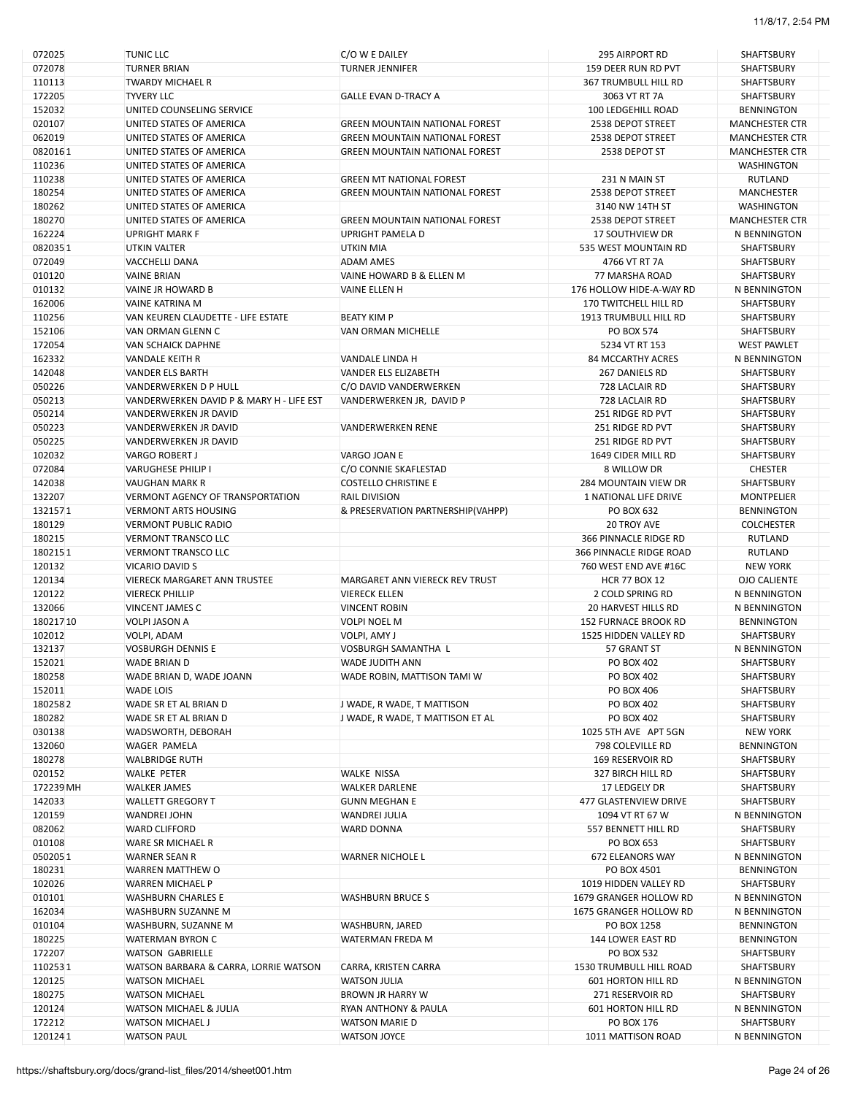|  |  |  |  | 11/8/17, 2:54 PM |  |
|--|--|--|--|------------------|--|
|--|--|--|--|------------------|--|

| 072025    | <b>TUNIC LLC</b>                         | C/O W E DAILEY                        | 295 AIRPORT RD               | SHAFTSBURY            |
|-----------|------------------------------------------|---------------------------------------|------------------------------|-----------------------|
| 072078    | <b>TURNER BRIAN</b>                      | <b>TURNER JENNIFER</b>                | 159 DEER RUN RD PVT          | SHAFTSBURY            |
| 110113    | <b>TWARDY MICHAEL R</b>                  |                                       | 367 TRUMBULL HILL RD         | SHAFTSBURY            |
| 172205    | <b>TYVERY LLC</b>                        | <b>GALLE EVAN D-TRACY A</b>           | 3063 VT RT 7A                | <b>SHAFTSBURY</b>     |
| 152032    | UNITED COUNSELING SERVICE                |                                       | 100 LEDGEHILL ROAD           | <b>BENNINGTON</b>     |
| 020107    | UNITED STATES OF AMERICA                 | <b>GREEN MOUNTAIN NATIONAL FOREST</b> | 2538 DEPOT STREET            | <b>MANCHESTER CTR</b> |
| 062019    |                                          | <b>GREEN MOUNTAIN NATIONAL FOREST</b> | 2538 DEPOT STREET            |                       |
|           | UNITED STATES OF AMERICA                 |                                       |                              | <b>MANCHESTER CTR</b> |
| 0820161   | UNITED STATES OF AMERICA                 | <b>GREEN MOUNTAIN NATIONAL FOREST</b> | 2538 DEPOT ST                | <b>MANCHESTER CTR</b> |
| 110236    | UNITED STATES OF AMERICA                 |                                       |                              | <b>WASHINGTON</b>     |
| 110238    | UNITED STATES OF AMERICA                 | <b>GREEN MT NATIONAL FOREST</b>       | 231 N MAIN ST                | RUTLAND               |
| 180254    | UNITED STATES OF AMERICA                 | <b>GREEN MOUNTAIN NATIONAL FOREST</b> | 2538 DEPOT STREET            | <b>MANCHESTER</b>     |
| 180262    | UNITED STATES OF AMERICA                 |                                       | 3140 NW 14TH ST              | <b>WASHINGTON</b>     |
| 180270    | UNITED STATES OF AMERICA                 | <b>GREEN MOUNTAIN NATIONAL FOREST</b> | 2538 DEPOT STREET            | <b>MANCHESTER CTR</b> |
| 162224    | <b>UPRIGHT MARK F</b>                    | <b>UPRIGHT PAMELA D</b>               | <b>17 SOUTHVIEW DR</b>       | N BENNINGTON          |
| 0820351   | UTKIN VALTER                             | UTKIN MIA                             | 535 WEST MOUNTAIN RD         | SHAFTSBURY            |
|           |                                          |                                       |                              |                       |
| 072049    | VACCHELLI DANA                           | <b>ADAM AMES</b>                      | 4766 VT RT 7A                | SHAFTSBURY            |
| 010120    | <b>VAINE BRIAN</b>                       | VAINE HOWARD B & ELLEN M              | 77 MARSHA ROAD               | <b>SHAFTSBURY</b>     |
| 010132    | VAINE JR HOWARD B                        | <b>VAINE ELLEN H</b>                  | 176 HOLLOW HIDE-A-WAY RD     | N BENNINGTON          |
| 162006    | VAINE KATRINA M                          |                                       | 170 TWITCHELL HILL RD        | SHAFTSBURY            |
| 110256    | VAN KEUREN CLAUDETTE - LIFE ESTATE       | <b>BEATY KIM P</b>                    | <b>1913 TRUMBULL HILL RD</b> | SHAFTSBURY            |
| 152106    | VAN ORMAN GLENN C                        | VAN ORMAN MICHELLE                    | <b>PO BOX 574</b>            | SHAFTSBURY            |
| 172054    | VAN SCHAICK DAPHNE                       |                                       | 5234 VT RT 153               | <b>WEST PAWLET</b>    |
|           |                                          |                                       |                              |                       |
| 162332    | VANDALE KEITH R                          | VANDALE LINDA H                       | <b>84 MCCARTHY ACRES</b>     | N BENNINGTON          |
| 142048    | VANDER ELS BARTH                         | VANDER ELS ELIZABETH                  | 267 DANIELS RD               | SHAFTSBURY            |
| 050226    | VANDERWERKEN D P HULL                    | C/O DAVID VANDERWERKEN                | 728 LACLAIR RD               | <b>SHAFTSBURY</b>     |
| 050213    | VANDERWERKEN DAVID P & MARY H - LIFE EST | VANDERWERKEN JR, DAVID P              | 728 LACLAIR RD               | SHAFTSBURY            |
| 050214    | VANDERWERKEN JR DAVID                    |                                       | 251 RIDGE RD PVT             | SHAFTSBURY            |
| 050223    | VANDERWERKEN JR DAVID                    | <b>VANDERWERKEN RENE</b>              | 251 RIDGE RD PVT             | SHAFTSBURY            |
| 050225    | VANDERWERKEN JR DAVID                    |                                       | 251 RIDGE RD PVT             | SHAFTSBURY            |
|           |                                          |                                       |                              |                       |
| 102032    | <b>VARGO ROBERT J</b>                    | VARGO JOAN E                          | 1649 CIDER MILL RD           | SHAFTSBURY            |
| 072084    | VARUGHESE PHILIP I                       | C/O CONNIE SKAFLESTAD                 | 8 WILLOW DR                  | <b>CHESTER</b>        |
| 142038    | VAUGHAN MARK R                           | <b>COSTELLO CHRISTINE E</b>           | 284 MOUNTAIN VIEW DR         | SHAFTSBURY            |
| 132207    | <b>VERMONT AGENCY OF TRANSPORTATION</b>  | <b>RAIL DIVISION</b>                  | 1 NATIONAL LIFE DRIVE        | <b>MONTPELIER</b>     |
| 1321571   | <b>VERMONT ARTS HOUSING</b>              | & PRESERVATION PARTNERSHIP(VAHPP)     | PO BOX 632                   | <b>BENNINGTON</b>     |
| 180129    | <b>VERMONT PUBLIC RADIO</b>              |                                       | 20 TROY AVE                  | <b>COLCHESTER</b>     |
| 180215    | <b>VERMONT TRANSCO LLC</b>               |                                       | 366 PINNACLE RIDGE RD        | RUTLAND               |
|           |                                          |                                       |                              |                       |
| 1802151   | <b>VERMONT TRANSCO LLC</b>               |                                       | 366 PINNACLE RIDGE ROAD      | RUTLAND               |
| 120132    | <b>VICARIO DAVID S</b>                   |                                       | 760 WEST END AVE #16C        | <b>NEW YORK</b>       |
| 120134    | <b>VIERECK MARGARET ANN TRUSTEE</b>      | MARGARET ANN VIERECK REV TRUST        | <b>HCR 77 BOX 12</b>         | <b>OJO CALIENTE</b>   |
| 120122    | <b>VIERECK PHILLIP</b>                   | <b>VIERECK ELLEN</b>                  | 2 COLD SPRING RD             | N BENNINGTON          |
| 132066    | <b>VINCENT JAMES C</b>                   | <b>VINCENT ROBIN</b>                  | 20 HARVEST HILLS RD          | N BENNINGTON          |
| 18021710  | VOLPI JASON A                            | <b>VOLPI NOEL M</b>                   | <b>152 FURNACE BROOK RD</b>  | <b>BENNINGTON</b>     |
| 102012    | VOLPI, ADAM                              | VOLPI, AMY J                          | 1525 HIDDEN VALLEY RD        | SHAFTSBURY            |
| 132137    | <b>VOSBURGH DENNIS E</b>                 | <b>VOSBURGH SAMANTHA L</b>            | 57 GRANT ST                  | N BENNINGTON          |
|           |                                          |                                       |                              |                       |
| 152021    | <b>WADE BRIAN D</b>                      | <b>WADE JUDITH ANN</b>                | PO BOX 402                   | SHAFTSBURY            |
| 180258    | WADE BRIAN D, WADE JOANN                 | WADE ROBIN, MATTISON TAMI W           | PO BOX 402                   | SHAFTSBURY            |
| 152011    | <b>WADE LOIS</b>                         |                                       | PO BOX 406                   | <b>SHAFTSBURY</b>     |
| 1802582   | WADE SR ET AL BRIAN D                    | J WADE, R WADE, T MATTISON            | PO BOX 402                   | SHAFTSBURY            |
| 180282    | WADE SR ET AL BRIAN D                    | J WADE, R WADE, T MATTISON ET AL      | PO BOX 402                   | SHAFTSBURY            |
| 030138    | WADSWORTH, DEBORAH                       |                                       | 1025 5TH AVE APT 5GN         | <b>NEW YORK</b>       |
| 132060    |                                          |                                       | 798 COLEVILLE RD             | <b>BENNINGTON</b>     |
|           | WAGER PAMELA                             |                                       |                              |                       |
| 180278    | <b>WALBRIDGE RUTH</b>                    |                                       | 169 RESERVOIR RD             | SHAFTSBURY            |
| 020152    | <b>WALKE PETER</b>                       | <b>WALKE NISSA</b>                    | 327 BIRCH HILL RD            | SHAFTSBURY            |
| 172239 MH | <b>WALKER JAMES</b>                      | <b>WALKER DARLENE</b>                 | 17 LEDGELY DR                | SHAFTSBURY            |
| 142033    | <b>WALLETT GREGORY T</b>                 | <b>GUNN MEGHAN E</b>                  | 477 GLASTENVIEW DRIVE        | SHAFTSBURY            |
| 120159    | <b>WANDREI JOHN</b>                      | <b>WANDREI JULIA</b>                  | 1094 VT RT 67 W              | N BENNINGTON          |
| 082062    | <b>WARD CLIFFORD</b>                     | WARD DONNA                            | 557 BENNETT HILL RD          | SHAFTSBURY            |
| 010108    | WARE SR MICHAEL R                        |                                       | PO BOX 653                   | SHAFTSBURY            |
|           |                                          |                                       |                              |                       |
| 0502051   | <b>WARNER SEAN R</b>                     | <b>WARNER NICHOLE L</b>               | 672 ELEANORS WAY             | N BENNINGTON          |
| 180231    | WARREN MATTHEW O                         |                                       | PO BOX 4501                  | <b>BENNINGTON</b>     |
| 102026    | <b>WARREN MICHAEL P</b>                  |                                       | 1019 HIDDEN VALLEY RD        | SHAFTSBURY            |
| 010101    | <b>WASHBURN CHARLES E</b>                | <b>WASHBURN BRUCE S</b>               | 1679 GRANGER HOLLOW RD       | N BENNINGTON          |
| 162034    | WASHBURN SUZANNE M                       |                                       | 1675 GRANGER HOLLOW RD       | N BENNINGTON          |
| 010104    | WASHBURN, SUZANNE M                      | WASHBURN, JARED                       | PO BOX 1258                  | <b>BENNINGTON</b>     |
| 180225    | <b>WATERMAN BYRON C</b>                  | WATERMAN FREDA M                      | 144 LOWER EAST RD            | <b>BENNINGTON</b>     |
|           |                                          |                                       |                              |                       |
| 172207    | <b>WATSON GABRIELLE</b>                  |                                       | PO BOX 532                   | SHAFTSBURY            |
| 1102531   | WATSON BARBARA & CARRA, LORRIE WATSON    | CARRA, KRISTEN CARRA                  | 1530 TRUMBULL HILL ROAD      | SHAFTSBURY            |
| 120125    | <b>WATSON MICHAEL</b>                    | <b>WATSON JULIA</b>                   | <b>601 HORTON HILL RD</b>    | N BENNINGTON          |
| 180275    | <b>WATSON MICHAEL</b>                    | <b>BROWN JR HARRY W</b>               | 271 RESERVOIR RD             | SHAFTSBURY            |
| 120124    | WATSON MICHAEL & JULIA                   | RYAN ANTHONY & PAULA                  | 601 HORTON HILL RD           | N BENNINGTON          |
| 172212    | <b>WATSON MICHAEL J</b>                  | <b>WATSON MARIE D</b>                 | PO BOX 176                   | SHAFTSBURY            |
| 1201241   |                                          | <b>WATSON JOYCE</b>                   | 1011 MATTISON ROAD           |                       |
|           | <b>WATSON PAUL</b>                       |                                       |                              | N BENNINGTON          |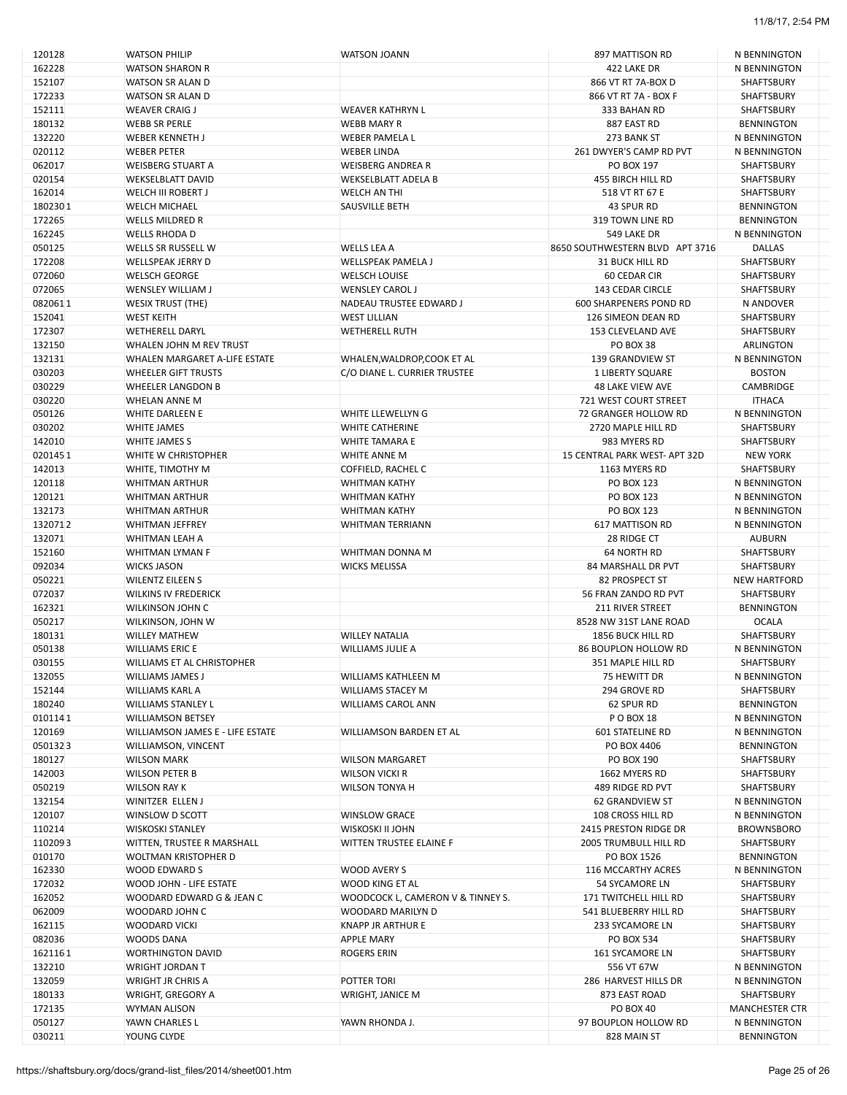| 120128           | <b>WATSON PHILIP</b>                                        | <b>WATSON JOANN</b>                                         | 897 MATTISON RD                                    | N BENNINGTON                           |
|------------------|-------------------------------------------------------------|-------------------------------------------------------------|----------------------------------------------------|----------------------------------------|
| 162228           | <b>WATSON SHARON R</b>                                      |                                                             | 422 LAKE DR                                        | N BENNINGTON                           |
| 152107           | <b>WATSON SR ALAN D</b>                                     |                                                             | 866 VT RT 7A-BOX D                                 | <b>SHAFTSBURY</b>                      |
| 172233           | <b>WATSON SR ALAN D</b>                                     |                                                             | 866 VT RT 7A - BOX F                               | <b>SHAFTSBURY</b>                      |
| 152111<br>180132 | <b>WEAVER CRAIG J</b><br><b>WEBB SR PERLE</b>               | <b>WEAVER KATHRYN L</b><br><b>WEBB MARY R</b>               | 333 BAHAN RD<br>887 EAST RD                        | <b>SHAFTSBURY</b><br><b>BENNINGTON</b> |
| 132220           | <b>WEBER KENNETH J</b>                                      | WEBER PAMELA L                                              | 273 BANK ST                                        | N BENNINGTON                           |
| 020112           | <b>WEBER PETER</b>                                          | <b>WEBER LINDA</b>                                          | 261 DWYER'S CAMP RD PVT                            | N BENNINGTON                           |
| 062017           | <b>WEISBERG STUART A</b>                                    | <b>WEISBERG ANDREA R</b>                                    | PO BOX 197                                         | <b>SHAFTSBURY</b>                      |
| 020154           | <b>WEKSELBLATT DAVID</b>                                    | <b>WEKSELBLATT ADELA B</b>                                  | 455 BIRCH HILL RD                                  | <b>SHAFTSBURY</b>                      |
| 162014           | <b>WELCH III ROBERT J</b>                                   | <b>WELCH AN THI</b>                                         | 518 VT RT 67 E                                     | <b>SHAFTSBURY</b>                      |
| 1802301          | <b>WELCH MICHAEL</b>                                        | SAUSVILLE BETH                                              | 43 SPUR RD                                         | <b>BENNINGTON</b>                      |
| 172265           | <b>WELLS MILDRED R</b>                                      |                                                             | 319 TOWN LINE RD                                   | <b>BENNINGTON</b>                      |
| 162245           | <b>WELLS RHODA D</b>                                        |                                                             | 549 LAKE DR                                        | N BENNINGTON                           |
| 050125           | <b>WELLS SR RUSSELL W</b>                                   | <b>WELLS LEA A</b>                                          | 8650 SOUTHWESTERN BLVD APT 3716                    | <b>DALLAS</b>                          |
| 172208           | <b>WELLSPEAK JERRY D</b>                                    | <b>WELLSPEAK PAMELA J</b>                                   | <b>31 BUCK HILL RD</b>                             | SHAFTSBURY                             |
| 072060           | <b>WELSCH GEORGE</b>                                        | <b>WELSCH LOUISE</b>                                        | 60 CEDAR CIR                                       | <b>SHAFTSBURY</b>                      |
| 072065           | <b>WENSLEY WILLIAM J</b>                                    | <b>WENSLEY CAROL J</b>                                      | 143 CEDAR CIRCLE                                   | <b>SHAFTSBURY</b>                      |
| 0820611          | <b>WESIX TRUST (THE)</b>                                    | NADEAU TRUSTEE EDWARD J                                     | <b>600 SHARPENERS POND RD</b>                      | N ANDOVER                              |
| 152041           | <b>WEST KEITH</b>                                           | <b>WEST LILLIAN</b>                                         | 126 SIMEON DEAN RD                                 | <b>SHAFTSBURY</b>                      |
| 172307           | <b>WETHERELL DARYL</b>                                      | <b>WETHERELL RUTH</b>                                       | 153 CLEVELAND AVE                                  | <b>SHAFTSBURY</b>                      |
| 132150           | WHALEN JOHN M REV TRUST                                     |                                                             | PO BOX 38                                          | ARLINGTON                              |
| 132131<br>030203 | WHALEN MARGARET A-LIFE ESTATE<br><b>WHEELER GIFT TRUSTS</b> | WHALEN, WALDROP, COOK ET AL<br>C/O DIANE L. CURRIER TRUSTEE | 139 GRANDVIEW ST<br>1 LIBERTY SQUARE               | N BENNINGTON<br><b>BOSTON</b>          |
| 030229           | <b>WHEELER LANGDON B</b>                                    |                                                             | <b>48 LAKE VIEW AVE</b>                            | CAMBRIDGE                              |
| 030220           | <b>WHELAN ANNE M</b>                                        |                                                             | 721 WEST COURT STREET                              | <b>ITHACA</b>                          |
| 050126           | <b>WHITE DARLEEN E</b>                                      | WHITE LLEWELLYN G                                           | 72 GRANGER HOLLOW RD                               | N BENNINGTON                           |
| 030202           | WHITE JAMES                                                 | <b>WHITE CATHERINE</b>                                      | 2720 MAPLE HILL RD                                 | <b>SHAFTSBURY</b>                      |
| 142010           | WHITE JAMES S                                               | <b>WHITE TAMARA E</b>                                       | 983 MYERS RD                                       | <b>SHAFTSBURY</b>                      |
| 0201451          | WHITE W CHRISTOPHER                                         | WHITE ANNE M                                                | 15 CENTRAL PARK WEST- APT 32D                      | <b>NEW YORK</b>                        |
| 142013           | WHITE, TIMOTHY M                                            | COFFIELD, RACHEL C                                          | 1163 MYERS RD                                      | SHAFTSBURY                             |
| 120118           | <b>WHITMAN ARTHUR</b>                                       | <b>WHITMAN KATHY</b>                                        | PO BOX 123                                         | N BENNINGTON                           |
| 120121           | <b>WHITMAN ARTHUR</b>                                       | <b>WHITMAN KATHY</b>                                        | PO BOX 123                                         | N BENNINGTON                           |
| 132173           | <b>WHITMAN ARTHUR</b>                                       | <b>WHITMAN KATHY</b>                                        | <b>PO BOX 123</b>                                  | N BENNINGTON                           |
| 1320712          | <b>WHITMAN JEFFREY</b>                                      | <b>WHITMAN TERRIANN</b>                                     | 617 MATTISON RD                                    | N BENNINGTON                           |
| 132071           | <b>WHITMAN LEAH A</b>                                       |                                                             | 28 RIDGE CT                                        | <b>AUBURN</b>                          |
| 152160           | WHITMAN LYMAN F                                             | WHITMAN DONNA M                                             | 64 NORTH RD                                        | SHAFTSBURY                             |
| 092034           | <b>WICKS JASON</b>                                          | <b>WICKS MELISSA</b>                                        | 84 MARSHALL DR PVT                                 | SHAFTSBURY                             |
| 050221           | <b>WILENTZ EILEEN S</b>                                     |                                                             | 82 PROSPECT ST                                     | <b>NEW HARTFORD</b>                    |
| 072037           | <b>WILKINS IV FREDERICK</b>                                 |                                                             | 56 FRAN ZANDO RD PVT                               | <b>SHAFTSBURY</b>                      |
| 162321<br>050217 | <b>WILKINSON JOHN C</b><br>WILKINSON, JOHN W                |                                                             | <b>211 RIVER STREET</b>                            | <b>BENNINGTON</b><br><b>OCALA</b>      |
| 180131           | <b>WILLEY MATHEW</b>                                        | <b>WILLEY NATALIA</b>                                       | 8528 NW 31ST LANE ROAD<br><b>1856 BUCK HILL RD</b> | SHAFTSBURY                             |
| 050138           | <b>WILLIAMS ERIC E</b>                                      | WILLIAMS JULIE A                                            | 86 BOUPLON HOLLOW RD                               | N BENNINGTON                           |
| 030155           | <b>WILLIAMS ET AL CHRISTOPHER</b>                           |                                                             | 351 MAPLE HILL RD                                  | <b>SHAFTSBURY</b>                      |
| 132055           | <b>WILLIAMS JAMES J</b>                                     | WILLIAMS KATHLEEN M                                         | 75 HEWITT DR                                       | N BENNINGTON                           |
| 152144           | <b>WILLIAMS KARL A</b>                                      | <b>WILLIAMS STACEY M</b>                                    | 294 GROVE RD                                       | SHAFTSBURY                             |
| 180240           | <b>WILLIAMS STANLEY L</b>                                   | <b>WILLIAMS CAROL ANN</b>                                   | 62 SPUR RD                                         | <b>BENNINGTON</b>                      |
| 0101141          | <b>WILLIAMSON BETSEY</b>                                    |                                                             | P O BOX 18                                         | N BENNINGTON                           |
| 120169           | WILLIAMSON JAMES E - LIFE ESTATE                            | <b>WILLIAMSON BARDEN ET AL</b>                              | <b>601 STATELINE RD</b>                            | N BENNINGTON                           |
| 0501323          | <b>WILLIAMSON, VINCENT</b>                                  |                                                             | PO BOX 4406                                        | <b>BENNINGTON</b>                      |
| 180127           | <b>WILSON MARK</b>                                          | <b>WILSON MARGARET</b>                                      | PO BOX 190                                         | SHAFTSBURY                             |
| 142003           | <b>WILSON PETER B</b>                                       | <b>WILSON VICKI R</b>                                       | 1662 MYERS RD                                      | SHAFTSBURY                             |
| 050219           | <b>WILSON RAY K</b>                                         | <b>WILSON TONYA H</b>                                       | 489 RIDGE RD PVT                                   | SHAFTSBURY                             |
| 132154           | WINITZER ELLEN J                                            |                                                             | 62 GRANDVIEW ST                                    | N BENNINGTON                           |
| 120107           | WINSLOW D SCOTT                                             | <b>WINSLOW GRACE</b>                                        | 108 CROSS HILL RD                                  | N BENNINGTON                           |
| 110214           | <b>WISKOSKI STANLEY</b>                                     | WISKOSKI II JOHN                                            | 2415 PRESTON RIDGE DR                              | <b>BROWNSBORO</b>                      |
| 1102093          | WITTEN, TRUSTEE R MARSHALL                                  | <b>WITTEN TRUSTEE ELAINE F</b>                              | 2005 TRUMBULL HILL RD                              | SHAFTSBURY                             |
| 010170           | <b>WOLTMAN KRISTOPHER D</b>                                 |                                                             | PO BOX 1526                                        | <b>BENNINGTON</b>                      |
| 162330           | <b>WOOD EDWARD S</b>                                        | WOOD AVERY S                                                | 116 MCCARTHY ACRES                                 | N BENNINGTON                           |
| 172032<br>162052 | <b>WOOD JOHN - LIFE ESTATE</b><br>WOODARD EDWARD G & JEAN C | WOOD KING ET AL<br>WOODCOCK L, CAMERON V & TINNEY S.        | 54 SYCAMORE LN<br>171 TWITCHELL HILL RD            | SHAFTSBURY<br>SHAFTSBURY               |
| 062009           | WOODARD JOHN C                                              | WOODARD MARILYN D                                           | 541 BLUEBERRY HILL RD                              | SHAFTSBURY                             |
| 162115           | <b>WOODARD VICKI</b>                                        | <b>KNAPP JR ARTHUR E</b>                                    | 233 SYCAMORE LN                                    | SHAFTSBURY                             |
| 082036           | <b>WOODS DANA</b>                                           | <b>APPLE MARY</b>                                           | <b>PO BOX 534</b>                                  | SHAFTSBURY                             |
| 1621161          | <b>WORTHINGTON DAVID</b>                                    | <b>ROGERS ERIN</b>                                          | 161 SYCAMORE LN                                    | SHAFTSBURY                             |
| 132210           | <b>WRIGHT JORDAN T</b>                                      |                                                             | 556 VT 67W                                         | N BENNINGTON                           |
| 132059           | <b>WRIGHT JR CHRIS A</b>                                    | POTTER TORI                                                 | 286 HARVEST HILLS DR                               | N BENNINGTON                           |
| 180133           | <b>WRIGHT, GREGORY A</b>                                    | WRIGHT, JANICE M                                            | 873 EAST ROAD                                      | SHAFTSBURY                             |
| 172135           | <b>WYMAN ALISON</b>                                         |                                                             | PO BOX 40                                          | <b>MANCHESTER CTR</b>                  |
| 050127           | YAWN CHARLES L                                              | YAWN RHONDA J.                                              | 97 BOUPLON HOLLOW RD                               | N BENNINGTON                           |
| 030211           | YOUNG CLYDE                                                 |                                                             | 828 MAIN ST                                        | <b>BENNINGTON</b>                      |
|                  |                                                             |                                                             |                                                    |                                        |